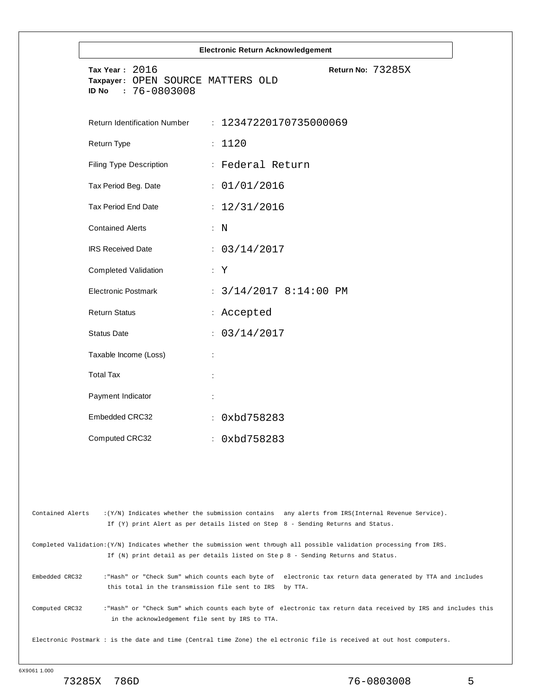|                  |                                                                                                                                                                                                            | <b>Electronic Return Acknowledgement</b> |                          |                                                                                                                |
|------------------|------------------------------------------------------------------------------------------------------------------------------------------------------------------------------------------------------------|------------------------------------------|--------------------------|----------------------------------------------------------------------------------------------------------------|
|                  | Tax Year: 2016<br>Taxpayer: OPEN SOURCE MATTERS OLD<br>$: 76 - 0803008$<br><b>ID No</b>                                                                                                                    |                                          | Return No: 73285X        |                                                                                                                |
|                  | <b>Return Identification Number</b>                                                                                                                                                                        | : 12347220170735000069                   |                          |                                                                                                                |
|                  | Return Type                                                                                                                                                                                                | : 1120                                   |                          |                                                                                                                |
|                  | <b>Filing Type Description</b>                                                                                                                                                                             | : Federal Return                         |                          |                                                                                                                |
|                  | Tax Period Beg. Date                                                                                                                                                                                       | : 01/01/2016                             |                          |                                                                                                                |
|                  | <b>Tax Period End Date</b>                                                                                                                                                                                 | : 12/31/2016                             |                          |                                                                                                                |
|                  | <b>Contained Alerts</b>                                                                                                                                                                                    | : N                                      |                          |                                                                                                                |
|                  | <b>IRS Received Date</b>                                                                                                                                                                                   | : 03/14/2017                             |                          |                                                                                                                |
|                  | <b>Completed Validation</b>                                                                                                                                                                                | : Y                                      |                          |                                                                                                                |
|                  | <b>Electronic Postmark</b>                                                                                                                                                                                 |                                          | : $3/14/2017$ 8:14:00 PM |                                                                                                                |
|                  | <b>Return Status</b>                                                                                                                                                                                       | : Accepted                               |                          |                                                                                                                |
|                  | <b>Status Date</b>                                                                                                                                                                                         | : 03/14/2017                             |                          |                                                                                                                |
|                  | Taxable Income (Loss)                                                                                                                                                                                      |                                          |                          |                                                                                                                |
|                  | <b>Total Tax</b>                                                                                                                                                                                           |                                          |                          |                                                                                                                |
|                  | Payment Indicator                                                                                                                                                                                          |                                          |                          |                                                                                                                |
|                  | Embedded CRC32                                                                                                                                                                                             | 0xbd758283<br>÷.                         |                          |                                                                                                                |
|                  | Computed CRC32                                                                                                                                                                                             | : 0xbd758283                             |                          |                                                                                                                |
|                  |                                                                                                                                                                                                            |                                          |                          |                                                                                                                |
|                  |                                                                                                                                                                                                            |                                          |                          |                                                                                                                |
| Contained Alerts | : (Y/N) Indicates whether the submission contains any alerts from IRS(Internal Revenue Service).<br>If (Y) print Alert as per details listed on Step 8 - Sending Returns and Status.                       |                                          |                          |                                                                                                                |
|                  | Completed Validation:(Y/N) Indicates whether the submission went through all possible validation processing from IRS.<br>If (N) print detail as per details listed on Step 8 - Sending Returns and Status. |                                          |                          |                                                                                                                |
| Embedded CRC32   | :"Hash" or "Check Sum" which counts each byte of<br>this total in the transmission file sent to IRS by TTA.                                                                                                |                                          |                          | electronic tax return data generated by TTA and includes                                                       |
| Computed CRC32   | in the acknowledgement file sent by IRS to TTA.                                                                                                                                                            |                                          |                          | : "Hash" or "Check Sum" which counts each byte of electronic tax return data received by IRS and includes this |
|                  | Electronic Postmark : is the date and time (Central time Zone) the electronic file is received at out host computers.                                                                                      |                                          |                          |                                                                                                                |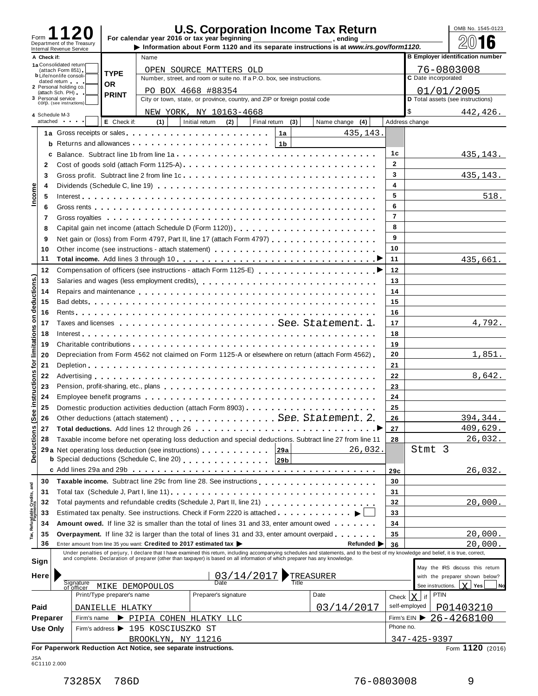| Form                         |                 |                                                |                                          |              |                                                                                      | For calendar year 2016 or tax year beginning                                                                                                                                                                                   |                  | <b>U.S. Corporation Income Tax Return</b><br><b>1999</b> contract to the sense of the sense of the sense of the sense of the sense of the sense of the sense of the                                                               |                |                     | OMB No. 1545-0123                                                 |
|------------------------------|-----------------|------------------------------------------------|------------------------------------------|--------------|--------------------------------------------------------------------------------------|--------------------------------------------------------------------------------------------------------------------------------------------------------------------------------------------------------------------------------|------------------|-----------------------------------------------------------------------------------------------------------------------------------------------------------------------------------------------------------------------------------|----------------|---------------------|-------------------------------------------------------------------|
|                              |                 | Internal Revenue Service                       | Department of the Treasury               |              |                                                                                      |                                                                                                                                                                                                                                |                  | Information about Form 1120 and its separate instructions is at www.irs.gov/form1120.                                                                                                                                             |                |                     | 16                                                                |
|                              | A Check if:     |                                                |                                          |              | Name                                                                                 |                                                                                                                                                                                                                                |                  |                                                                                                                                                                                                                                   |                |                     | <b>B Employer identification number</b>                           |
|                              |                 | 1a Consolidated return<br>(attach Form 851)    |                                          |              |                                                                                      | OPEN SOURCE MATTERS OLD                                                                                                                                                                                                        |                  |                                                                                                                                                                                                                                   |                |                     | 76-0803008                                                        |
|                              |                 | <b>b</b> Life/nonlife consoli-<br>dated return |                                          | <b>TYPE</b>  |                                                                                      | Number, street, and room or suite no. If a P.O. box, see instructions.                                                                                                                                                         |                  |                                                                                                                                                                                                                                   |                | C Date incorporated |                                                                   |
|                              |                 | 2 Personal holding co.                         |                                          | <b>OR</b>    |                                                                                      | PO BOX 4668 #88354                                                                                                                                                                                                             |                  |                                                                                                                                                                                                                                   |                |                     | 01/01/2005                                                        |
|                              |                 | (attach Sch. PH)<br>3 Personal service         |                                          | <b>PRINT</b> |                                                                                      | City or town, state, or province, country, and ZIP or foreign postal code                                                                                                                                                      |                  |                                                                                                                                                                                                                                   |                |                     | D Total assets (see instructions)                                 |
|                              |                 | COrp. (see instructions)                       |                                          |              |                                                                                      | NEW YORK, NY 10163-4668                                                                                                                                                                                                        |                  |                                                                                                                                                                                                                                   |                | \$                  | 442, 426.                                                         |
|                              |                 | 4 Schedule M-3<br>attached and the state       |                                          | E Check if:  | (1)                                                                                  | Initial return<br>(2)                                                                                                                                                                                                          | Final return (3) | Name change (4)                                                                                                                                                                                                                   |                | Address change      |                                                                   |
|                              |                 |                                                |                                          |              |                                                                                      |                                                                                                                                                                                                                                | 1a               | 435,143.                                                                                                                                                                                                                          |                |                     |                                                                   |
|                              |                 |                                                |                                          |              |                                                                                      |                                                                                                                                                                                                                                |                  |                                                                                                                                                                                                                                   |                |                     |                                                                   |
|                              | c               |                                                |                                          |              |                                                                                      |                                                                                                                                                                                                                                |                  |                                                                                                                                                                                                                                   | 1c             |                     | 435,143.                                                          |
|                              | $\mathbf{2}$    |                                                |                                          |              |                                                                                      |                                                                                                                                                                                                                                |                  |                                                                                                                                                                                                                                   | $\overline{2}$ |                     |                                                                   |
|                              | 3               |                                                |                                          |              |                                                                                      |                                                                                                                                                                                                                                |                  |                                                                                                                                                                                                                                   | 3              |                     | 435,143.                                                          |
|                              | 4               |                                                |                                          |              |                                                                                      |                                                                                                                                                                                                                                |                  |                                                                                                                                                                                                                                   | 4              |                     |                                                                   |
| Income                       | 5               |                                                |                                          |              |                                                                                      |                                                                                                                                                                                                                                |                  |                                                                                                                                                                                                                                   | 5              |                     | 518.                                                              |
|                              |                 |                                                |                                          |              |                                                                                      |                                                                                                                                                                                                                                |                  |                                                                                                                                                                                                                                   | 6              |                     |                                                                   |
|                              | 6<br>7          |                                                |                                          |              |                                                                                      |                                                                                                                                                                                                                                |                  |                                                                                                                                                                                                                                   | $\overline{7}$ |                     |                                                                   |
|                              |                 |                                                |                                          |              |                                                                                      |                                                                                                                                                                                                                                |                  | Capital gain net income (attach Schedule D (Form 1120)).                                                                                                                                                                          | 8              |                     |                                                                   |
|                              | 8               |                                                |                                          |              |                                                                                      |                                                                                                                                                                                                                                |                  | Net gain or (loss) from Form 4797, Part II, line 17 (attach Form 4797)                                                                                                                                                            | 9              |                     |                                                                   |
|                              | 9               |                                                |                                          |              |                                                                                      |                                                                                                                                                                                                                                |                  |                                                                                                                                                                                                                                   | 10             |                     |                                                                   |
|                              | 10<br>11        |                                                |                                          |              |                                                                                      |                                                                                                                                                                                                                                |                  |                                                                                                                                                                                                                                   | 11             |                     |                                                                   |
|                              |                 |                                                |                                          |              |                                                                                      |                                                                                                                                                                                                                                |                  |                                                                                                                                                                                                                                   |                |                     | 435,661.                                                          |
|                              | 12              |                                                |                                          |              |                                                                                      |                                                                                                                                                                                                                                |                  |                                                                                                                                                                                                                                   | 12             |                     |                                                                   |
| deductions.)                 | 13              |                                                |                                          |              |                                                                                      |                                                                                                                                                                                                                                |                  |                                                                                                                                                                                                                                   | 13             |                     |                                                                   |
|                              | 14              |                                                |                                          |              |                                                                                      | Repairs and maintenance enterpreteration of the contract of the contract of the contract of the contract of the contract of the contract of the contract of the contract of the contract of the contract of the contract of th |                  |                                                                                                                                                                                                                                   | 14             |                     |                                                                   |
|                              | 15              |                                                |                                          |              |                                                                                      |                                                                                                                                                                                                                                |                  |                                                                                                                                                                                                                                   | 15             |                     |                                                                   |
| $\overline{\bf{5}}$          | 16              |                                                |                                          |              |                                                                                      |                                                                                                                                                                                                                                |                  |                                                                                                                                                                                                                                   | 16             |                     |                                                                   |
|                              | 17              |                                                |                                          |              |                                                                                      |                                                                                                                                                                                                                                |                  |                                                                                                                                                                                                                                   | 17             |                     | 4,792.                                                            |
|                              | 18              |                                                |                                          |              |                                                                                      |                                                                                                                                                                                                                                |                  |                                                                                                                                                                                                                                   | 18             |                     |                                                                   |
| for limitations              | 19              |                                                |                                          |              |                                                                                      |                                                                                                                                                                                                                                |                  |                                                                                                                                                                                                                                   | 19             |                     |                                                                   |
|                              | 20              |                                                |                                          |              |                                                                                      |                                                                                                                                                                                                                                |                  | Depreciation from Form 4562 not claimed on Form 1125-A or elsewhere on return (attach Form 4562)                                                                                                                                  | 20             |                     | 1,851.                                                            |
|                              | 21              |                                                |                                          |              |                                                                                      |                                                                                                                                                                                                                                |                  |                                                                                                                                                                                                                                   | 21             |                     |                                                                   |
| instructions                 | 22              |                                                |                                          |              |                                                                                      |                                                                                                                                                                                                                                |                  |                                                                                                                                                                                                                                   | 22             |                     | 8,642.                                                            |
|                              | 23              |                                                |                                          |              |                                                                                      |                                                                                                                                                                                                                                |                  |                                                                                                                                                                                                                                   | 23             |                     |                                                                   |
|                              | 24              |                                                |                                          |              |                                                                                      |                                                                                                                                                                                                                                |                  |                                                                                                                                                                                                                                   | 24             |                     |                                                                   |
| Ф                            | 25              |                                                |                                          |              |                                                                                      |                                                                                                                                                                                                                                |                  |                                                                                                                                                                                                                                   | 25             |                     |                                                                   |
|                              | 26              |                                                |                                          |              |                                                                                      | Other deductions (attach statement) See. Statement. 2.                                                                                                                                                                         |                  |                                                                                                                                                                                                                                   | 26             |                     | 394,344.                                                          |
|                              | 27              |                                                |                                          |              |                                                                                      |                                                                                                                                                                                                                                |                  |                                                                                                                                                                                                                                   | 27             |                     | 409,629.                                                          |
|                              | 28              |                                                |                                          |              |                                                                                      |                                                                                                                                                                                                                                |                  | Taxable income before net operating loss deduction and special deductions. Subtract line 27 from line 11                                                                                                                          | 28             |                     | 26,032.                                                           |
| Deductions (Se               |                 |                                                |                                          |              |                                                                                      | 29 a Net operating loss deduction (see instructions) entitled and net result of the set of the set of the set of the set of the set of the set of the set of the set of the set of the set of the set of the set of the set of | 29a              | 26,032.                                                                                                                                                                                                                           |                | Stmt 3              |                                                                   |
|                              |                 |                                                |                                          |              |                                                                                      | <b>b</b> Special deductions (Schedule C, line 20)                                                                                                                                                                              | 29b              |                                                                                                                                                                                                                                   |                |                     |                                                                   |
|                              |                 |                                                |                                          |              |                                                                                      |                                                                                                                                                                                                                                |                  |                                                                                                                                                                                                                                   | 29c            |                     | 26,032.                                                           |
|                              | 30              |                                                |                                          |              |                                                                                      |                                                                                                                                                                                                                                |                  |                                                                                                                                                                                                                                   | 30             |                     |                                                                   |
|                              | 31              |                                                |                                          |              |                                                                                      |                                                                                                                                                                                                                                |                  |                                                                                                                                                                                                                                   | 31             |                     |                                                                   |
|                              | 32              |                                                |                                          |              |                                                                                      | Total payments and refundable credits (Schedule J, Part II, line 21)<br>Total payments and refundable credits (Schedule J, Part II, line 21)                                                                                   |                  |                                                                                                                                                                                                                                   | 32             |                     | 20,000.                                                           |
| Tax, Refundable Credits, and | 33              |                                                |                                          |              |                                                                                      | Estimated tax penalty. See instructions. Check if Form 2220 is attached ▶                                                                                                                                                      |                  |                                                                                                                                                                                                                                   | 33             |                     |                                                                   |
|                              | 34              |                                                |                                          |              |                                                                                      |                                                                                                                                                                                                                                |                  | <b>Amount owed.</b> If line 32 is smaller than the total of lines 31 and 33, enter amount owed <b></b>                                                                                                                            | 34             |                     |                                                                   |
|                              | 35              |                                                |                                          |              |                                                                                      | <b>Overpayment.</b> If line 32 is larger than the total of lines 31 and 33, enter amount overpaid                                                                                                                              |                  |                                                                                                                                                                                                                                   | 35             |                     | 20,000.                                                           |
|                              | 36              |                                                |                                          |              |                                                                                      | Enter amount from line 35 you want: Credited to 2017 estimated tax                                                                                                                                                             |                  | Refunded $\blacktriangleright$                                                                                                                                                                                                    | 36             |                     | 20,000.                                                           |
|                              |                 |                                                |                                          |              |                                                                                      |                                                                                                                                                                                                                                |                  | Under penalties of perjury, I declare that I have examined this return, including accompanying schedules and statements, and to the best of my knowledge and belief, it is true, correct,<br>and complete. Declaration of prepare |                |                     |                                                                   |
|                              | Sign            |                                                |                                          |              |                                                                                      |                                                                                                                                                                                                                                |                  |                                                                                                                                                                                                                                   |                |                     |                                                                   |
|                              | Here            |                                                |                                          |              |                                                                                      | 03/14/2017                                                                                                                                                                                                                     |                  | TREASURER                                                                                                                                                                                                                         |                |                     | May the IRS discuss this return<br>with the preparer shown below? |
|                              |                 |                                                | Signature                                |              | MIKE DEMOPOULOS                                                                      | Date                                                                                                                                                                                                                           | <b>Title</b>     |                                                                                                                                                                                                                                   |                | See instructions.   | <b>Y</b> Yes<br>Nd                                                |
|                              |                 |                                                | of officer<br>Print/Type preparer's name |              |                                                                                      | Preparer's signature                                                                                                                                                                                                           |                  | Date                                                                                                                                                                                                                              | Check $ X $    | <b>PTIN</b><br>if   |                                                                   |
|                              | Paid            |                                                | DANIELLE HLATKY                          |              |                                                                                      |                                                                                                                                                                                                                                |                  | 03/14/2017                                                                                                                                                                                                                        |                | self-employed       | <u>P01403210</u>                                                  |
|                              | Preparer        |                                                | Firm's name                              |              |                                                                                      | PIPIA COHEN HLATKY LLC                                                                                                                                                                                                         |                  |                                                                                                                                                                                                                                   |                |                     | Firm's EIN $\triangleright$ 26-4268100                            |
|                              | <b>Use Only</b> |                                                |                                          |              | Firm's address > 195 KOSCIUSZKO ST                                                   |                                                                                                                                                                                                                                |                  |                                                                                                                                                                                                                                   | Phone no.      |                     |                                                                   |
|                              |                 |                                                |                                          |              |                                                                                      |                                                                                                                                                                                                                                |                  |                                                                                                                                                                                                                                   |                |                     |                                                                   |
|                              |                 |                                                |                                          |              | BROOKLYN, NY 11216<br>For Paperwork Reduction Act Notice, see separate instructions. |                                                                                                                                                                                                                                |                  |                                                                                                                                                                                                                                   |                | 347-425-9397        | Form 1120 (2016)                                                  |
|                              |                 |                                                |                                          |              |                                                                                      |                                                                                                                                                                                                                                |                  |                                                                                                                                                                                                                                   |                |                     |                                                                   |

| JSA         |  |
|-------------|--|
| 6C11102.000 |  |
|             |  |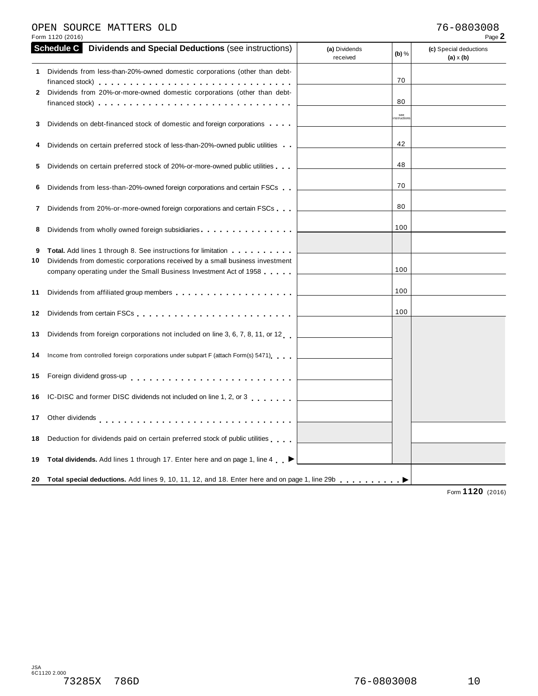#### OPEN SOURCE MATTERS OLD<br>Form 1120 (2016) Page **2** OPEN SOURCE MATTERS OLD

|              | <b>Schedule C</b><br><b>Dividends and Special Deductions (see instructions)</b>                                  | (a) Dividends<br>received | (b) $%$           | (c) Special deductions<br>$(a) \times (b)$ |
|--------------|------------------------------------------------------------------------------------------------------------------|---------------------------|-------------------|--------------------------------------------|
|              | Dividends from less-than-20%-owned domestic corporations (other than debt-                                       |                           | 70                |                                            |
| $\mathbf{2}$ | Dividends from 20%-or-more-owned domestic corporations (other than debt-                                         |                           |                   |                                            |
|              | financed stock) enterpreteration in the enterpreteration of the enterpreteration of the enterpreteration of the  |                           | 80                |                                            |
| 3            | Dividends on debt-financed stock of domestic and foreign corporations                                            |                           | see<br>nstruction |                                            |
|              |                                                                                                                  |                           |                   |                                            |
| 4            | Dividends on certain preferred stock of less-than-20%-owned public utilities                                     |                           | 42                |                                            |
| 5            | Dividends on certain preferred stock of 20%-or-more-owned public utilities                                       |                           | 48                |                                            |
| 6            | Dividends from less-than-20%-owned foreign corporations and certain FSCs                                         |                           | 70                |                                            |
| 7            | Dividends from 20%-or-more-owned foreign corporations and certain FSCs                                           |                           | 80                |                                            |
| 8            | Dividends from wholly owned foreign subsidiaries                                                                 |                           | 100               |                                            |
|              |                                                                                                                  |                           |                   |                                            |
| 9            |                                                                                                                  |                           |                   |                                            |
| 10           | Dividends from domestic corporations received by a small business investment                                     |                           | 100               |                                            |
|              | company operating under the Small Business Investment Act of 1958                                                |                           |                   |                                            |
| 11           |                                                                                                                  |                           | 100               |                                            |
| 12           |                                                                                                                  |                           | 100               |                                            |
| 13           | Dividends from foreign corporations not included on line 3, 6, 7, 8, 11, or 12                                   |                           |                   |                                            |
|              | 14 Income from controlled foreign corporations under subpart F (attach Form(s) 5471)                             |                           |                   |                                            |
| 15           | Foreign dividend gross-up enterpainment resources and resources and resources resources                          |                           |                   |                                            |
|              | 16 IC-DISC and former DISC dividends not included on line 1, 2, or 3                                             |                           |                   |                                            |
|              |                                                                                                                  |                           |                   |                                            |
| 18           | Deduction for dividends paid on certain preferred stock of public utilities                                      |                           |                   |                                            |
|              | 19 Total dividends. Add lines 1 through 17. Enter here and on page 1, line 4 I                                   |                           |                   |                                            |
|              | 20 Total special deductions. Add lines 9, 10, 11, 12, and 18. Enter here and on page 1, line 29b entitled to the |                           |                   |                                            |
|              |                                                                                                                  |                           |                   |                                            |

Form **1120** (2016)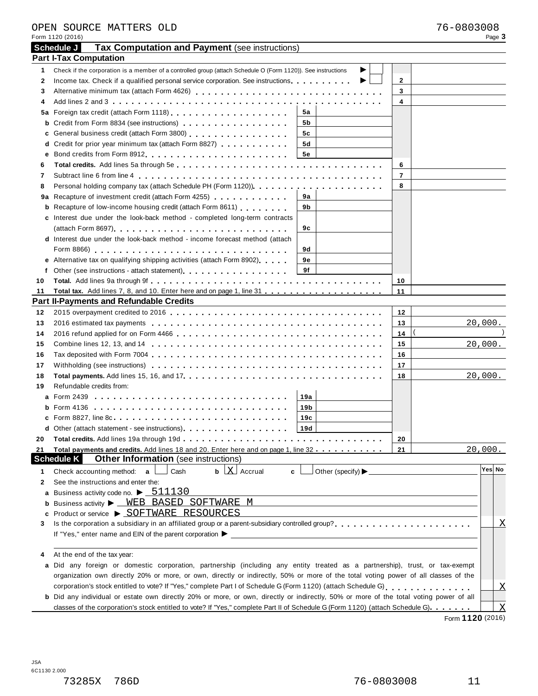|    | Form 1120 (2016)                                                                                                                                                                                                                     |                             |                         |         | Page 3                    |
|----|--------------------------------------------------------------------------------------------------------------------------------------------------------------------------------------------------------------------------------------|-----------------------------|-------------------------|---------|---------------------------|
|    | Schedule J<br>Tax Computation and Payment (see instructions)                                                                                                                                                                         |                             |                         |         |                           |
|    | <b>Part I-Tax Computation</b>                                                                                                                                                                                                        |                             |                         |         |                           |
| 1  | Check if the corporation is a member of a controlled group (attach Schedule O (Form 1120)). See instructions                                                                                                                         | ▶                           |                         |         |                           |
| 2  |                                                                                                                                                                                                                                      | ▶                           | $\mathbf{2}$            |         |                           |
| 3  |                                                                                                                                                                                                                                      |                             | 3                       |         |                           |
| 4  |                                                                                                                                                                                                                                      |                             | 4                       |         |                           |
|    | 5а                                                                                                                                                                                                                                   |                             |                         |         |                           |
| b  | Credit from Form 8834 (see instructions) example and the control of the control of the control of the control of the control of the control of the control of the control of the control of the control of the control of the<br>5b  |                             |                         |         |                           |
| C  | General business credit (attach Form 3800) [19] [19] Contract Denis Report Seneral Denis Report Seneral Denis R<br>5c                                                                                                                |                             |                         |         |                           |
|    | d Credit for prior year minimum tax (attach Form 8827)<br>5d                                                                                                                                                                         |                             |                         |         |                           |
| е  | Bond credits from Form 8912 extension of the state of the state of the state of the state of the state of the state of the state of the state of the state of the state of the state of the state of the state of the state of<br>5e |                             |                         |         |                           |
| 6  |                                                                                                                                                                                                                                      |                             | 6                       |         |                           |
| 7  |                                                                                                                                                                                                                                      |                             | $\overline{\mathbf{r}}$ |         |                           |
| 8  |                                                                                                                                                                                                                                      |                             | 8                       |         |                           |
|    | 9a Recapture of investment credit (attach Form 4255)<br>9а                                                                                                                                                                           |                             |                         |         |                           |
|    | <b>b</b> Recapture of low-income housing credit (attach Form 8611)<br>9b                                                                                                                                                             |                             |                         |         |                           |
|    | c Interest due under the look-back method - completed long-term contracts                                                                                                                                                            |                             |                         |         |                           |
|    | 9с                                                                                                                                                                                                                                   |                             |                         |         |                           |
|    | <b>d</b> Interest due under the look-back method - income forecast method (attach                                                                                                                                                    |                             |                         |         |                           |
|    | 9d                                                                                                                                                                                                                                   |                             |                         |         |                           |
|    | e Alternative tax on qualifying shipping activities (attach Form 8902)<br>9е                                                                                                                                                         |                             |                         |         |                           |
| f  | 9f                                                                                                                                                                                                                                   |                             |                         |         |                           |
| 10 |                                                                                                                                                                                                                                      |                             | 10                      |         |                           |
| 11 |                                                                                                                                                                                                                                      |                             | 11                      |         |                           |
|    | <b>Part II-Payments and Refundable Credits</b>                                                                                                                                                                                       |                             |                         |         |                           |
| 12 | <u> 1989 - Johann Barn, mars ann an t-Amhain Aonaichte ann an t-Aonaichte ann an t-Aonaichte ann an t-Aonaichte a</u>                                                                                                                |                             | 12                      |         |                           |
| 13 |                                                                                                                                                                                                                                      |                             | 13                      | 20,000. |                           |
| 14 |                                                                                                                                                                                                                                      |                             | 14                      |         |                           |
| 15 |                                                                                                                                                                                                                                      |                             | 15                      | 20,000. |                           |
| 16 |                                                                                                                                                                                                                                      |                             | 16                      |         |                           |
| 17 |                                                                                                                                                                                                                                      |                             | 17                      |         |                           |
| 18 |                                                                                                                                                                                                                                      |                             | 18                      | 20,000. |                           |
| 19 | Refundable credits from:                                                                                                                                                                                                             |                             |                         |         |                           |
|    | 19a                                                                                                                                                                                                                                  |                             |                         |         |                           |
|    | 19 <sub>b</sub>                                                                                                                                                                                                                      |                             |                         |         |                           |
|    | c Form 8827, line 8c<br>19c                                                                                                                                                                                                          |                             |                         |         |                           |
|    | d Other (attach statement - see instructions).<br>19d                                                                                                                                                                                |                             |                         |         |                           |
| 20 |                                                                                                                                                                                                                                      |                             | 20                      |         |                           |
| 21 | Total payments and credits. Add lines 18 and 20. Enter here and on page 1, line 32                                                                                                                                                   |                             | 21                      | 20,000. |                           |
|    | <b>Schedule K</b><br><b>Other Information</b> (see instructions)                                                                                                                                                                     |                             |                         |         |                           |
|    |                                                                                                                                                                                                                                      |                             |                         |         | Yes No                    |
| 1  | $\mathbf b$ $\mathbf X$ Accrual<br>Check accounting method: $a$<br>Cash<br>c                                                                                                                                                         | Other (specify) Designation |                         |         |                           |
| 2  | See the instructions and enter the:                                                                                                                                                                                                  |                             |                         |         |                           |
| а  | Business activity code no. $\blacktriangleright$ $\underline{\hspace{0.2cm}511130}$                                                                                                                                                  |                             |                         |         |                           |
| b  | Business activity > WEB BASED SOFTWARE M                                                                                                                                                                                             |                             |                         |         |                           |
| c  | Product or service ▶ SOFTWARE RESOURCES                                                                                                                                                                                              |                             |                         |         |                           |
| 3  |                                                                                                                                                                                                                                      |                             |                         |         | $\overline{\text{X}}$     |
|    |                                                                                                                                                                                                                                      |                             |                         |         |                           |
|    |                                                                                                                                                                                                                                      |                             |                         |         |                           |
| 4  | At the end of the tax year:                                                                                                                                                                                                          |                             |                         |         |                           |
| a  | Did any foreign or domestic corporation, partnership (including any entity treated as a partnership), trust, or tax-exempt                                                                                                           |                             |                         |         |                           |
|    | organization own directly 20% or more, or own, directly or indirectly, 50% or more of the total voting power of all classes of the                                                                                                   |                             |                         |         |                           |
|    |                                                                                                                                                                                                                                      |                             |                         |         | $\overline{X}$            |
|    | b Did any individual or estate own directly 20% or more, or own, directly or indirectly, 50% or more of the total voting power of all                                                                                                |                             |                         |         |                           |
|    | classes of the corporation's stock entitled to vote? If "Yes," complete Part II of Schedule G (Form 1120) (attach Schedule G).                                                                                                       |                             |                         |         | $\boldsymbol{\mathrm{X}}$ |

Form **1120** (2016)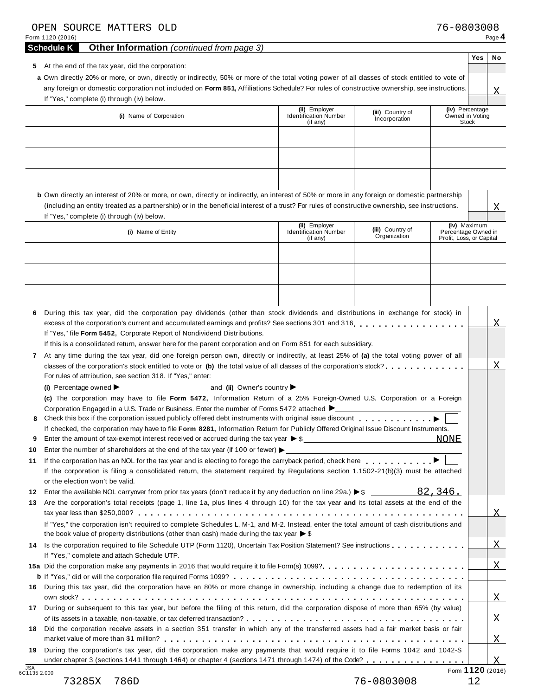| 5 At the end of the tax year, did the corporation:<br>a Own directly 20% or more, or own, directly or indirectly, 50% or more of the total voting power of all classes of stock entitled to vote of<br>any foreign or domestic corporation not included on Form 851, Affiliations Schedule? For rules of constructive ownership, see instructions.<br>If "Yes," complete (i) through (iv) below.<br>(iv) Percentage<br>(ii) Employer<br>(iii) Country of<br>Owned in Voting<br>(i) Name of Corporation<br><b>Identification Number</b><br>Incorporation<br>(if any)<br>Stock<br>b Own directly an interest of 20% or more, or own, directly or indirectly, an interest of 50% or more in any foreign or domestic partnership<br>(including an entity treated as a partnership) or in the beneficial interest of a trust? For rules of constructive ownership, see instructions.<br>If "Yes," complete (i) through (iv) below.<br>(iv) Maximum<br>(ii) Employer<br>(iii) Country of<br><b>Identification Number</b><br>Percentage Owned in<br>(i) Name of Entity<br>Organization<br>Profit, Loss, or Capital<br>(if any)<br>During this tax year, did the corporation pay dividends (other than stock dividends and distributions in exchange for stock) in<br>6<br>excess of the corporation's current and accumulated earnings and profits? See sections 301 and 316<br>If "Yes," file Form 5452, Corporate Report of Nondividend Distributions.<br>If this is a consolidated return, answer here for the parent corporation and on Form 851 for each subsidiary.<br>At any time during the tax year, did one foreign person own, directly or indirectly, at least 25% of (a) the total voting power of all<br>7<br>classes of the corporation's stock entitled to vote or (b) the total value of all classes of the corporation's stock?<br>For rules of attribution, see section 318. If "Yes," enter:<br>(c) The corporation may have to file Form 5472, Information Return of a 25% Foreign-Owned U.S. Corporation or a Foreign<br>Corporation Engaged in a U.S. Trade or Business. Enter the number of Forms 5472 attached $\blacktriangleright$<br>If checked, the corporation may have to file Form 8281, Information Return for Publicly Offered Original Issue Discount Instruments.<br>Enter the amount of tax-exempt interest received or accrued during the tax year $\triangleright$ \$<br>Enter the number of shareholders at the end of the tax year (if 100 or fewer) $\blacktriangleright$<br>If the corporation has an NOL for the tax year and is electing to forego the carryback period, check here<br>If the corporation is filing a consolidated return, the statement required by Regulations section 1.1502-21(b)(3) must be attached<br>or the election won't be valid.<br>Enter the available NOL carryover from prior tax years (don't reduce it by any deduction on line 29a.) $\blacktriangleright$ \$ 82,346.<br>Are the corporation's total receipts (page 1, line 1a, plus lines 4 through 10) for the tax year and its total assets at the end of the<br>If "Yes," the corporation isn't required to complete Schedules L, M-1, and M-2. Instead, enter the total amount of cash distributions and<br>the book value of property distributions (other than cash) made during the tax year $\triangleright$ \$<br>14<br>If "Yes," complete and attach Schedule UTP.<br>During this tax year, did the corporation have an 80% or more change in ownership, including a change due to redemption of its<br>16<br>During or subsequent to this tax year, but before the filing of this return, did the corporation dispose of more than 65% (by value)<br>17<br>Did the corporation receive assets in a section 351 transfer in which any of the transferred assets had a fair market basis or fair<br>18<br>During the corporation's tax year, did the corporation make any payments that would require it to file Forms 1042 and 1042-S<br>19<br>under chapter 3 (sections 1441 through 1464) or chapter 4 (sections 1471 through 1474) of the Code?<br><b>JSA</b><br>Form 1120 (2016)<br>6C1135 2.000 |                           | <b>Schedule K</b><br><b>Other Information</b> (continued from page 3) |  | <b>Yes</b> | No                                |
|-----------------------------------------------------------------------------------------------------------------------------------------------------------------------------------------------------------------------------------------------------------------------------------------------------------------------------------------------------------------------------------------------------------------------------------------------------------------------------------------------------------------------------------------------------------------------------------------------------------------------------------------------------------------------------------------------------------------------------------------------------------------------------------------------------------------------------------------------------------------------------------------------------------------------------------------------------------------------------------------------------------------------------------------------------------------------------------------------------------------------------------------------------------------------------------------------------------------------------------------------------------------------------------------------------------------------------------------------------------------------------------------------------------------------------------------------------------------------------------------------------------------------------------------------------------------------------------------------------------------------------------------------------------------------------------------------------------------------------------------------------------------------------------------------------------------------------------------------------------------------------------------------------------------------------------------------------------------------------------------------------------------------------------------------------------------------------------------------------------------------------------------------------------------------------------------------------------------------------------------------------------------------------------------------------------------------------------------------------------------------------------------------------------------------------------------------------------------------------------------------------------------------------------------------------------------------------------------------------------------------------------------------------------------------------------------------------------------------------------------------------------------------------------------------------------------------------------------------------------------------------------------------------------------------------------------------------------------------------------------------------------------------------------------------------------------------------------------------------------------------------------------------------------------------------------------------------------------------------------------------------------------------------------------------------------------------------------------------------------------------------------------------------------------------------------------------------------------------------------------------------------------------------------------------------------------------------------------------------------------------------------------------------------------------------------------------------------------------------------------------------------------------------------------------------------------------------------------------------------------------------------------------------------------------------------------------------------------------------------------------------------------------------------------------------------------------------------------------------------------------------------------|---------------------------|-----------------------------------------------------------------------|--|------------|-----------------------------------|
|                                                                                                                                                                                                                                                                                                                                                                                                                                                                                                                                                                                                                                                                                                                                                                                                                                                                                                                                                                                                                                                                                                                                                                                                                                                                                                                                                                                                                                                                                                                                                                                                                                                                                                                                                                                                                                                                                                                                                                                                                                                                                                                                                                                                                                                                                                                                                                                                                                                                                                                                                                                                                                                                                                                                                                                                                                                                                                                                                                                                                                                                                                                                                                                                                                                                                                                                                                                                                                                                                                                                                                                                                                                                                                                                                                                                                                                                                                                                                                                                                                                                                                                                         |                           |                                                                       |  |            |                                   |
|                                                                                                                                                                                                                                                                                                                                                                                                                                                                                                                                                                                                                                                                                                                                                                                                                                                                                                                                                                                                                                                                                                                                                                                                                                                                                                                                                                                                                                                                                                                                                                                                                                                                                                                                                                                                                                                                                                                                                                                                                                                                                                                                                                                                                                                                                                                                                                                                                                                                                                                                                                                                                                                                                                                                                                                                                                                                                                                                                                                                                                                                                                                                                                                                                                                                                                                                                                                                                                                                                                                                                                                                                                                                                                                                                                                                                                                                                                                                                                                                                                                                                                                                         |                           |                                                                       |  |            | X.                                |
|                                                                                                                                                                                                                                                                                                                                                                                                                                                                                                                                                                                                                                                                                                                                                                                                                                                                                                                                                                                                                                                                                                                                                                                                                                                                                                                                                                                                                                                                                                                                                                                                                                                                                                                                                                                                                                                                                                                                                                                                                                                                                                                                                                                                                                                                                                                                                                                                                                                                                                                                                                                                                                                                                                                                                                                                                                                                                                                                                                                                                                                                                                                                                                                                                                                                                                                                                                                                                                                                                                                                                                                                                                                                                                                                                                                                                                                                                                                                                                                                                                                                                                                                         |                           |                                                                       |  |            |                                   |
|                                                                                                                                                                                                                                                                                                                                                                                                                                                                                                                                                                                                                                                                                                                                                                                                                                                                                                                                                                                                                                                                                                                                                                                                                                                                                                                                                                                                                                                                                                                                                                                                                                                                                                                                                                                                                                                                                                                                                                                                                                                                                                                                                                                                                                                                                                                                                                                                                                                                                                                                                                                                                                                                                                                                                                                                                                                                                                                                                                                                                                                                                                                                                                                                                                                                                                                                                                                                                                                                                                                                                                                                                                                                                                                                                                                                                                                                                                                                                                                                                                                                                                                                         |                           |                                                                       |  |            |                                   |
|                                                                                                                                                                                                                                                                                                                                                                                                                                                                                                                                                                                                                                                                                                                                                                                                                                                                                                                                                                                                                                                                                                                                                                                                                                                                                                                                                                                                                                                                                                                                                                                                                                                                                                                                                                                                                                                                                                                                                                                                                                                                                                                                                                                                                                                                                                                                                                                                                                                                                                                                                                                                                                                                                                                                                                                                                                                                                                                                                                                                                                                                                                                                                                                                                                                                                                                                                                                                                                                                                                                                                                                                                                                                                                                                                                                                                                                                                                                                                                                                                                                                                                                                         |                           |                                                                       |  |            |                                   |
|                                                                                                                                                                                                                                                                                                                                                                                                                                                                                                                                                                                                                                                                                                                                                                                                                                                                                                                                                                                                                                                                                                                                                                                                                                                                                                                                                                                                                                                                                                                                                                                                                                                                                                                                                                                                                                                                                                                                                                                                                                                                                                                                                                                                                                                                                                                                                                                                                                                                                                                                                                                                                                                                                                                                                                                                                                                                                                                                                                                                                                                                                                                                                                                                                                                                                                                                                                                                                                                                                                                                                                                                                                                                                                                                                                                                                                                                                                                                                                                                                                                                                                                                         |                           |                                                                       |  |            | <u>X</u>                          |
|                                                                                                                                                                                                                                                                                                                                                                                                                                                                                                                                                                                                                                                                                                                                                                                                                                                                                                                                                                                                                                                                                                                                                                                                                                                                                                                                                                                                                                                                                                                                                                                                                                                                                                                                                                                                                                                                                                                                                                                                                                                                                                                                                                                                                                                                                                                                                                                                                                                                                                                                                                                                                                                                                                                                                                                                                                                                                                                                                                                                                                                                                                                                                                                                                                                                                                                                                                                                                                                                                                                                                                                                                                                                                                                                                                                                                                                                                                                                                                                                                                                                                                                                         |                           |                                                                       |  |            |                                   |
|                                                                                                                                                                                                                                                                                                                                                                                                                                                                                                                                                                                                                                                                                                                                                                                                                                                                                                                                                                                                                                                                                                                                                                                                                                                                                                                                                                                                                                                                                                                                                                                                                                                                                                                                                                                                                                                                                                                                                                                                                                                                                                                                                                                                                                                                                                                                                                                                                                                                                                                                                                                                                                                                                                                                                                                                                                                                                                                                                                                                                                                                                                                                                                                                                                                                                                                                                                                                                                                                                                                                                                                                                                                                                                                                                                                                                                                                                                                                                                                                                                                                                                                                         |                           |                                                                       |  |            |                                   |
|                                                                                                                                                                                                                                                                                                                                                                                                                                                                                                                                                                                                                                                                                                                                                                                                                                                                                                                                                                                                                                                                                                                                                                                                                                                                                                                                                                                                                                                                                                                                                                                                                                                                                                                                                                                                                                                                                                                                                                                                                                                                                                                                                                                                                                                                                                                                                                                                                                                                                                                                                                                                                                                                                                                                                                                                                                                                                                                                                                                                                                                                                                                                                                                                                                                                                                                                                                                                                                                                                                                                                                                                                                                                                                                                                                                                                                                                                                                                                                                                                                                                                                                                         |                           |                                                                       |  |            |                                   |
|                                                                                                                                                                                                                                                                                                                                                                                                                                                                                                                                                                                                                                                                                                                                                                                                                                                                                                                                                                                                                                                                                                                                                                                                                                                                                                                                                                                                                                                                                                                                                                                                                                                                                                                                                                                                                                                                                                                                                                                                                                                                                                                                                                                                                                                                                                                                                                                                                                                                                                                                                                                                                                                                                                                                                                                                                                                                                                                                                                                                                                                                                                                                                                                                                                                                                                                                                                                                                                                                                                                                                                                                                                                                                                                                                                                                                                                                                                                                                                                                                                                                                                                                         |                           |                                                                       |  |            |                                   |
|                                                                                                                                                                                                                                                                                                                                                                                                                                                                                                                                                                                                                                                                                                                                                                                                                                                                                                                                                                                                                                                                                                                                                                                                                                                                                                                                                                                                                                                                                                                                                                                                                                                                                                                                                                                                                                                                                                                                                                                                                                                                                                                                                                                                                                                                                                                                                                                                                                                                                                                                                                                                                                                                                                                                                                                                                                                                                                                                                                                                                                                                                                                                                                                                                                                                                                                                                                                                                                                                                                                                                                                                                                                                                                                                                                                                                                                                                                                                                                                                                                                                                                                                         |                           |                                                                       |  |            |                                   |
|                                                                                                                                                                                                                                                                                                                                                                                                                                                                                                                                                                                                                                                                                                                                                                                                                                                                                                                                                                                                                                                                                                                                                                                                                                                                                                                                                                                                                                                                                                                                                                                                                                                                                                                                                                                                                                                                                                                                                                                                                                                                                                                                                                                                                                                                                                                                                                                                                                                                                                                                                                                                                                                                                                                                                                                                                                                                                                                                                                                                                                                                                                                                                                                                                                                                                                                                                                                                                                                                                                                                                                                                                                                                                                                                                                                                                                                                                                                                                                                                                                                                                                                                         |                           |                                                                       |  |            | X                                 |
|                                                                                                                                                                                                                                                                                                                                                                                                                                                                                                                                                                                                                                                                                                                                                                                                                                                                                                                                                                                                                                                                                                                                                                                                                                                                                                                                                                                                                                                                                                                                                                                                                                                                                                                                                                                                                                                                                                                                                                                                                                                                                                                                                                                                                                                                                                                                                                                                                                                                                                                                                                                                                                                                                                                                                                                                                                                                                                                                                                                                                                                                                                                                                                                                                                                                                                                                                                                                                                                                                                                                                                                                                                                                                                                                                                                                                                                                                                                                                                                                                                                                                                                                         |                           |                                                                       |  |            |                                   |
|                                                                                                                                                                                                                                                                                                                                                                                                                                                                                                                                                                                                                                                                                                                                                                                                                                                                                                                                                                                                                                                                                                                                                                                                                                                                                                                                                                                                                                                                                                                                                                                                                                                                                                                                                                                                                                                                                                                                                                                                                                                                                                                                                                                                                                                                                                                                                                                                                                                                                                                                                                                                                                                                                                                                                                                                                                                                                                                                                                                                                                                                                                                                                                                                                                                                                                                                                                                                                                                                                                                                                                                                                                                                                                                                                                                                                                                                                                                                                                                                                                                                                                                                         |                           |                                                                       |  |            |                                   |
|                                                                                                                                                                                                                                                                                                                                                                                                                                                                                                                                                                                                                                                                                                                                                                                                                                                                                                                                                                                                                                                                                                                                                                                                                                                                                                                                                                                                                                                                                                                                                                                                                                                                                                                                                                                                                                                                                                                                                                                                                                                                                                                                                                                                                                                                                                                                                                                                                                                                                                                                                                                                                                                                                                                                                                                                                                                                                                                                                                                                                                                                                                                                                                                                                                                                                                                                                                                                                                                                                                                                                                                                                                                                                                                                                                                                                                                                                                                                                                                                                                                                                                                                         |                           |                                                                       |  |            | X                                 |
|                                                                                                                                                                                                                                                                                                                                                                                                                                                                                                                                                                                                                                                                                                                                                                                                                                                                                                                                                                                                                                                                                                                                                                                                                                                                                                                                                                                                                                                                                                                                                                                                                                                                                                                                                                                                                                                                                                                                                                                                                                                                                                                                                                                                                                                                                                                                                                                                                                                                                                                                                                                                                                                                                                                                                                                                                                                                                                                                                                                                                                                                                                                                                                                                                                                                                                                                                                                                                                                                                                                                                                                                                                                                                                                                                                                                                                                                                                                                                                                                                                                                                                                                         |                           |                                                                       |  |            |                                   |
|                                                                                                                                                                                                                                                                                                                                                                                                                                                                                                                                                                                                                                                                                                                                                                                                                                                                                                                                                                                                                                                                                                                                                                                                                                                                                                                                                                                                                                                                                                                                                                                                                                                                                                                                                                                                                                                                                                                                                                                                                                                                                                                                                                                                                                                                                                                                                                                                                                                                                                                                                                                                                                                                                                                                                                                                                                                                                                                                                                                                                                                                                                                                                                                                                                                                                                                                                                                                                                                                                                                                                                                                                                                                                                                                                                                                                                                                                                                                                                                                                                                                                                                                         |                           |                                                                       |  |            |                                   |
|                                                                                                                                                                                                                                                                                                                                                                                                                                                                                                                                                                                                                                                                                                                                                                                                                                                                                                                                                                                                                                                                                                                                                                                                                                                                                                                                                                                                                                                                                                                                                                                                                                                                                                                                                                                                                                                                                                                                                                                                                                                                                                                                                                                                                                                                                                                                                                                                                                                                                                                                                                                                                                                                                                                                                                                                                                                                                                                                                                                                                                                                                                                                                                                                                                                                                                                                                                                                                                                                                                                                                                                                                                                                                                                                                                                                                                                                                                                                                                                                                                                                                                                                         |                           |                                                                       |  |            |                                   |
|                                                                                                                                                                                                                                                                                                                                                                                                                                                                                                                                                                                                                                                                                                                                                                                                                                                                                                                                                                                                                                                                                                                                                                                                                                                                                                                                                                                                                                                                                                                                                                                                                                                                                                                                                                                                                                                                                                                                                                                                                                                                                                                                                                                                                                                                                                                                                                                                                                                                                                                                                                                                                                                                                                                                                                                                                                                                                                                                                                                                                                                                                                                                                                                                                                                                                                                                                                                                                                                                                                                                                                                                                                                                                                                                                                                                                                                                                                                                                                                                                                                                                                                                         |                           |                                                                       |  |            |                                   |
|                                                                                                                                                                                                                                                                                                                                                                                                                                                                                                                                                                                                                                                                                                                                                                                                                                                                                                                                                                                                                                                                                                                                                                                                                                                                                                                                                                                                                                                                                                                                                                                                                                                                                                                                                                                                                                                                                                                                                                                                                                                                                                                                                                                                                                                                                                                                                                                                                                                                                                                                                                                                                                                                                                                                                                                                                                                                                                                                                                                                                                                                                                                                                                                                                                                                                                                                                                                                                                                                                                                                                                                                                                                                                                                                                                                                                                                                                                                                                                                                                                                                                                                                         |                           |                                                                       |  |            |                                   |
|                                                                                                                                                                                                                                                                                                                                                                                                                                                                                                                                                                                                                                                                                                                                                                                                                                                                                                                                                                                                                                                                                                                                                                                                                                                                                                                                                                                                                                                                                                                                                                                                                                                                                                                                                                                                                                                                                                                                                                                                                                                                                                                                                                                                                                                                                                                                                                                                                                                                                                                                                                                                                                                                                                                                                                                                                                                                                                                                                                                                                                                                                                                                                                                                                                                                                                                                                                                                                                                                                                                                                                                                                                                                                                                                                                                                                                                                                                                                                                                                                                                                                                                                         | 8                         |                                                                       |  |            |                                   |
|                                                                                                                                                                                                                                                                                                                                                                                                                                                                                                                                                                                                                                                                                                                                                                                                                                                                                                                                                                                                                                                                                                                                                                                                                                                                                                                                                                                                                                                                                                                                                                                                                                                                                                                                                                                                                                                                                                                                                                                                                                                                                                                                                                                                                                                                                                                                                                                                                                                                                                                                                                                                                                                                                                                                                                                                                                                                                                                                                                                                                                                                                                                                                                                                                                                                                                                                                                                                                                                                                                                                                                                                                                                                                                                                                                                                                                                                                                                                                                                                                                                                                                                                         |                           |                                                                       |  |            |                                   |
|                                                                                                                                                                                                                                                                                                                                                                                                                                                                                                                                                                                                                                                                                                                                                                                                                                                                                                                                                                                                                                                                                                                                                                                                                                                                                                                                                                                                                                                                                                                                                                                                                                                                                                                                                                                                                                                                                                                                                                                                                                                                                                                                                                                                                                                                                                                                                                                                                                                                                                                                                                                                                                                                                                                                                                                                                                                                                                                                                                                                                                                                                                                                                                                                                                                                                                                                                                                                                                                                                                                                                                                                                                                                                                                                                                                                                                                                                                                                                                                                                                                                                                                                         |                           |                                                                       |  |            |                                   |
|                                                                                                                                                                                                                                                                                                                                                                                                                                                                                                                                                                                                                                                                                                                                                                                                                                                                                                                                                                                                                                                                                                                                                                                                                                                                                                                                                                                                                                                                                                                                                                                                                                                                                                                                                                                                                                                                                                                                                                                                                                                                                                                                                                                                                                                                                                                                                                                                                                                                                                                                                                                                                                                                                                                                                                                                                                                                                                                                                                                                                                                                                                                                                                                                                                                                                                                                                                                                                                                                                                                                                                                                                                                                                                                                                                                                                                                                                                                                                                                                                                                                                                                                         |                           |                                                                       |  |            |                                   |
|                                                                                                                                                                                                                                                                                                                                                                                                                                                                                                                                                                                                                                                                                                                                                                                                                                                                                                                                                                                                                                                                                                                                                                                                                                                                                                                                                                                                                                                                                                                                                                                                                                                                                                                                                                                                                                                                                                                                                                                                                                                                                                                                                                                                                                                                                                                                                                                                                                                                                                                                                                                                                                                                                                                                                                                                                                                                                                                                                                                                                                                                                                                                                                                                                                                                                                                                                                                                                                                                                                                                                                                                                                                                                                                                                                                                                                                                                                                                                                                                                                                                                                                                         |                           |                                                                       |  |            |                                   |
|                                                                                                                                                                                                                                                                                                                                                                                                                                                                                                                                                                                                                                                                                                                                                                                                                                                                                                                                                                                                                                                                                                                                                                                                                                                                                                                                                                                                                                                                                                                                                                                                                                                                                                                                                                                                                                                                                                                                                                                                                                                                                                                                                                                                                                                                                                                                                                                                                                                                                                                                                                                                                                                                                                                                                                                                                                                                                                                                                                                                                                                                                                                                                                                                                                                                                                                                                                                                                                                                                                                                                                                                                                                                                                                                                                                                                                                                                                                                                                                                                                                                                                                                         |                           |                                                                       |  |            |                                   |
|                                                                                                                                                                                                                                                                                                                                                                                                                                                                                                                                                                                                                                                                                                                                                                                                                                                                                                                                                                                                                                                                                                                                                                                                                                                                                                                                                                                                                                                                                                                                                                                                                                                                                                                                                                                                                                                                                                                                                                                                                                                                                                                                                                                                                                                                                                                                                                                                                                                                                                                                                                                                                                                                                                                                                                                                                                                                                                                                                                                                                                                                                                                                                                                                                                                                                                                                                                                                                                                                                                                                                                                                                                                                                                                                                                                                                                                                                                                                                                                                                                                                                                                                         | 9<br>10<br>11<br>12<br>13 |                                                                       |  |            |                                   |
|                                                                                                                                                                                                                                                                                                                                                                                                                                                                                                                                                                                                                                                                                                                                                                                                                                                                                                                                                                                                                                                                                                                                                                                                                                                                                                                                                                                                                                                                                                                                                                                                                                                                                                                                                                                                                                                                                                                                                                                                                                                                                                                                                                                                                                                                                                                                                                                                                                                                                                                                                                                                                                                                                                                                                                                                                                                                                                                                                                                                                                                                                                                                                                                                                                                                                                                                                                                                                                                                                                                                                                                                                                                                                                                                                                                                                                                                                                                                                                                                                                                                                                                                         |                           |                                                                       |  |            |                                   |
|                                                                                                                                                                                                                                                                                                                                                                                                                                                                                                                                                                                                                                                                                                                                                                                                                                                                                                                                                                                                                                                                                                                                                                                                                                                                                                                                                                                                                                                                                                                                                                                                                                                                                                                                                                                                                                                                                                                                                                                                                                                                                                                                                                                                                                                                                                                                                                                                                                                                                                                                                                                                                                                                                                                                                                                                                                                                                                                                                                                                                                                                                                                                                                                                                                                                                                                                                                                                                                                                                                                                                                                                                                                                                                                                                                                                                                                                                                                                                                                                                                                                                                                                         |                           |                                                                       |  |            |                                   |
|                                                                                                                                                                                                                                                                                                                                                                                                                                                                                                                                                                                                                                                                                                                                                                                                                                                                                                                                                                                                                                                                                                                                                                                                                                                                                                                                                                                                                                                                                                                                                                                                                                                                                                                                                                                                                                                                                                                                                                                                                                                                                                                                                                                                                                                                                                                                                                                                                                                                                                                                                                                                                                                                                                                                                                                                                                                                                                                                                                                                                                                                                                                                                                                                                                                                                                                                                                                                                                                                                                                                                                                                                                                                                                                                                                                                                                                                                                                                                                                                                                                                                                                                         |                           |                                                                       |  |            |                                   |
|                                                                                                                                                                                                                                                                                                                                                                                                                                                                                                                                                                                                                                                                                                                                                                                                                                                                                                                                                                                                                                                                                                                                                                                                                                                                                                                                                                                                                                                                                                                                                                                                                                                                                                                                                                                                                                                                                                                                                                                                                                                                                                                                                                                                                                                                                                                                                                                                                                                                                                                                                                                                                                                                                                                                                                                                                                                                                                                                                                                                                                                                                                                                                                                                                                                                                                                                                                                                                                                                                                                                                                                                                                                                                                                                                                                                                                                                                                                                                                                                                                                                                                                                         |                           |                                                                       |  |            |                                   |
|                                                                                                                                                                                                                                                                                                                                                                                                                                                                                                                                                                                                                                                                                                                                                                                                                                                                                                                                                                                                                                                                                                                                                                                                                                                                                                                                                                                                                                                                                                                                                                                                                                                                                                                                                                                                                                                                                                                                                                                                                                                                                                                                                                                                                                                                                                                                                                                                                                                                                                                                                                                                                                                                                                                                                                                                                                                                                                                                                                                                                                                                                                                                                                                                                                                                                                                                                                                                                                                                                                                                                                                                                                                                                                                                                                                                                                                                                                                                                                                                                                                                                                                                         |                           |                                                                       |  |            |                                   |
|                                                                                                                                                                                                                                                                                                                                                                                                                                                                                                                                                                                                                                                                                                                                                                                                                                                                                                                                                                                                                                                                                                                                                                                                                                                                                                                                                                                                                                                                                                                                                                                                                                                                                                                                                                                                                                                                                                                                                                                                                                                                                                                                                                                                                                                                                                                                                                                                                                                                                                                                                                                                                                                                                                                                                                                                                                                                                                                                                                                                                                                                                                                                                                                                                                                                                                                                                                                                                                                                                                                                                                                                                                                                                                                                                                                                                                                                                                                                                                                                                                                                                                                                         |                           |                                                                       |  |            |                                   |
|                                                                                                                                                                                                                                                                                                                                                                                                                                                                                                                                                                                                                                                                                                                                                                                                                                                                                                                                                                                                                                                                                                                                                                                                                                                                                                                                                                                                                                                                                                                                                                                                                                                                                                                                                                                                                                                                                                                                                                                                                                                                                                                                                                                                                                                                                                                                                                                                                                                                                                                                                                                                                                                                                                                                                                                                                                                                                                                                                                                                                                                                                                                                                                                                                                                                                                                                                                                                                                                                                                                                                                                                                                                                                                                                                                                                                                                                                                                                                                                                                                                                                                                                         |                           |                                                                       |  |            |                                   |
|                                                                                                                                                                                                                                                                                                                                                                                                                                                                                                                                                                                                                                                                                                                                                                                                                                                                                                                                                                                                                                                                                                                                                                                                                                                                                                                                                                                                                                                                                                                                                                                                                                                                                                                                                                                                                                                                                                                                                                                                                                                                                                                                                                                                                                                                                                                                                                                                                                                                                                                                                                                                                                                                                                                                                                                                                                                                                                                                                                                                                                                                                                                                                                                                                                                                                                                                                                                                                                                                                                                                                                                                                                                                                                                                                                                                                                                                                                                                                                                                                                                                                                                                         |                           |                                                                       |  |            |                                   |
|                                                                                                                                                                                                                                                                                                                                                                                                                                                                                                                                                                                                                                                                                                                                                                                                                                                                                                                                                                                                                                                                                                                                                                                                                                                                                                                                                                                                                                                                                                                                                                                                                                                                                                                                                                                                                                                                                                                                                                                                                                                                                                                                                                                                                                                                                                                                                                                                                                                                                                                                                                                                                                                                                                                                                                                                                                                                                                                                                                                                                                                                                                                                                                                                                                                                                                                                                                                                                                                                                                                                                                                                                                                                                                                                                                                                                                                                                                                                                                                                                                                                                                                                         |                           |                                                                       |  |            |                                   |
|                                                                                                                                                                                                                                                                                                                                                                                                                                                                                                                                                                                                                                                                                                                                                                                                                                                                                                                                                                                                                                                                                                                                                                                                                                                                                                                                                                                                                                                                                                                                                                                                                                                                                                                                                                                                                                                                                                                                                                                                                                                                                                                                                                                                                                                                                                                                                                                                                                                                                                                                                                                                                                                                                                                                                                                                                                                                                                                                                                                                                                                                                                                                                                                                                                                                                                                                                                                                                                                                                                                                                                                                                                                                                                                                                                                                                                                                                                                                                                                                                                                                                                                                         |                           |                                                                       |  |            | Χ<br>X<br>X<br>X<br><b>X</b><br>Χ |
|                                                                                                                                                                                                                                                                                                                                                                                                                                                                                                                                                                                                                                                                                                                                                                                                                                                                                                                                                                                                                                                                                                                                                                                                                                                                                                                                                                                                                                                                                                                                                                                                                                                                                                                                                                                                                                                                                                                                                                                                                                                                                                                                                                                                                                                                                                                                                                                                                                                                                                                                                                                                                                                                                                                                                                                                                                                                                                                                                                                                                                                                                                                                                                                                                                                                                                                                                                                                                                                                                                                                                                                                                                                                                                                                                                                                                                                                                                                                                                                                                                                                                                                                         |                           |                                                                       |  |            | $\mathbf{X}$                      |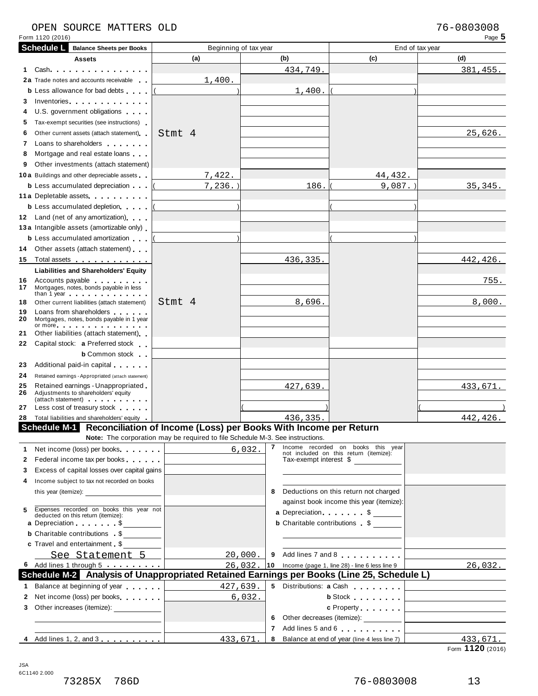## OPEN SOURCE MATTERS OLD<br>Form 1120 (2016) Page 5

|              | Form 1120 (2016)                                                                                                                                                                                                                                                            |                                                                                      |                        |                                                                              | Page 5                                                          |
|--------------|-----------------------------------------------------------------------------------------------------------------------------------------------------------------------------------------------------------------------------------------------------------------------------|--------------------------------------------------------------------------------------|------------------------|------------------------------------------------------------------------------|-----------------------------------------------------------------|
|              | <b>Schedule L</b><br><b>Balance Sheets per Books</b>                                                                                                                                                                                                                        | Beginning of tax year                                                                |                        | End of tax year                                                              |                                                                 |
|              | <b>Assets</b>                                                                                                                                                                                                                                                               | (a)                                                                                  | (b)                    | (c)                                                                          | (d)                                                             |
| 1.           |                                                                                                                                                                                                                                                                             |                                                                                      | 434,749.               |                                                                              | 381, 455.                                                       |
|              | 2a Trade notes and accounts receivable                                                                                                                                                                                                                                      | 1,400.                                                                               |                        |                                                                              |                                                                 |
|              | <b>b</b> Less allowance for bad debts                                                                                                                                                                                                                                       |                                                                                      | 1,400.                 |                                                                              |                                                                 |
| 3.           | Inventories and the contract of the contract of the contract of the contract of the contract of the contract of the contract of the contract of the contract of the contract of the contract of the contract of the contract o                                              |                                                                                      |                        |                                                                              |                                                                 |
| 4            | U.S. government obligations                                                                                                                                                                                                                                                 |                                                                                      |                        |                                                                              |                                                                 |
| 5.           | Tax-exempt securities (see instructions)                                                                                                                                                                                                                                    |                                                                                      |                        |                                                                              |                                                                 |
| 6            | Other current assets (attach statement)                                                                                                                                                                                                                                     | Stmt 4                                                                               |                        |                                                                              | 25,626.                                                         |
| 7            | Loans to shareholders <b>that the state of the state of the state of the state of the state of the state of the state of the state of the state of the state of the state of the state of the state of the state of the state of</b>                                        |                                                                                      |                        |                                                                              |                                                                 |
| 8            | Mortgage and real estate loans                                                                                                                                                                                                                                              |                                                                                      |                        |                                                                              |                                                                 |
| 9            | Other investments (attach statement)                                                                                                                                                                                                                                        |                                                                                      |                        |                                                                              |                                                                 |
|              | <b>10a</b> Buildings and other depreciable assets                                                                                                                                                                                                                           | 7,422.                                                                               |                        | 44, 432.                                                                     |                                                                 |
|              | <b>b</b> Less accumulated depreciation                                                                                                                                                                                                                                      | $7,236.$ )                                                                           | 186.                   | $9,087.$ )                                                                   | 35, 345.                                                        |
|              | 11 a Depletable assets                                                                                                                                                                                                                                                      |                                                                                      |                        |                                                                              |                                                                 |
|              | <b>b</b> Less accumulated depletion                                                                                                                                                                                                                                         |                                                                                      |                        |                                                                              |                                                                 |
|              | 12 Land (net of any amortization)                                                                                                                                                                                                                                           |                                                                                      |                        |                                                                              |                                                                 |
|              | 13a Intangible assets (amortizable only)                                                                                                                                                                                                                                    |                                                                                      |                        |                                                                              |                                                                 |
|              | <b>b</b> Less accumulated amortization                                                                                                                                                                                                                                      |                                                                                      |                        |                                                                              |                                                                 |
| 14           | Other assets (attach statement)                                                                                                                                                                                                                                             |                                                                                      |                        |                                                                              |                                                                 |
| 15           | Total assets <u>.</u>                                                                                                                                                                                                                                                       |                                                                                      | 436,335.               |                                                                              | 442,426.                                                        |
|              | <b>Liabilities and Shareholders' Equity</b>                                                                                                                                                                                                                                 |                                                                                      |                        |                                                                              |                                                                 |
| 16<br>17     | Accounts payable entitled and the set of the set of the set of the set of the set of the set of the set of the<br>Mortgages, notes, bonds payable in less<br>than 1 year and the state of the state of the state of the state of the state of the state of the state of the |                                                                                      |                        |                                                                              | 755.                                                            |
| 18           | Other current liabilities (attach statement)                                                                                                                                                                                                                                | Stmt 4                                                                               | 8,696.                 |                                                                              | 8,000.                                                          |
| 19<br>20     | Loans from shareholders<br>Mortgages, notes, bonds payable in 1 year<br>or more experience and the set of the set of the set of the set of the set of the set of the set of the set of                                                                                      |                                                                                      |                        |                                                                              |                                                                 |
| 21           | Other liabilities (attach statement)                                                                                                                                                                                                                                        |                                                                                      |                        |                                                                              |                                                                 |
| 22           | Capital stock: a Preferred stock                                                                                                                                                                                                                                            |                                                                                      |                        |                                                                              |                                                                 |
|              | <b>b</b> Common stock                                                                                                                                                                                                                                                       |                                                                                      |                        |                                                                              |                                                                 |
| 23           | Additional paid-in capital exercises                                                                                                                                                                                                                                        |                                                                                      |                        |                                                                              |                                                                 |
| 24           | Retained earnings - Appropriated (attach statement)                                                                                                                                                                                                                         |                                                                                      |                        |                                                                              |                                                                 |
| 25           | Retained earnings - Unappropriated                                                                                                                                                                                                                                          |                                                                                      | 427,639.               |                                                                              | 433,671.                                                        |
| 26           | Adjustments to shareholders' equity<br>(attach statement) expansion and the statement                                                                                                                                                                                       |                                                                                      |                        |                                                                              |                                                                 |
| 27           | Less cost of treasury stock <b>State State</b>                                                                                                                                                                                                                              |                                                                                      |                        |                                                                              |                                                                 |
| 28           | Total liabilities and shareholders' equity                                                                                                                                                                                                                                  |                                                                                      | 436,335.               |                                                                              | 442,426.                                                        |
|              | Schedule M-1 Reconciliation of Income (Loss) per Books With Income per Return                                                                                                                                                                                               |                                                                                      |                        |                                                                              |                                                                 |
|              |                                                                                                                                                                                                                                                                             | <b>Note:</b> The corporation may be required to file Schedule M-3. See instructions. |                        |                                                                              |                                                                 |
| 1.           | Net income (loss) per books                                                                                                                                                                                                                                                 |                                                                                      | 7<br>6,032.            | Income recorded on books this year<br>not included on this return (itemize): |                                                                 |
| 2            | Federal income tax per books                                                                                                                                                                                                                                                |                                                                                      | Tax-exempt interest \$ |                                                                              |                                                                 |
| 3.           | Excess of capital losses over capital gains                                                                                                                                                                                                                                 |                                                                                      |                        |                                                                              |                                                                 |
| 4            | Income subject to tax not recorded on books                                                                                                                                                                                                                                 |                                                                                      |                        |                                                                              |                                                                 |
|              |                                                                                                                                                                                                                                                                             |                                                                                      | 8                      | Deductions on this return not charged                                        |                                                                 |
| 5            |                                                                                                                                                                                                                                                                             |                                                                                      |                        | against book income this year (itemize):                                     |                                                                 |
|              | Expenses recorded on books this year not deducted on this return (itemize):                                                                                                                                                                                                 |                                                                                      |                        | a Depreciation. $\ldots$ $\sqrt{ }$ $\sim$                                   |                                                                 |
|              | a Depreciation \$                                                                                                                                                                                                                                                           |                                                                                      |                        | <b>b</b> Charitable contributions \$                                         |                                                                 |
|              | <b>b</b> Charitable contributions \$                                                                                                                                                                                                                                        |                                                                                      |                        |                                                                              |                                                                 |
|              | c Travel and entertainment \$                                                                                                                                                                                                                                               |                                                                                      |                        |                                                                              |                                                                 |
|              | See Statement 5                                                                                                                                                                                                                                                             |                                                                                      | 20,000.                | 9 Add lines 7 and 8                                                          |                                                                 |
|              | 6 Add lines 1 through 5<br>Schedule M-2 Analysis of Unappropriated Retained Earnings per Books (Line 25, Schedule L)                                                                                                                                                        |                                                                                      | 26,032                 | 10 Income (page 1, line 28) - line 6 less line 9                             | 26,032.                                                         |
|              |                                                                                                                                                                                                                                                                             |                                                                                      |                        |                                                                              |                                                                 |
| 1.           | Balance at beginning of year                                                                                                                                                                                                                                                | 427,639.                                                                             |                        | 5 Distributions: a Cash                                                      |                                                                 |
| $\mathbf{2}$ | Net income (loss) per books                                                                                                                                                                                                                                                 |                                                                                      | 6,032.                 | <b>b</b> Stock <b>and Stock</b>                                              | the contract of the contract of the contract of the contract of |
| 3            | Other increases (itemize): ______________                                                                                                                                                                                                                                   |                                                                                      |                        | c Property [                                                                 |                                                                 |
|              |                                                                                                                                                                                                                                                                             |                                                                                      |                        | 6 Other decreases (itemize): __________                                      |                                                                 |
|              |                                                                                                                                                                                                                                                                             |                                                                                      |                        | 7 Add lines 5 and 6                                                          |                                                                 |
|              | 4 Add lines 1, 2, and 3                                                                                                                                                                                                                                                     | 433,671.                                                                             | 8                      | Balance at end of year (line 4 less line 7)                                  | 433,671.<br>Form 1120 (2016)                                    |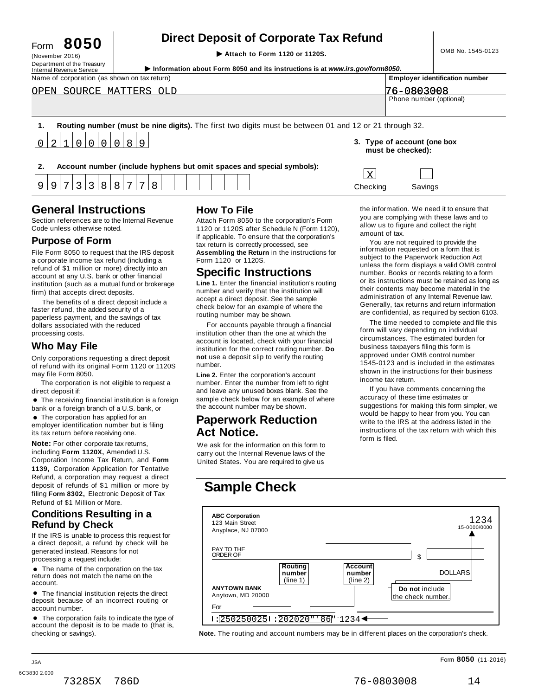| Form            |  | 8050 |  |
|-----------------|--|------|--|
| (November 2016) |  |      |  |

 $\Omega$ 

2

1

 $\overline{0}$ 

 $\overline{0}$ 

 $\overline{0}$ 

 $\overline{0}$ 

8

9

9

# **Direct Deposit of Corporate Tax Refund**<br>
Attach to Form 1120 or 1120S.<br> **Attach to Form 1120 or 1120S.**

Department of the Treasury<br>Internal Revenue Service Internal Revenue Service<br>Name of corporation (as shown on tax return)<br>Name of corporation (as shown on tax return)<br>Name of corporation (as shown on tax return) Phone number (optional) **1. Routing number (must be nine digits).** The first two digits must be between 01 and 12 or 21 through 32. OPEN SOURCE MATTERS OLD 76-0803008

**2. Account number (include hyphens but omit spaces and special symbols):**

#### **3. Type of account (one box must be checked):**

| $\Omega$<br>$\overline{ }$<br>Checkina<br>Savings | Account number (include hyphens but omit spaces and special symbols): | -- |  |
|---------------------------------------------------|-----------------------------------------------------------------------|----|--|
|                                                   |                                                                       |    |  |

### **General Instructions How To File**

Section references are to the Internal Revenue<br>Code unless otherwise noted

File Form 8050 to request that the IRS deposit a corporate income tax refund (including a refund of \$1 million or more) directly into an account at any U.S. bank or other financial institution (such as a mutual fund or brokerage firm) that accepts direct deposits.

The benefits of a direct deposit include a faster refund, the added security of a paperless payment, and the savings of tax dollars associated with the reduced processing costs.

**Who May File**<br>
Only corporations requesting a direct deposit in the institution<br>
of refund with its original Form 1120 or 1120S number. of refund with its original Form 1120 or 1120S may file Form 8050. **Line 2.** Enter the corporation's account

The corporation is not eligible to request a

lirect deposit if:<br>● The receiving financial institution is a foreign<br>pank or a foreign branch of a U.S. bank, or bank or a foreign branch of a U.S. bank, or<br> $\bullet$  The corporation has applied for an

employer identification number but is filing its tax return before receiving one.

**Note:** For other corporate tax returns, **Note:** For other corporate tax returns, We ask for the information on this form to including **Form 1120X**, Amended U.S. carry out the Internal Revenue laws of the Corporation Income Tax Return, and Form United States. You are required to give us **1139,** Corporation Application for Tentative Refund, a corporation may request a direct deposit of refunds of \$1 million or more by filing **Form 8302,** Electronic Deposit of Tax **Sample Check** Refund of \$1 Million or More.

#### **Conditions Resulting in a Refund by Check**

If the IRS is unable to process this request for<br>a direct deposit. a refund by check will be

• The name of the corporation on the tax return does not match the name on the

deposit because of an incorrect routing or account number.

Section references are to the Internal Revenue Attach Form 8050 to the corporation's Form<br>Code unless otherwise noted. 1120 or 1120S after Schedule N (Form 1120), if applicable. To ensure that the corporation's tax return is correctly processed, see **Assembling the Return** in the instructions for Form 1120 or 1120S. **Purpose of Form COVID BY A PURPOSE** TO THE THE CONDUCT THE CONDUCT STATE OF THE CONDUCT SEX TO A PURPOSE THE CONDUCT SEXUAL TO A PURPOSE THE VEHICLE TO THE VEHICLE THE VEHICLE TO A PURPOSE THE VEHICLE THE VEHICLE THE VE

#### **Specific Instructions**

**Line 1.** Enter the financial institution's routing number and verify that the institution will accept a direct deposit. See the sample check below for an example of where the routing number may be shown.

institution other than the one at which the account is located, check with your financial institution for the correct routing number. **Do not** use a deposit slip to verify the routing

number. Enter the number from left to right and leave any unused boxes blank. See the If you have comments concerning the direct deposit if: accuracy of these time estimates or sample check below for an example of where the account number may be shown.

#### **Paperwork Reduction Act Notice.**

the information. We need it to ensure that you are complying with these laws and to allow us to figure and collect the right amount of tax.

information requested on a form that is subject to the Paperwork Reduction Act unless the form displays a valid OMB control number. Books or records relating to a form or its instructions must be retained as long as their contents may become material in the administration of any Internal Revenue law. Generally, tax returns and return information are confidential, as required by section 6103.

The time needed to complete and file this For accounts payable through a financial form will vary depending on individual circumstances. The estimated burden for business taxpayers filing this form is<br>approved under OMB control number 1545-0123 and is included in the estimates shown in the instructions for their business income tax return.

suggestions for making this form simpler, we would be happy to hear from you. You can write to the IRS at the address listed in the instructions of the tax return with which this form is filed.



checking or savings). **Note.** The routing and account numbers may be in different places on the corporation's check.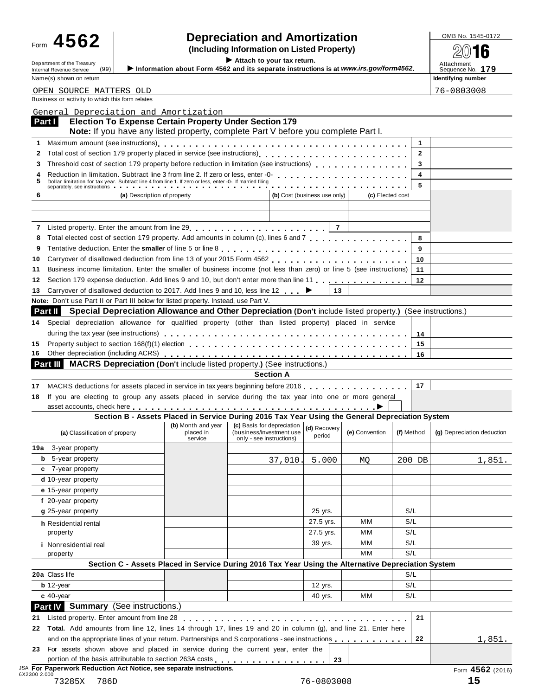## Form  $\bf 4562$  **combing information** and **Amortization combined to the SQS of**  $\bf 4562$  **(Including Information on Listed Property)**

Department of the Treasury<br>Internal Revenue Service (99) **b** Information about Form 4562 and its separate instructions is at www.irs.gov/form4562. Attachment<br>Name (a) above as the sequence No. 179

Form **TVVZ**<br> **Example 1998**<br>
Information about Form 4562 and its separate instructions is at www.irs gov/form4562<br>
Attachment of the Treasury (00)<br>
Information about Form 4562 and its separate instructions is at www.irs g Name(s) shown on return **Identifying number Identifying number Identifying number** 76-0803008

| OPEN SOURCE MATTERS OLD                         |  |  |  |  |
|-------------------------------------------------|--|--|--|--|
| Business or activity to which this form relates |  |  |  |  |

|                                                                                                                                                 |                             | <b>Election To Expense Certain Property Under Section 179</b><br>Note: If you have any listed property, complete Part V before you complete Part I. |                              |                  |               |                                  |
|-------------------------------------------------------------------------------------------------------------------------------------------------|-----------------------------|-----------------------------------------------------------------------------------------------------------------------------------------------------|------------------------------|------------------|---------------|----------------------------------|
|                                                                                                                                                 |                             |                                                                                                                                                     |                              |                  | $\mathbf{1}$  |                                  |
| Total cost of section 179 property placed in service (see instructions)<br>2                                                                    |                             |                                                                                                                                                     |                              |                  | $\mathbf{2}$  |                                  |
| Threshold cost of section 179 property before reduction in limitation (see instructions)<br>З                                                   |                             |                                                                                                                                                     |                              |                  | 3             |                                  |
|                                                                                                                                                 |                             |                                                                                                                                                     |                              |                  | 4             |                                  |
| Dollar limitation for tax year. Subtract line 4 from line 1. If zero or less, enter -0-. If married filing<br>separately, see instructions<br>5 |                             |                                                                                                                                                     |                              |                  | 5             |                                  |
| 6                                                                                                                                               | (a) Description of property |                                                                                                                                                     | (b) Cost (business use only) | (c) Elected cost |               |                                  |
|                                                                                                                                                 |                             |                                                                                                                                                     |                              |                  |               |                                  |
|                                                                                                                                                 |                             |                                                                                                                                                     |                              |                  |               |                                  |
| 7                                                                                                                                               |                             |                                                                                                                                                     |                              |                  |               |                                  |
| Total elected cost of section 179 property. Add amounts in column (c), lines 6 and 7<br>8                                                       |                             |                                                                                                                                                     |                              |                  | 8             |                                  |
| 9                                                                                                                                               |                             |                                                                                                                                                     |                              |                  | 9             |                                  |
| 10<br>Business income limitation. Enter the smaller of business income (not less than zero) or line 5 (see instructions)                        |                             |                                                                                                                                                     |                              |                  | 10            |                                  |
| 11<br>Section 179 expense deduction. Add lines 9 and 10, but don't enter more than line 11<br>12                                                |                             |                                                                                                                                                     |                              |                  | 11<br>$12 \,$ |                                  |
| Carryover of disallowed deduction to 2017. Add lines 9 and 10, less line 12<br>13                                                               |                             |                                                                                                                                                     | 13                           |                  |               |                                  |
| Note: Don't use Part II or Part III below for listed property. Instead, use Part V.                                                             |                             |                                                                                                                                                     |                              |                  |               |                                  |
| Special Depreciation Allowance and Other Depreciation (Don't include listed property.) (See instructions.)<br>Part II                           |                             |                                                                                                                                                     |                              |                  |               |                                  |
| 14 Special depreciation allowance for qualified property (other than listed property) placed in service                                         |                             |                                                                                                                                                     |                              |                  |               |                                  |
|                                                                                                                                                 |                             |                                                                                                                                                     |                              |                  |               |                                  |
| 15                                                                                                                                              |                             |                                                                                                                                                     |                              |                  | 14            |                                  |
|                                                                                                                                                 |                             |                                                                                                                                                     |                              |                  | 15            |                                  |
| <b>Part III MACRS Depreciation (Don't include listed property.) (See instructions.)</b>                                                         |                             |                                                                                                                                                     |                              |                  | 16            |                                  |
|                                                                                                                                                 |                             | <b>Section A</b>                                                                                                                                    |                              |                  |               |                                  |
|                                                                                                                                                 | (b) Month and year          | Section B - Assets Placed in Service During 2016 Tax Year Using the General Depreciation System<br>(c) Basis for depreciation                       | (d) Recovery                 |                  |               |                                  |
| (a) Classification of property                                                                                                                  | placed in<br>service        | (business/investment use<br>only - see instructions)                                                                                                | period                       | (e) Convention   | (f) Method    | (g) Depreciation deduction       |
| <b>19a</b> 3-year property                                                                                                                      |                             |                                                                                                                                                     |                              |                  |               |                                  |
| <b>b</b> 5-year property                                                                                                                        |                             | 37,010                                                                                                                                              | 5.000                        | МO               | 200 DB        | 1,851.                           |
| c 7-year property                                                                                                                               |                             |                                                                                                                                                     |                              |                  |               |                                  |
| d 10-year property                                                                                                                              |                             |                                                                                                                                                     |                              |                  |               |                                  |
|                                                                                                                                                 |                             |                                                                                                                                                     |                              |                  |               |                                  |
| e 15-year property                                                                                                                              |                             |                                                                                                                                                     |                              |                  |               |                                  |
| f 20-year property                                                                                                                              |                             |                                                                                                                                                     |                              |                  |               |                                  |
| q 25-year property                                                                                                                              |                             |                                                                                                                                                     | 25 yrs.                      |                  | S/L           |                                  |
| h Residential rental                                                                                                                            |                             |                                                                                                                                                     | 27.5 yrs.                    | мм               | S/L           |                                  |
| property                                                                                                                                        |                             |                                                                                                                                                     | 27.5 yrs.                    | мм               | S/L           |                                  |
| <i>i</i> Nonresidential real                                                                                                                    |                             |                                                                                                                                                     | 39 yrs.                      | мм               | S/L           |                                  |
| property                                                                                                                                        |                             |                                                                                                                                                     |                              | MМ               | S/L           |                                  |
|                                                                                                                                                 |                             | Section C - Assets Placed in Service During 2016 Tax Year Using the Alternative Depreciation System                                                 |                              |                  |               |                                  |
|                                                                                                                                                 |                             |                                                                                                                                                     |                              |                  | S/L           |                                  |
| $b$ 12-year                                                                                                                                     |                             |                                                                                                                                                     | 12 yrs.                      |                  | S/L           |                                  |
| $c$ 40-year                                                                                                                                     |                             |                                                                                                                                                     | 40 yrs.                      | MМ               | S/L           |                                  |
|                                                                                                                                                 |                             |                                                                                                                                                     |                              |                  |               |                                  |
| 20a Class life<br>Part IV Summary (See instructions.)<br>21                                                                                     |                             |                                                                                                                                                     |                              |                  | 21            |                                  |
| 22 Total. Add amounts from line 12, lines 14 through 17, lines 19 and 20 in column (g), and line 21. Enter here                                 |                             |                                                                                                                                                     |                              |                  |               |                                  |
| and on the appropriate lines of your return. Partnerships and S corporations - see instructions                                                 |                             |                                                                                                                                                     |                              |                  | 22            |                                  |
|                                                                                                                                                 |                             |                                                                                                                                                     |                              |                  |               |                                  |
| 23 For assets shown above and placed in service during the current year, enter the<br>portion of the basis attributable to section 263A costs   |                             |                                                                                                                                                     | 23                           |                  |               |                                  |
| JSA For Paperwork Reduction Act Notice, see separate instructions.<br>6X2300 2.000<br>73285X<br>786D                                            |                             |                                                                                                                                                     | 76-0803008                   |                  |               | 1,851.<br>Form 4562 (2016)<br>15 |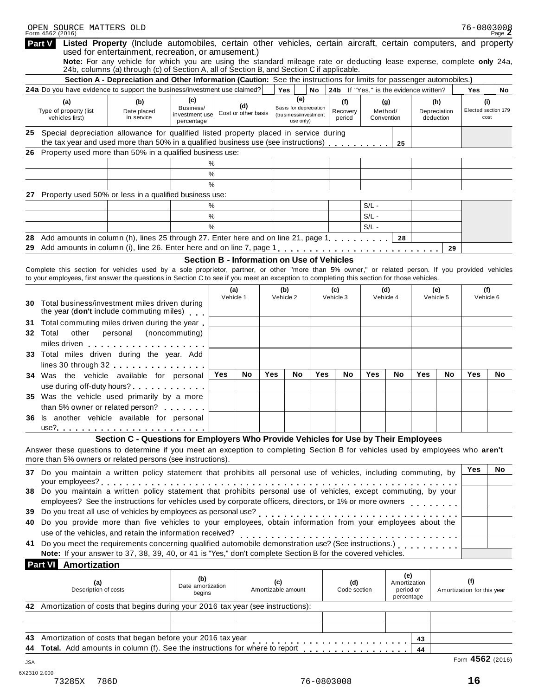|    | OPEN SOURCE MATTERS OLD<br>Form 4562 (2016)                |                                                                                                                                                                                                                                                                                                |                             |               |                                            |                           |                                                |     |                                        |                       |                           |                           |     | 76-0803008                        | Page $Z$ |
|----|------------------------------------------------------------|------------------------------------------------------------------------------------------------------------------------------------------------------------------------------------------------------------------------------------------------------------------------------------------------|-----------------------------|---------------|--------------------------------------------|---------------------------|------------------------------------------------|-----|----------------------------------------|-----------------------|---------------------------|---------------------------|-----|-----------------------------------|----------|
|    | Part V                                                     | Listed Property (Include automobiles, certain other vehicles, certain aircraft, certain computers, and property                                                                                                                                                                                |                             |               |                                            |                           |                                                |     |                                        |                       |                           |                           |     |                                   |          |
|    |                                                            | used for entertainment, recreation, or amusement.)                                                                                                                                                                                                                                             |                             |               |                                            |                           |                                                |     |                                        |                       |                           |                           |     |                                   |          |
|    |                                                            | Note: For any vehicle for which you are using the standard mileage rate or deducting lease expense, complete only 24a,<br>24b, columns (a) through (c) of Section A, all of Section B, and Section C if applicable.                                                                            |                             |               |                                            |                           |                                                |     |                                        |                       |                           |                           |     |                                   |          |
|    |                                                            | Section A - Depreciation and Other Information (Caution: See the instructions for limits for passenger automobiles.)                                                                                                                                                                           |                             |               |                                            |                           |                                                |     |                                        |                       |                           |                           |     |                                   |          |
|    |                                                            | 24a Do you have evidence to support the business/investment use claimed?                                                                                                                                                                                                                       |                             |               |                                            | <b>Yes</b>                |                                                | No  | 24b If "Yes," is the evidence written? |                       |                           |                           |     | Yes                               | No       |
|    | (a)                                                        | (b)                                                                                                                                                                                                                                                                                            | (c)                         |               | (d)                                        |                           | (e)                                            |     | (f)                                    | (g)                   |                           |                           | (h) | (i)                               |          |
|    | Type of property (list<br>vehicles first)                  | Date placed<br>in service                                                                                                                                                                                                                                                                      | Business/<br>investment use |               | Cost or other basis                        |                           | Basis for depreciation<br>(business/investment |     | Recovery<br>period                     | Method/<br>Convention |                           | Depreciation<br>deduction |     | Elected section 179<br>cost       |          |
|    |                                                            |                                                                                                                                                                                                                                                                                                | percentage                  |               |                                            |                           | use only)                                      |     |                                        |                       |                           |                           |     |                                   |          |
|    |                                                            | 25 Special depreciation allowance for qualified listed property placed in service during                                                                                                                                                                                                       |                             |               |                                            |                           |                                                |     |                                        |                       |                           |                           |     |                                   |          |
|    |                                                            | the tax year and used more than 50% in a qualified business use (see instructions)<br>26 Property used more than 50% in a qualified business use:                                                                                                                                              |                             |               |                                            |                           |                                                |     |                                        |                       | 25                        |                           |     |                                   |          |
|    |                                                            |                                                                                                                                                                                                                                                                                                |                             | %             |                                            |                           |                                                |     |                                        |                       |                           |                           |     |                                   |          |
|    |                                                            |                                                                                                                                                                                                                                                                                                |                             | %             |                                            |                           |                                                |     |                                        |                       |                           |                           |     |                                   |          |
|    |                                                            |                                                                                                                                                                                                                                                                                                |                             | $\frac{9}{6}$ |                                            |                           |                                                |     |                                        |                       |                           |                           |     |                                   |          |
|    |                                                            | 27 Property used 50% or less in a qualified business use:                                                                                                                                                                                                                                      |                             |               |                                            |                           |                                                |     |                                        |                       |                           |                           |     |                                   |          |
|    |                                                            |                                                                                                                                                                                                                                                                                                |                             | %             |                                            |                           |                                                |     |                                        | $S/L -$               |                           |                           |     |                                   |          |
|    |                                                            |                                                                                                                                                                                                                                                                                                |                             | %             |                                            |                           |                                                |     |                                        | $S/L -$               |                           |                           |     |                                   |          |
|    |                                                            |                                                                                                                                                                                                                                                                                                |                             | $\frac{9}{6}$ |                                            |                           |                                                |     |                                        | $S/L -$               |                           |                           |     |                                   |          |
|    |                                                            | 28 Add amounts in column (h), lines 25 through 27. Enter here and on line 21, page 1.                                                                                                                                                                                                          |                             |               |                                            |                           |                                                |     |                                        |                       | 28                        |                           |     |                                   |          |
|    |                                                            | 29 Add amounts in column (i), line 26. Enter here and on line 7, page 1                                                                                                                                                                                                                        |                             |               |                                            |                           |                                                |     |                                        |                       |                           |                           | 29  |                                   |          |
|    |                                                            |                                                                                                                                                                                                                                                                                                |                             |               | Section B - Information on Use of Vehicles |                           |                                                |     |                                        |                       |                           |                           |     |                                   |          |
|    |                                                            | Complete this section for vehicles used by a sole proprietor, partner, or other "more than 5% owner," or related person. If you provided vehicles<br>to your employees, first answer the questions in Section C to see if you meet an exception to completing this section for those vehicles. |                             |               |                                            |                           |                                                |     |                                        |                       |                           |                           |     |                                   |          |
|    |                                                            |                                                                                                                                                                                                                                                                                                |                             |               | (a)                                        | (b)                       |                                                |     | (c)                                    | (d)                   |                           | (e)                       |     | (f)                               |          |
|    |                                                            |                                                                                                                                                                                                                                                                                                |                             |               | Vehicle 1                                  | Vehicle 2                 |                                                |     | Vehicle 3                              | Vehicle 4             |                           | Vehicle 5                 |     | Vehicle 6                         |          |
|    |                                                            | <b>30</b> Total business/investment miles driven during<br>the year (don't include commuting miles)                                                                                                                                                                                            |                             |               |                                            |                           |                                                |     |                                        |                       |                           |                           |     |                                   |          |
|    |                                                            | 31 Total commuting miles driven during the year                                                                                                                                                                                                                                                |                             |               |                                            |                           |                                                |     |                                        |                       |                           |                           |     |                                   |          |
|    | 32 Total<br>other                                          | personal (noncommuting)                                                                                                                                                                                                                                                                        |                             |               |                                            |                           |                                                |     |                                        |                       |                           |                           |     |                                   |          |
|    |                                                            |                                                                                                                                                                                                                                                                                                |                             |               |                                            |                           |                                                |     |                                        |                       |                           |                           |     |                                   |          |
|    |                                                            | 33 Total miles driven during the year. Add                                                                                                                                                                                                                                                     |                             |               |                                            |                           |                                                |     |                                        |                       |                           |                           |     |                                   |          |
|    |                                                            |                                                                                                                                                                                                                                                                                                |                             |               |                                            |                           |                                                |     |                                        |                       |                           |                           |     |                                   |          |
|    |                                                            | 34 Was the vehicle available for personal                                                                                                                                                                                                                                                      |                             | Yes           | <b>No</b>                                  | Yes                       | No                                             | Yes | No                                     | Yes                   | No.                       | Yes                       | No  | Yes                               | No       |
|    |                                                            |                                                                                                                                                                                                                                                                                                |                             |               |                                            |                           |                                                |     |                                        |                       |                           |                           |     |                                   |          |
|    |                                                            | 35 Was the vehicle used primarily by a more<br>than 5% owner or related person?                                                                                                                                                                                                                |                             |               |                                            |                           |                                                |     |                                        |                       |                           |                           |     |                                   |          |
|    |                                                            | 36 Is another vehicle available for personal                                                                                                                                                                                                                                                   |                             |               |                                            |                           |                                                |     |                                        |                       |                           |                           |     |                                   |          |
|    |                                                            |                                                                                                                                                                                                                                                                                                |                             |               |                                            |                           |                                                |     |                                        |                       |                           |                           |     |                                   |          |
|    |                                                            | Section C - Questions for Employers Who Provide Vehicles for Use by Their Employees                                                                                                                                                                                                            |                             |               |                                            |                           |                                                |     |                                        |                       |                           |                           |     |                                   |          |
|    |                                                            | Answer these questions to determine if you meet an exception to completing Section B for vehicles used by employees who aren't                                                                                                                                                                 |                             |               |                                            |                           |                                                |     |                                        |                       |                           |                           |     |                                   |          |
|    | more than 5% owners or related persons (see instructions). |                                                                                                                                                                                                                                                                                                |                             |               |                                            |                           |                                                |     |                                        |                       |                           |                           |     |                                   |          |
|    |                                                            |                                                                                                                                                                                                                                                                                                |                             |               |                                            |                           |                                                |     |                                        |                       |                           |                           |     |                                   |          |
|    |                                                            | 37 Do you maintain a written policy statement that prohibits all personal use of vehicles, including commuting, by                                                                                                                                                                             |                             |               |                                            |                           |                                                |     |                                        |                       |                           |                           |     | Yes                               | No.      |
|    |                                                            |                                                                                                                                                                                                                                                                                                |                             |               |                                            |                           |                                                |     |                                        |                       |                           |                           |     |                                   |          |
|    |                                                            | 38 Do you maintain a written policy statement that prohibits personal use of vehicles, except commuting, by your                                                                                                                                                                               |                             |               |                                            |                           |                                                |     |                                        |                       |                           |                           |     |                                   |          |
|    |                                                            | employees? See the instructions for vehicles used by corporate officers, directors, or 1% or more owners                                                                                                                                                                                       |                             |               |                                            |                           |                                                |     |                                        |                       |                           |                           |     |                                   |          |
|    |                                                            | 39 Do you treat all use of vehicles by employees as personal use?<br>                                                                                                                                                                                                                          |                             |               |                                            |                           |                                                |     |                                        |                       |                           |                           |     |                                   |          |
|    |                                                            | 40 Do you provide more than five vehicles to your employees, obtain information from your employees about the                                                                                                                                                                                  |                             |               |                                            |                           |                                                |     |                                        |                       |                           |                           |     |                                   |          |
|    |                                                            | use of the vehicles, and retain the information received?                                                                                                                                                                                                                                      |                             |               |                                            | .                         |                                                |     |                                        |                       |                           |                           |     |                                   |          |
|    |                                                            | 41 Do you meet the requirements concerning qualified automobile demonstration use? (See instructions.)<br>Note: If your answer to 37, 38, 39, 40, or 41 is "Yes," don't complete Section B for the covered vehicles.                                                                           |                             |               |                                            |                           |                                                |     |                                        |                       |                           |                           |     |                                   |          |
|    | <b>Part VI</b> Amortization                                |                                                                                                                                                                                                                                                                                                |                             |               |                                            |                           |                                                |     |                                        |                       |                           |                           |     |                                   |          |
|    |                                                            |                                                                                                                                                                                                                                                                                                |                             |               |                                            |                           |                                                |     |                                        |                       | (e)                       |                           |     |                                   |          |
|    | (a)<br>Description of costs                                |                                                                                                                                                                                                                                                                                                | (b)<br>Date amortization    |               |                                            | (c)<br>Amortizable amount |                                                |     | (d)<br>Code section                    |                       | Amortization<br>period or |                           |     | (f)<br>Amortization for this year |          |
|    |                                                            |                                                                                                                                                                                                                                                                                                | begins                      |               |                                            |                           |                                                |     |                                        |                       | percentage                |                           |     |                                   |          |
|    |                                                            | 42 Amortization of costs that begins during your 2016 tax year (see instructions):                                                                                                                                                                                                             |                             |               |                                            |                           |                                                |     |                                        |                       |                           |                           |     |                                   |          |
|    |                                                            |                                                                                                                                                                                                                                                                                                |                             |               |                                            |                           |                                                |     |                                        |                       |                           |                           |     |                                   |          |
| 43 |                                                            | Amortization of costs that began before your 2016 tax year                                                                                                                                                                                                                                     |                             |               |                                            |                           |                                                |     |                                        |                       |                           | 43                        |     |                                   |          |

Form **4562** (2016) JSA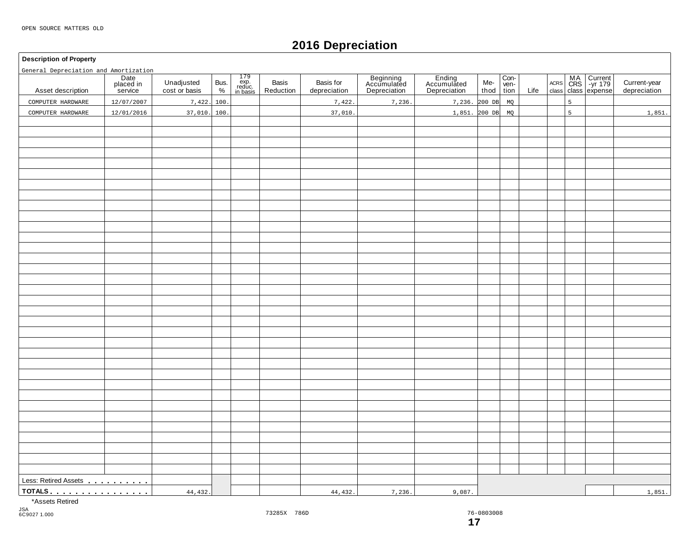### **2016 Depreciation**

#### **Description of Property**

General Depreciation and Amortization

| General Depreciation and Amortization                                                                                                                                                                                                    |                              | Unadjusted    |           |                                                                                        | Basis     | Basis for    |                                          |                                       | Me-    | $\frac{Con-}{ven-}$ |      |   |                                         |                              |
|------------------------------------------------------------------------------------------------------------------------------------------------------------------------------------------------------------------------------------------|------------------------------|---------------|-----------|----------------------------------------------------------------------------------------|-----------|--------------|------------------------------------------|---------------------------------------|--------|---------------------|------|---|-----------------------------------------|------------------------------|
| Asset description                                                                                                                                                                                                                        | Date<br>placed in<br>service | cost or basis | Bus.<br>% | $\begin{array}{c} 179 \\ \text{exp.} \\ \text{reduce.} \\ \text{in basis} \end{array}$ | Reduction | depreciation | Beginning<br>Accumulated<br>Depreciation | Ending<br>Accumulated<br>Depreciation | thod   | tion                | Life |   | ACRS CRS -yr 179<br>class class expense | Current-year<br>depreciation |
| COMPUTER HARDWARE                                                                                                                                                                                                                        | 12/07/2007                   | 7,422.        | 100.      |                                                                                        |           | 7,422.       | 7,236.                                   | 7,236.                                | 200 DB | MQ                  |      | 5 |                                         |                              |
| COMPUTER HARDWARE                                                                                                                                                                                                                        | 12/01/2016                   | 37,010.       | 100.      |                                                                                        |           | 37,010.      |                                          | 1,851. 200 DB                         |        | MQ                  |      | 5 |                                         | 1,851.                       |
|                                                                                                                                                                                                                                          |                              |               |           |                                                                                        |           |              |                                          |                                       |        |                     |      |   |                                         |                              |
|                                                                                                                                                                                                                                          |                              |               |           |                                                                                        |           |              |                                          |                                       |        |                     |      |   |                                         |                              |
|                                                                                                                                                                                                                                          |                              |               |           |                                                                                        |           |              |                                          |                                       |        |                     |      |   |                                         |                              |
|                                                                                                                                                                                                                                          |                              |               |           |                                                                                        |           |              |                                          |                                       |        |                     |      |   |                                         |                              |
|                                                                                                                                                                                                                                          |                              |               |           |                                                                                        |           |              |                                          |                                       |        |                     |      |   |                                         |                              |
|                                                                                                                                                                                                                                          |                              |               |           |                                                                                        |           |              |                                          |                                       |        |                     |      |   |                                         |                              |
|                                                                                                                                                                                                                                          |                              |               |           |                                                                                        |           |              |                                          |                                       |        |                     |      |   |                                         |                              |
|                                                                                                                                                                                                                                          |                              |               |           |                                                                                        |           |              |                                          |                                       |        |                     |      |   |                                         |                              |
|                                                                                                                                                                                                                                          |                              |               |           |                                                                                        |           |              |                                          |                                       |        |                     |      |   |                                         |                              |
|                                                                                                                                                                                                                                          |                              |               |           |                                                                                        |           |              |                                          |                                       |        |                     |      |   |                                         |                              |
|                                                                                                                                                                                                                                          |                              |               |           |                                                                                        |           |              |                                          |                                       |        |                     |      |   |                                         |                              |
|                                                                                                                                                                                                                                          |                              |               |           |                                                                                        |           |              |                                          |                                       |        |                     |      |   |                                         |                              |
|                                                                                                                                                                                                                                          |                              |               |           |                                                                                        |           |              |                                          |                                       |        |                     |      |   |                                         |                              |
|                                                                                                                                                                                                                                          |                              |               |           |                                                                                        |           |              |                                          |                                       |        |                     |      |   |                                         |                              |
|                                                                                                                                                                                                                                          |                              |               |           |                                                                                        |           |              |                                          |                                       |        |                     |      |   |                                         |                              |
|                                                                                                                                                                                                                                          |                              |               |           |                                                                                        |           |              |                                          |                                       |        |                     |      |   |                                         |                              |
|                                                                                                                                                                                                                                          |                              |               |           |                                                                                        |           |              |                                          |                                       |        |                     |      |   |                                         |                              |
|                                                                                                                                                                                                                                          |                              |               |           |                                                                                        |           |              |                                          |                                       |        |                     |      |   |                                         |                              |
|                                                                                                                                                                                                                                          |                              |               |           |                                                                                        |           |              |                                          |                                       |        |                     |      |   |                                         |                              |
|                                                                                                                                                                                                                                          |                              |               |           |                                                                                        |           |              |                                          |                                       |        |                     |      |   |                                         |                              |
|                                                                                                                                                                                                                                          |                              |               |           |                                                                                        |           |              |                                          |                                       |        |                     |      |   |                                         |                              |
|                                                                                                                                                                                                                                          |                              |               |           |                                                                                        |           |              |                                          |                                       |        |                     |      |   |                                         |                              |
|                                                                                                                                                                                                                                          |                              |               |           |                                                                                        |           |              |                                          |                                       |        |                     |      |   |                                         |                              |
|                                                                                                                                                                                                                                          |                              |               |           |                                                                                        |           |              |                                          |                                       |        |                     |      |   |                                         |                              |
|                                                                                                                                                                                                                                          |                              |               |           |                                                                                        |           |              |                                          |                                       |        |                     |      |   |                                         |                              |
|                                                                                                                                                                                                                                          |                              |               |           |                                                                                        |           |              |                                          |                                       |        |                     |      |   |                                         |                              |
|                                                                                                                                                                                                                                          |                              |               |           |                                                                                        |           |              |                                          |                                       |        |                     |      |   |                                         |                              |
|                                                                                                                                                                                                                                          |                              |               |           |                                                                                        |           |              |                                          |                                       |        |                     |      |   |                                         |                              |
|                                                                                                                                                                                                                                          |                              |               |           |                                                                                        |           |              |                                          |                                       |        |                     |      |   |                                         |                              |
|                                                                                                                                                                                                                                          |                              |               |           |                                                                                        |           |              |                                          |                                       |        |                     |      |   |                                         |                              |
|                                                                                                                                                                                                                                          |                              |               |           |                                                                                        |           |              |                                          |                                       |        |                     |      |   |                                         |                              |
| Less: Retired Assets<br>1994 - Paris Lessin, Maria Barcelona, Maria Barcelona<br>1995 - Paris Lessin, Maria Barcelona<br>1995 - Paris Lessin, Maria Barcelona<br>1995 - Paris Lessin, Maria Barcelona<br>1995 - Paris Lessin, Maria Barc |                              |               |           |                                                                                        |           |              |                                          |                                       |        |                     |      |   |                                         |                              |
| TOTALS <u>.</u>                                                                                                                                                                                                                          |                              | 44,432.       |           |                                                                                        |           | 44,432.      | 7,236.                                   | 9,087.                                |        |                     |      |   |                                         | 1,851.                       |

\*Assets Retired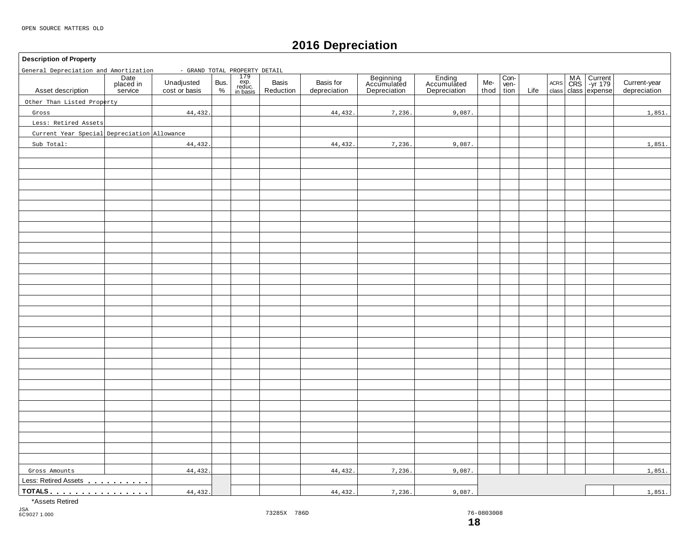### **2016 Depreciation**

#### **Description of Property** 179 exp. reduc. in basis **Date** placed in service **Beginning** Accumulated Depreciation Basis | Basis for | Beginning | Ending | Me-<br>Reduction depreciation | Depreciation | Depreciation | thoc Con- ven-tion MA Current |<br>CRS | -yr 179 | Unadjusted Bus. exp. Basis Basis Basis for Accumulated Accumulated Me- wen- Acres CRS -yr 179 |<br>
cost or basis % | reduction | depreciation | Depreciation | Depreciation | thod tion Life class class expense Unadjusted Bus.<br>cost or basis  $\begin{array}{c} \circ \\ \circ \circ \end{array}$ Basis<br>Reduction thod ACRS Asset description | placed in Unadjusted Bus. exp. Basis Basis Current-year Accumulated Accumulated Me- Ven- Accumulated Accumulated Accumulated Me- Ven- Accumulated Accumulated Accumulated Accumulated Me- Ven- Accumulated Gross Amounts<br>Less: Retired Assets . . . . . . . . . **TOTALS** <u>mass mass mass mass measured in the measured in the measured in the measured in the measured in the measured in the measured in the measured in the measured in the measured in the measured in the measured in the </u> General Depreciation and Amortization - GRAND TOTAL PROPERTY DETAIL Other Than Listed Property Gross Less: Retired Assets Current Year Special Depreciation Allowance Sub Total: 44,432. 44,432. 44,432. 44,432. 7,236. 7,236. 9,087. 9,087. 1,851. 1,851. Gross Amounts | 44,432. | 44,432. | 7,236. | 9,087. | | | 1,851. 44,432. 44,432. 44,432. 7,236. 7,236. 9,087. 9,087. 1,851.

\*Assets Retired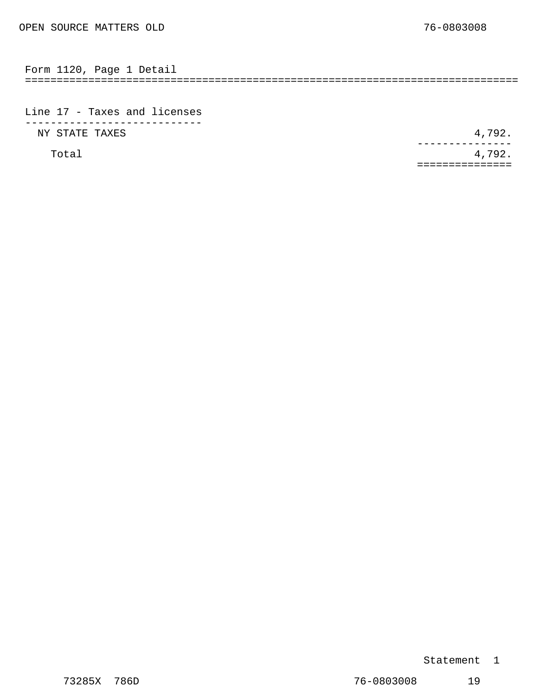<span id="page-11-0"></span>

| Form | 1120 | Page | Detaii |  |
|------|------|------|--------|--|
|      |      |      |        |  |

Line 17 - Taxes and licenses ---------------------------- NY STATE TAXES 4,792.

Total  $4,792.$ --------------- ===============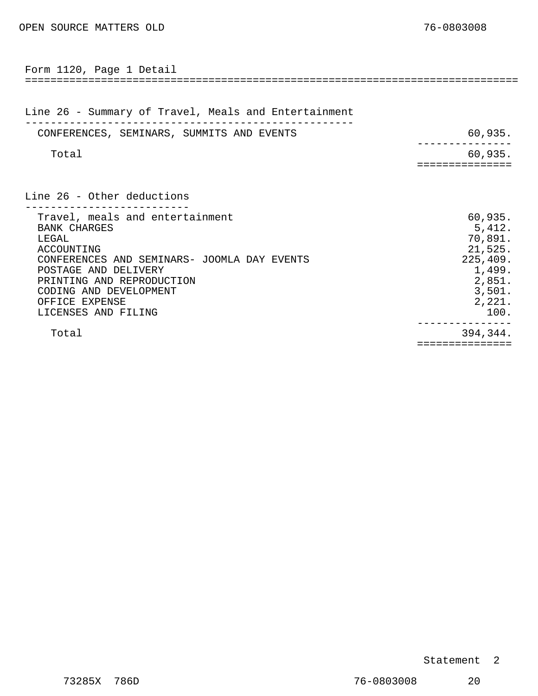<span id="page-12-0"></span>

| Form 1120, Page 1 Detail                                            |                    |
|---------------------------------------------------------------------|--------------------|
|                                                                     |                    |
| Line 26 - Summary of Travel, Meals and Entertainment                |                    |
|                                                                     |                    |
| CONFERENCES, SEMINARS, SUMMITS AND EVENTS                           | 60,935.            |
| Total                                                               | 60,935.            |
|                                                                     | -----              |
|                                                                     |                    |
| Line 26 - Other deductions                                          |                    |
| Travel, meals and entertainment                                     | 60,935.            |
| BANK CHARGES                                                        | 5,412.             |
| LEGAL                                                               | 70,891.            |
| ACCOUNTING                                                          | 21,525.            |
| CONFERENCES AND SEMINARS- JOOMLA DAY EVENTS<br>POSTAGE AND DELIVERY | 225,409.<br>1,499. |
| PRINTING AND REPRODUCTION                                           | 2,851.             |
| CODING AND DEVELOPMENT                                              | 3,501.             |
| OFFICE EXPENSE                                                      | 2,221.             |
| LICENSES AND FILING                                                 | 100.               |
| Total                                                               | 394,344.           |
|                                                                     | ==============     |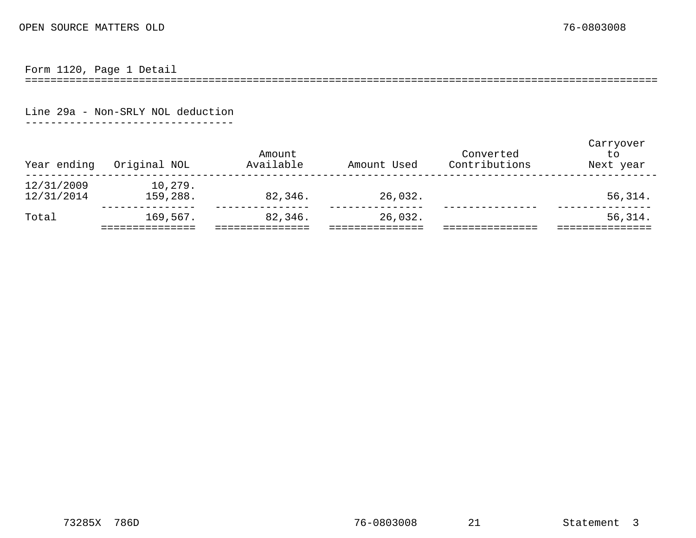Form 1120, Page 1 Detail

====================================================================================================

Line 29a - Non-SRLY NOL deduction

---------------------------------

<span id="page-13-0"></span>

| Year ending              | Original NOL         | Amount<br>Available | Amount Used | Converted<br>Contributions | Carryover<br>to.<br>Next year |
|--------------------------|----------------------|---------------------|-------------|----------------------------|-------------------------------|
| 12/31/2009<br>12/31/2014 | 10, 279.<br>159,288. | 82,346.             | 26,032.     |                            | 56,314.                       |
| Total                    | 169,567.             | 82,346.             | 26,032.     |                            | 56,314.                       |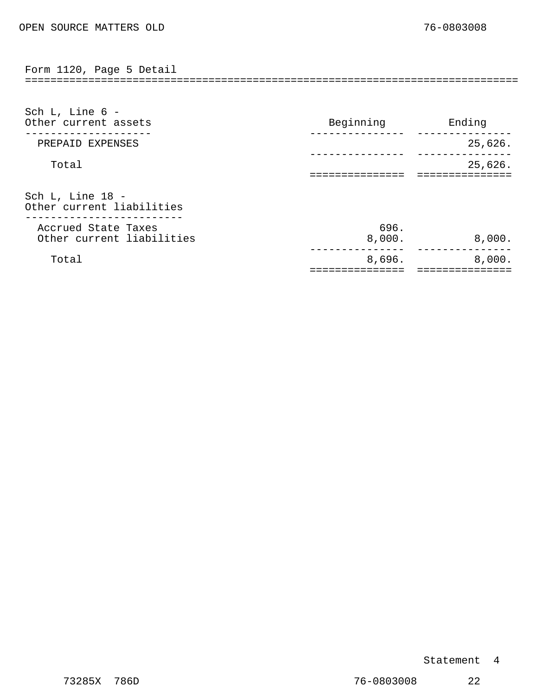<span id="page-14-0"></span>Form 1120, Page 5 Detail

| Sch L, Line $6 -$<br>Other current assets        | Beginning      | Ending  |
|--------------------------------------------------|----------------|---------|
| PREPAID EXPENSES                                 |                | 25,626. |
| Total                                            |                | 25,626. |
| Sch L, Line 18 -<br>Other current liabilities    |                |         |
| Accrued State Taxes<br>Other current liabilities | 696.<br>8,000. | 8,000.  |
| Total                                            | 8,696.         | 8,000.  |

==============================================================================

#### Statement 4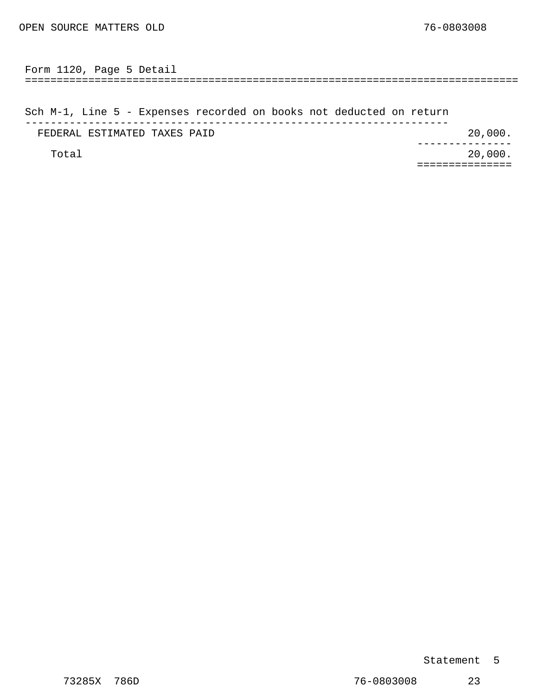<span id="page-15-0"></span>============================================================================== Form 1120, Page 5 Detail

Sch M-1, Line 5 - Expenses recorded on books not deducted on return ------------------------------------------------------------------- FEDERAL ESTIMATED TAXES PAID 20,000. Total 20,000. --------------- ===============

#### Statement 5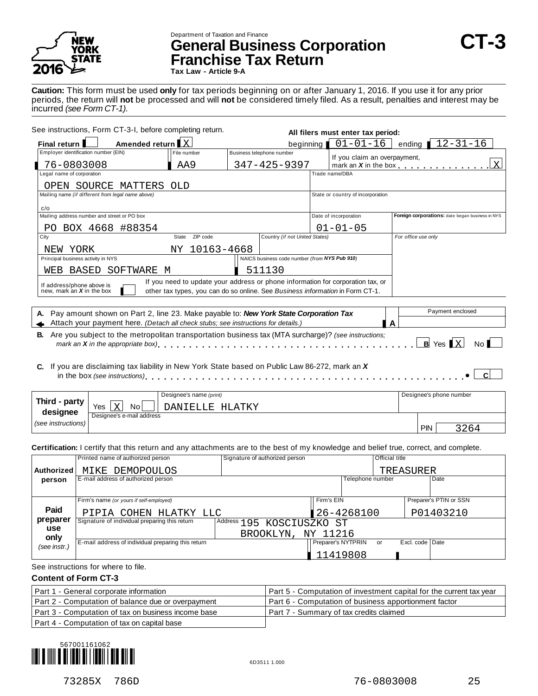

### Department of Taxation and Finance **General Business Corporation CT-3 Franchise Tax Return**

**Tax Law - Article 9-A**

**Caution:** This form must be used **only** for tax periods beginning on or after January 1, 2016. If you use it for any prior periods, the return will **not** be processed and will **not** be considered timely filed. As a result, penalties and interest may be incurred *(see Form CT-1).*

|                                                          | See instructions, Form CT-3-I, before completing return.                                                                                                                                                                                                           |                                                                                                                                                                  |                                               | All filers must enter tax period: |                                                  |
|----------------------------------------------------------|--------------------------------------------------------------------------------------------------------------------------------------------------------------------------------------------------------------------------------------------------------------------|------------------------------------------------------------------------------------------------------------------------------------------------------------------|-----------------------------------------------|-----------------------------------|--------------------------------------------------|
| Final return                                             | Amended return X                                                                                                                                                                                                                                                   |                                                                                                                                                                  | beginning                                     | $01 - 01 - 16$                    | ending $12 - 31 - 16$                            |
| Employer identification number (EIN)                     |                                                                                                                                                                                                                                                                    | File number                                                                                                                                                      | Business telephone number                     | If you claim an overpayment,      |                                                  |
| 76-0803008                                               |                                                                                                                                                                                                                                                                    | AA9                                                                                                                                                              | $347 - 425 - 9397$                            |                                   | $\overline{X}$<br>mark an X in the box <u>.</u>  |
| Legal name of corporation                                |                                                                                                                                                                                                                                                                    |                                                                                                                                                                  |                                               | Trade name/DBA                    |                                                  |
| OPEN SOURCE                                              | MATTERS                                                                                                                                                                                                                                                            | OLD                                                                                                                                                              |                                               |                                   |                                                  |
|                                                          | Mailing name (if different from legal name above)                                                                                                                                                                                                                  |                                                                                                                                                                  |                                               | State or country of incorporation |                                                  |
| c/o                                                      |                                                                                                                                                                                                                                                                    |                                                                                                                                                                  |                                               |                                   |                                                  |
|                                                          | Mailing address number and street or PO box                                                                                                                                                                                                                        |                                                                                                                                                                  |                                               | Date of incorporation             | Foreign corporations: date began business in NYS |
|                                                          | PO BOX 4668 #88354                                                                                                                                                                                                                                                 |                                                                                                                                                                  |                                               | $01 - 01 - 05$                    |                                                  |
| City                                                     |                                                                                                                                                                                                                                                                    | State ZIP code                                                                                                                                                   | Country (if not United States)                |                                   | For office use only                              |
| NEW YORK                                                 |                                                                                                                                                                                                                                                                    | NY 10163-4668                                                                                                                                                    |                                               |                                   |                                                  |
| Principal business activity in NYS                       |                                                                                                                                                                                                                                                                    |                                                                                                                                                                  | NAICS business code number (from NYS Pub 910) |                                   |                                                  |
| WEB BASED                                                | SOFTWARE<br>M                                                                                                                                                                                                                                                      |                                                                                                                                                                  | 511130                                        |                                   |                                                  |
| If address/phone above is<br>new, mark an $X$ in the box |                                                                                                                                                                                                                                                                    | If you need to update your address or phone information for corporation tax, or<br>other tax types, you can do so online. See Business information in Form CT-1. |                                               |                                   |                                                  |
|                                                          | A. Pay amount shown on Part 2, line 23. Make payable to: New York State Corporation Tax<br>Attach your payment here. (Detach all check stubs; see instructions for details.)                                                                                       |                                                                                                                                                                  |                                               | A                                 | Payment enclosed                                 |
|                                                          | B. Are you subject to the metropolitan transportation business tax (MTA surcharge)? (see instructions;<br>mark an <b>X</b> in the appropriate box) $\ldots$ , $\ldots$ , $\ldots$ , $\ldots$ , $\ldots$ , $\ldots$ , $\ldots$ , $\ldots$ , $\ldots$ , $\ldots$     |                                                                                                                                                                  |                                               |                                   | $B \times S$ X<br>No <sub>1</sub>                |
|                                                          | C. If you are disclaiming tax liability in New York State based on Public Law 86-272, mark an X<br>in the box (see instructions) $\ldots$ , $\ldots$ , $\ldots$ , $\ldots$ , $\ldots$ , $\ldots$ , $\ldots$ , $\ldots$ , $\ldots$ , $\ldots$ , $\ldots$ , $\ldots$ |                                                                                                                                                                  |                                               |                                   |                                                  |
|                                                          |                                                                                                                                                                                                                                                                    | Designee's name (print)                                                                                                                                          |                                               |                                   | Designee's phone number                          |
| Third - party                                            | Yes<br>No.                                                                                                                                                                                                                                                         | DANIELLE HLATKY                                                                                                                                                  |                                               |                                   |                                                  |
| designee                                                 | Deciange's a-mail address                                                                                                                                                                                                                                          |                                                                                                                                                                  |                                               |                                   |                                                  |

*(see instructions)* Designee's e-mail address PIN 3264

**Certification:** I certify that this return and any attachments are to the best of my knowledge and belief true, correct, and complete.

|                 | Printed name of authorized person                  | Signature of authorized person |                    | <b>Official title</b> |                 |                        |
|-----------------|----------------------------------------------------|--------------------------------|--------------------|-----------------------|-----------------|------------------------|
| Authorized      | MIKE DEMOPOULOS                                    |                                |                    |                       | TREASURER       |                        |
| person          | E-mail address of authorized person                |                                |                    | Telephone number      |                 | Date                   |
|                 |                                                    |                                |                    |                       |                 |                        |
|                 | Firm's name (or yours if self-employed)            |                                | Firm's EIN         |                       |                 | Preparer's PTIN or SSN |
| Paid            | PIPIA COHEN HLATKY LLC                             |                                | 26-4268100         |                       |                 | P01403210              |
| preparer<br>use | Signature of individual preparing this return      | Address 195 KOSCIUSZKO ST      |                    |                       |                 |                        |
| only            |                                                    | BROOKLYN,<br>ΝY                | 11216              |                       |                 |                        |
| (see instr.)    | E-mail address of individual preparing this return |                                | Preparer's NYTPRIN | or                    | Excl. code Date |                        |
|                 |                                                    |                                | 11419808           |                       |                 |                        |
| - - - -         |                                                    |                                |                    |                       |                 |                        |

#### See instructions for where to file.

#### **Content of Form CT-3**

| Part 1 - General corporate information              | Part 5 - Computation of investment capital for the current tax year |
|-----------------------------------------------------|---------------------------------------------------------------------|
| Part 2 - Computation of balance due or overpayment  | Part 6 - Computation of business apportionment factor               |
| Part 3 - Computation of tax on business income base | Part 7 - Summary of tax credits claimed                             |
| Part 4 - Computation of tax on capital base         |                                                                     |

567001161062 {Yg"1+\_} 6D3511 1.000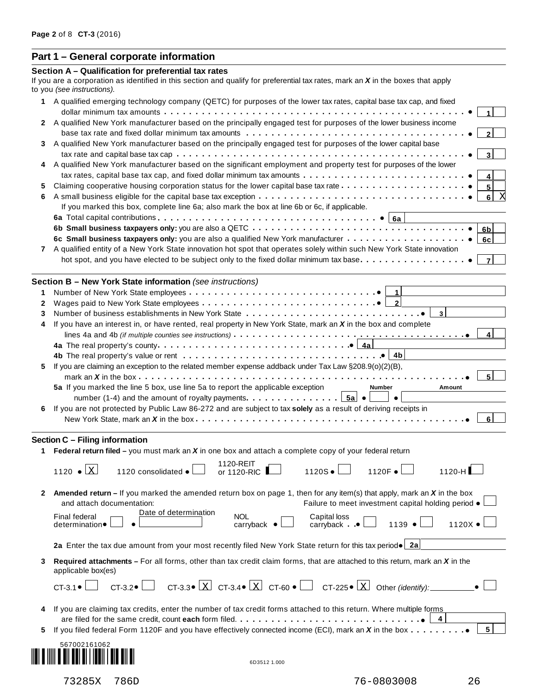#### **Part 1 – General corporate information**

|              | Section A - Qualification for preferential tax rates<br>If you are a corporation as identified in this section and qualify for preferential tax rates, mark an $X$ in the boxes that apply<br>to you (see instructions). |
|--------------|--------------------------------------------------------------------------------------------------------------------------------------------------------------------------------------------------------------------------|
|              | 1 A qualified emerging technology company (QETC) for purposes of the lower tax rates, capital base tax cap, and fixed                                                                                                    |
|              | 1.                                                                                                                                                                                                                       |
|              | 2 A qualified New York manufacturer based on the principally engaged test for purposes of the lower business income                                                                                                      |
|              |                                                                                                                                                                                                                          |
| 3            | A qualified New York manufacturer based on the principally engaged test for purposes of the lower capital base                                                                                                           |
|              |                                                                                                                                                                                                                          |
| 4            | A qualified New York manufacturer based on the significant employment and property test for purposes of the lower                                                                                                        |
|              | tax rates, capital base tax cap, and fixed dollar minimum tax amounts $\ldots \ldots \ldots \ldots \ldots \ldots \ldots \ldots \ldots$<br>4                                                                              |
| 5<br>6       | $\overline{5}$<br>- X<br>— 6 l                                                                                                                                                                                           |
|              | If you marked this box, complete line 6a; also mark the box at line 6b or 6c, if applicable.                                                                                                                             |
|              |                                                                                                                                                                                                                          |
|              | 6 <sub>b</sub>                                                                                                                                                                                                           |
|              | 6c                                                                                                                                                                                                                       |
| $\mathbf{7}$ | A qualified entity of a New York State innovation hot spot that operates solely within such New York State innovation                                                                                                    |
|              | $\overline{7}$                                                                                                                                                                                                           |
|              | Section B - New York State information (see instructions)                                                                                                                                                                |
| 1            |                                                                                                                                                                                                                          |
| 2            |                                                                                                                                                                                                                          |
| 3            | $\overline{\mathbf{3}}$                                                                                                                                                                                                  |
| 4            | If you have an interest in, or have rented, real property in New York State, mark an X in the box and complete<br>$\blacktriangle$                                                                                       |
|              |                                                                                                                                                                                                                          |
|              |                                                                                                                                                                                                                          |
| 5            | If you are claiming an exception to the related member expense addback under Tax Law §208.9(o)(2)(B),                                                                                                                    |
|              | 5                                                                                                                                                                                                                        |
|              | 5a If you marked the line 5 box, use line 5a to report the applicable exception<br>Number<br>Amount                                                                                                                      |
|              | number (1-4) and the amount of royalty payments. $\ldots$ , $5a \cdot 1$<br>$\bullet$                                                                                                                                    |
| 6            | If you are not protected by Public Law 86-272 and are subject to tax solely as a result of deriving receipts in                                                                                                          |
|              | 6 <sup>1</sup>                                                                                                                                                                                                           |
|              | Section C - Filing information                                                                                                                                                                                           |
|              | 1 Federal return filed – you must mark an $X$ in one box and attach a complete copy of your federal return                                                                                                               |
|              | 1120-REIT                                                                                                                                                                                                                |
|              | ΙX.<br>$1120$ $\bullet$<br>1120S •<br>1120F ●<br>$1120-H$<br>1120 consolidated ●<br>or 1120-RIC L                                                                                                                        |
|              | Amended return – If you marked the amended return box on page 1, then for any item(s) that apply, mark an $X$ in the box                                                                                                 |
|              | Failure to meet investment capital holding period •<br>and attach documentation:                                                                                                                                         |
|              | Date of determination<br><b>NOL</b><br><b>Final federal</b><br>Capital loss                                                                                                                                              |
|              | 1139 •<br>$1120X \bullet$<br>$caryback$ $\bullet$<br>determination •<br>carryback $\bullet$                                                                                                                              |
|              | 2a Enter the tax due amount from your most recently filed New York State return for this tax period. 2a                                                                                                                  |
|              |                                                                                                                                                                                                                          |
| 3            | Required attachments – For all forms, other than tax credit claim forms, that are attached to this return, mark an $X$ in the<br>applicable box(es)                                                                      |
|              | CT-3.2 $\bullet$ CT-3.3 $\bullet$ X CT-3.4 $\bullet$ X CT-60 $\bullet$ $\Box$ CT-225 $\bullet$ X Other (identify):<br>$CT-3.1$ $\bullet$ $\downarrow$                                                                    |
|              | If you are claiming tax credits, enter the number of tax credit forms attached to this return. Where multiple forms                                                                                                      |
|              |                                                                                                                                                                                                                          |
| 5.           | If you filed federal Form 1120F and you have effectively connected income (ECI), mark an X in the box<br>5 <sub>1</sub>                                                                                                  |
|              | 567002161062                                                                                                                                                                                                             |
|              | 6D3512 1.000                                                                                                                                                                                                             |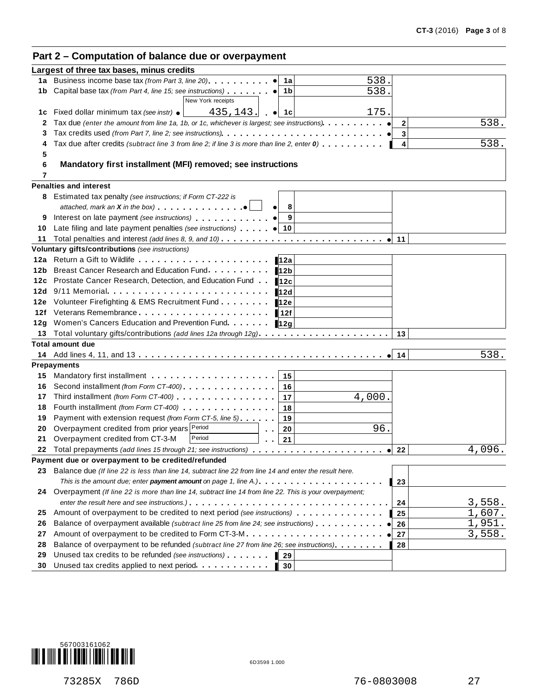#### **Part 2 – Computation of balance due or overpayment**

|     | Largest of three tax bases, minus credits                                                                                           |                      |
|-----|-------------------------------------------------------------------------------------------------------------------------------------|----------------------|
|     | 1a Business income base tax (from Part 3, line 20)<br>538.<br>1a                                                                    |                      |
|     | 538.<br>1b Capital base tax (from Part 4, line 15; see instructions)<br>1b                                                          |                      |
|     | New York receipts                                                                                                                   |                      |
|     | 175.<br><b>1c</b> Fixed dollar minimum tax (see instr) $\bullet$<br>435,143.<br>$\bullet$ 1 1 c                                     |                      |
| 2   | Tax due (enter the amount from line 1a, 1b, or 1c, whichever is largest; see instructions) $\ldots \ldots$                          | 538.<br>$\mathbf{2}$ |
|     |                                                                                                                                     | 3                    |
|     | Tax due after credits (subtract line 3 from line 2; if line 3 is more than line 2, enter $\boldsymbol{0}$ ) $\dots$ $\dots$ $\dots$ | 538.<br>4            |
| 5   |                                                                                                                                     |                      |
| 6   | Mandatory first installment (MFI) removed; see instructions                                                                         |                      |
| 7   |                                                                                                                                     |                      |
|     | <b>Penalties and interest</b>                                                                                                       |                      |
|     | 8 Estimated tax penalty (see instructions; if Form CT-222 is                                                                        |                      |
|     | attached, mark an $X$ in the box) $\bullet$<br>8                                                                                    |                      |
| 9   | Interest on late payment (see instructions)<br>9                                                                                    |                      |
| 10  | Late filing and late payment penalties (see instructions) $\bullet$ 10                                                              |                      |
| 11  | Voluntary gifts/contributions (see instructions)                                                                                    | 11                   |
|     |                                                                                                                                     |                      |
| 12b | 12a<br>Breast Cancer Research and Education Fund.<br>12b                                                                            |                      |
| 12c | Prostate Cancer Research, Detection, and Education Fund<br>12c                                                                      |                      |
| 12d | 9/11 Memorial<br><b>12d</b>                                                                                                         |                      |
| 12e | Volunteer Firefighting & EMS Recruitment Fund<br>12e                                                                                |                      |
| 12f | Veterans Remembrance<br><b>12f</b>                                                                                                  |                      |
| 12g | Women's Cancers Education and Prevention Fund.<br>12g                                                                               |                      |
| 13. |                                                                                                                                     | 13                   |
|     | <b>Total amount due</b>                                                                                                             |                      |
|     |                                                                                                                                     | 538.<br>14           |
|     | <b>Prepayments</b>                                                                                                                  |                      |
| 15  | 15                                                                                                                                  |                      |
| 16  | Second installment (from Form CT-400).<br>16                                                                                        |                      |
| 17  | 4,000.<br>17                                                                                                                        |                      |
| 18  | Fourth installment (from Form CT-400) [19] [19] COLLECT FOUR DETAILS AND THE RESERVE TO A LIMIT AND RESERVE TO<br>18                |                      |
| 19  | Payment with extension request (from Form CT-5, line 5)<br>19                                                                       |                      |
| 20  | 96.<br>Overpayment credited from prior years Period<br>20<br>$\mathbf{a}=\mathbf{a}$                                                |                      |
| 21  | Overpayment credited from CT-3-M<br>Period<br>21                                                                                    |                      |
|     |                                                                                                                                     | 4,096.<br>22         |
|     | Payment due or overpayment to be credited/refunded                                                                                  |                      |
|     | 23 Balance due (If line 22 is less than line 14, subtract line 22 from line 14 and enter the result here.                           |                      |
|     | 24 Overpayment (If line 22 is more than line 14, subtract line 14 from line 22. This is your overpayment;                           | $\blacksquare$ 23    |
|     |                                                                                                                                     | 3,558.               |
| 25  | Amount of overpayment to be credited to next period (see instructions)                                                              | 24<br>1,607.         |
| 26  | Balance of overpayment available (subtract line 25 from line 24; see instructions)                                                  | 25<br>1,951.         |
| 27  | Amount of overpayment to be credited to Form CT-3-M                                                                                 | 26<br>3,558.<br>27   |
| 28  | Balance of overpayment to be refunded (subtract line 27 from line 26; see instructions).                                            | 28                   |
| 29  | Unused tax credits to be refunded (see instructions)<br>$\blacksquare$ 29                                                           |                      |
| 30  | Unused tax credits applied to next period <b>Container and Struthers</b><br>30                                                      |                      |
|     |                                                                                                                                     |                      |

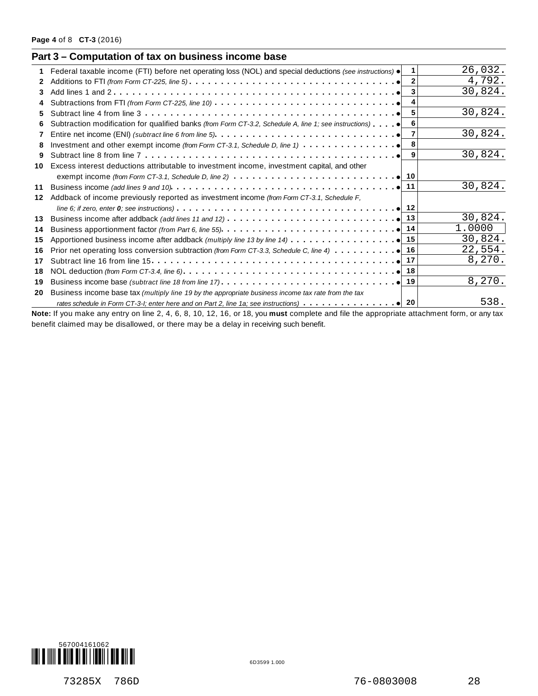|    | Part 3 – Computation of tax on business income base                                                                                             |                |         |
|----|-------------------------------------------------------------------------------------------------------------------------------------------------|----------------|---------|
|    | Federal taxable income (FTI) before net operating loss (NOL) and special deductions (see instructions) $\bullet$                                | 1.             | 26,032. |
| 2  | Additions to FTI (from Form CT-225, line 5) $\ldots \ldots \ldots \ldots \ldots \ldots \ldots \ldots \ldots \ldots \ldots \ldots \cdot \bullet$ | $\overline{2}$ | 4,792.  |
| 3  |                                                                                                                                                 |                | 30,824. |
|    |                                                                                                                                                 | 4              |         |
| 5  |                                                                                                                                                 | 5              | 30,824. |
| 6  | Subtraction modification for qualified banks (from Form CT-3.2, Schedule A, line 1; see instructions) $\bullet$                                 | 6              |         |
|    |                                                                                                                                                 | 7              | 30,824. |
| 8  |                                                                                                                                                 | 8              |         |
| 9  | Subtract line 8 from line 7 $\dots \dots \dots \dots \dots \dots \dots \dots \dots \dots \dots \dots \dots \dots \dots \dots$                   | 9              | 30,824. |
| 10 | Excess interest deductions attributable to investment income, investment capital, and other                                                     |                |         |
|    |                                                                                                                                                 |                |         |
| 11 |                                                                                                                                                 |                | 30,824. |
| 12 | Addback of income previously reported as investment income (from Form CT-3.1, Schedule F,                                                       |                |         |
|    |                                                                                                                                                 |                |         |
| 13 |                                                                                                                                                 |                | 30,824. |
| 14 |                                                                                                                                                 |                | 1.0000  |
| 15 |                                                                                                                                                 |                | 30,824. |
| 16 |                                                                                                                                                 |                | 22,554. |
| 17 |                                                                                                                                                 |                | 8,270.  |
| 18 |                                                                                                                                                 |                |         |
| 19 |                                                                                                                                                 |                | 8,270.  |
| 20 | Business income base tax (multiply line 19 by the appropriate business income tax rate from the tax                                             |                |         |
|    |                                                                                                                                                 |                | 538.    |

benefit claimed may be disallowed, or there may be a delay in receiving such benefit.



73285X 786D 76-0803008 28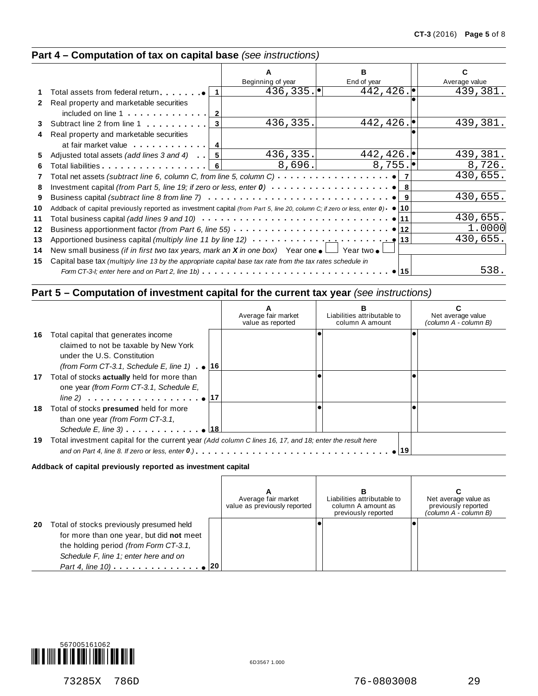#### **Part 4 – Computation of tax on capital base** *(see instructions)*

|              |                                                                                                                                                     |                   | R                  |               |
|--------------|-----------------------------------------------------------------------------------------------------------------------------------------------------|-------------------|--------------------|---------------|
|              |                                                                                                                                                     | Beginning of year | End of year        | Average value |
|              | Total assets from federal return $\bullet$   1                                                                                                      | 436, 335.         | 442, 426.          | 439,381.      |
| $\mathbf{2}$ | Real property and marketable securities                                                                                                             |                   |                    |               |
|              | included on line $1 \ldots \ldots \ldots$                                                                                                           |                   |                    |               |
| 3            | 3<br>Subtract line 2 from line 1                                                                                                                    | 436,335.          | 442, 426.          | 439,381.      |
| 4            | Real property and marketable securities                                                                                                             |                   |                    |               |
|              | at fair market value   4                                                                                                                            |                   |                    |               |
| 5            | Adjusted total assets (add lines 3 and 4) $\vert 5 \vert$                                                                                           | 436,335.          | 442, 426.          | 439,381.      |
| 6            | Total liabilities experience and the Total liabilities                                                                                              | 8,696.            | $8,755.$ $\bullet$ | 8,726.        |
| 7            | Total net assets (subtract line 6, column C, from line 5, column C) $\cdots \cdots \cdots \cdots \cdots$                                            |                   |                    | 430,655.      |
| 8            | Investment capital (from Part 5, line 19; if zero or less, enter $0$ ) $\cdots$ $\cdots$ $\cdots$ $\cdots$ $\cdots$ $\cdots$ $\cdots$ $\bullet$   8 |                   |                    |               |
| 9            |                                                                                                                                                     |                   |                    | 430,655.      |
| 10           | Addback of capital previously reported as investment capital (from Part 5, line 20, column C; if zero or less, enter $0$ ) $\bullet$ 10             |                   |                    |               |
| 11           |                                                                                                                                                     |                   |                    | 430,655.      |
| 12           | Business apportionment factor (from Part 6, line 55) $\ldots \ldots \ldots \ldots \ldots \ldots \ldots \ldots$                                      |                   |                    | 1.0000        |
| 13           | Apportioned business capital (multiply line 11 by line 12) $\cdots \cdots \cdots \cdots$                                                            |                   |                    | 430,655.      |
| 14           | New small business <i>(if in first two tax years, mark an <b>X</b> in one box)</i> Year one $\bullet$ $\Box$ Year two $\bullet$                     |                   |                    |               |
|              |                                                                                                                                                     |                   |                    |               |
| 15           | Capital base tax (multiply line 13 by the appropriate capital base tax rate from the tax rates schedule in                                          |                   |                    | 538.          |
|              |                                                                                                                                                     |                   | •⊺15               |               |

#### **Part 5 – Computation of investment capital for the current tax year** *(see instructions)*

#### **Addback of capital previously reported as investment capital**

|    |                                                                                                                                                                        | Average fair market<br>value as previously reported | в<br>Liabilities attributable to<br>column A amount as<br>previously reported | Net average value as<br>previously reported<br>(column A - column B) |
|----|------------------------------------------------------------------------------------------------------------------------------------------------------------------------|-----------------------------------------------------|-------------------------------------------------------------------------------|----------------------------------------------------------------------|
| 20 | Total of stocks previously presumed held<br>for more than one year, but did not meet<br>the holding period (from Form CT-3.1,<br>Schedule F, line 1; enter here and on |                                                     |                                                                               |                                                                      |

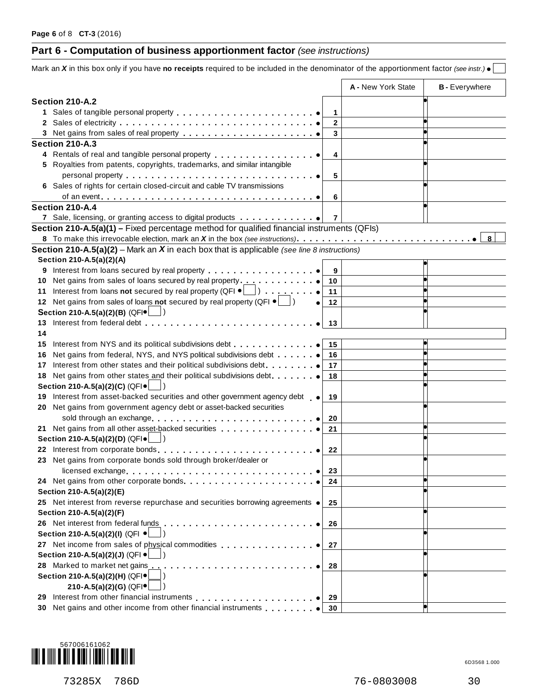### **Part 6 - Computation of business apportionment factor** *(see instructions)*

| A - New York State<br><b>B</b> - Everywhere<br>Section 210-A.2<br>1<br>$\mathbf{2}$<br>3<br>Section 210-A.3<br>4 Rentals of real and tangible personal property <b>Act as a contract of the Rental</b> Section 1.1 and 2.1 and 2.1 and 2.1 and 2.1 and 2.1 and 2.1 and 2.1 and 2.1 and 2.1 and 2.1 and 2.1 and 2.1 and 2.1 and 2.1 and 2.1 and 2.1<br>4<br>5 Royalties from patents, copyrights, trademarks, and similar intangible<br>5<br>6 Sales of rights for certain closed-circuit and cable TV transmissions<br>6<br>Section 210-A.4<br>7 Sale, licensing, or granting access to digital products<br>7<br>Section 210-A.5(a)(1) - Fixed percentage method for qualified financial instruments (QFIs)<br>8<br><b>Section 210-A.5(a)(2)</b> – Mark an $X$ in each box that is applicable (see line 8 instructions)<br>Section 210-A.5(a)(2)(A)<br>Interest from loans secured by real property<br>9<br>9<br>10 Net gains from sales of loans secured by real property<br>10<br>11 Interest from loans not secured by real property (QFI $\bullet$ \[allequal )<br>11<br>12 Net gains from sales of loans not secured by real property (QFI $\bullet$ $\Box$ )<br>12<br>Section 210-A.5(a)(2)(B) (QFI $\bullet$<br>13<br>13<br>14<br>Interest from NYS and its political subdivisions debt<br>15<br>15<br>16<br>16<br>Interest from other states and their political subdivisions debt.<br>17<br>17<br>Net gains from other states and their political subdivisions debt.<br>18<br>18<br>Section 210-A.5(a)(2)(C) (QFI .<br>Interest from asset-backed securities and other government agency debt<br>19<br>19<br>20 Net gains from government agency debt or asset-backed securities<br>20<br>21 Net gains from all other asset-backed securities<br>21<br>Section 210-A.5(a)(2)(D) (QFI .<br>22 Interest from corporate bonds<br>22<br>23 Net gains from corporate bonds sold through broker/dealer or<br>licensed exchange<br>23<br>24 Net gains from other corporate bonds.<br>24<br>Section 210-A.5(a)(2)(E)<br>25 Net interest from reverse repurchase and securities borrowing agreements .<br>25<br>Section 210-A.5(a)(2)(F)<br>26 Net interest from federal funds<br>26<br>Section 210-A.5(a)(2)(I) (QFI ●<br>27 Net income from sales of physical commodities entitled and success of physical commodities<br>27<br>Section 210-A.5(a)(2)(J) (QFI ·<br>28 Marked to market net gains<br>.<br>28<br>Section 210-A.5(a)(2)(H) (QFI.<br>210-A.5(a)(2)(G) (QFI·<br>Interest from other financial instruments<br>29<br>29<br>30 Net gains and other income from other financial instruments<br>30 | Mark an X in this box only if you have no receipts required to be included in the denominator of the apportionment factor (see instr.) . |  |  |  |  |  |  |
|------------------------------------------------------------------------------------------------------------------------------------------------------------------------------------------------------------------------------------------------------------------------------------------------------------------------------------------------------------------------------------------------------------------------------------------------------------------------------------------------------------------------------------------------------------------------------------------------------------------------------------------------------------------------------------------------------------------------------------------------------------------------------------------------------------------------------------------------------------------------------------------------------------------------------------------------------------------------------------------------------------------------------------------------------------------------------------------------------------------------------------------------------------------------------------------------------------------------------------------------------------------------------------------------------------------------------------------------------------------------------------------------------------------------------------------------------------------------------------------------------------------------------------------------------------------------------------------------------------------------------------------------------------------------------------------------------------------------------------------------------------------------------------------------------------------------------------------------------------------------------------------------------------------------------------------------------------------------------------------------------------------------------------------------------------------------------------------------------------------------------------------------------------------------------------------------------------------------------------------------------------------------------------------------------------------------------------------------------------------------------------------------------------------------------------------------------------------------------------------------------------------------------------------------------------------------------------------------------------|------------------------------------------------------------------------------------------------------------------------------------------|--|--|--|--|--|--|
|                                                                                                                                                                                                                                                                                                                                                                                                                                                                                                                                                                                                                                                                                                                                                                                                                                                                                                                                                                                                                                                                                                                                                                                                                                                                                                                                                                                                                                                                                                                                                                                                                                                                                                                                                                                                                                                                                                                                                                                                                                                                                                                                                                                                                                                                                                                                                                                                                                                                                                                                                                                                            |                                                                                                                                          |  |  |  |  |  |  |
|                                                                                                                                                                                                                                                                                                                                                                                                                                                                                                                                                                                                                                                                                                                                                                                                                                                                                                                                                                                                                                                                                                                                                                                                                                                                                                                                                                                                                                                                                                                                                                                                                                                                                                                                                                                                                                                                                                                                                                                                                                                                                                                                                                                                                                                                                                                                                                                                                                                                                                                                                                                                            |                                                                                                                                          |  |  |  |  |  |  |
|                                                                                                                                                                                                                                                                                                                                                                                                                                                                                                                                                                                                                                                                                                                                                                                                                                                                                                                                                                                                                                                                                                                                                                                                                                                                                                                                                                                                                                                                                                                                                                                                                                                                                                                                                                                                                                                                                                                                                                                                                                                                                                                                                                                                                                                                                                                                                                                                                                                                                                                                                                                                            |                                                                                                                                          |  |  |  |  |  |  |
|                                                                                                                                                                                                                                                                                                                                                                                                                                                                                                                                                                                                                                                                                                                                                                                                                                                                                                                                                                                                                                                                                                                                                                                                                                                                                                                                                                                                                                                                                                                                                                                                                                                                                                                                                                                                                                                                                                                                                                                                                                                                                                                                                                                                                                                                                                                                                                                                                                                                                                                                                                                                            |                                                                                                                                          |  |  |  |  |  |  |
|                                                                                                                                                                                                                                                                                                                                                                                                                                                                                                                                                                                                                                                                                                                                                                                                                                                                                                                                                                                                                                                                                                                                                                                                                                                                                                                                                                                                                                                                                                                                                                                                                                                                                                                                                                                                                                                                                                                                                                                                                                                                                                                                                                                                                                                                                                                                                                                                                                                                                                                                                                                                            |                                                                                                                                          |  |  |  |  |  |  |
|                                                                                                                                                                                                                                                                                                                                                                                                                                                                                                                                                                                                                                                                                                                                                                                                                                                                                                                                                                                                                                                                                                                                                                                                                                                                                                                                                                                                                                                                                                                                                                                                                                                                                                                                                                                                                                                                                                                                                                                                                                                                                                                                                                                                                                                                                                                                                                                                                                                                                                                                                                                                            |                                                                                                                                          |  |  |  |  |  |  |
|                                                                                                                                                                                                                                                                                                                                                                                                                                                                                                                                                                                                                                                                                                                                                                                                                                                                                                                                                                                                                                                                                                                                                                                                                                                                                                                                                                                                                                                                                                                                                                                                                                                                                                                                                                                                                                                                                                                                                                                                                                                                                                                                                                                                                                                                                                                                                                                                                                                                                                                                                                                                            |                                                                                                                                          |  |  |  |  |  |  |
|                                                                                                                                                                                                                                                                                                                                                                                                                                                                                                                                                                                                                                                                                                                                                                                                                                                                                                                                                                                                                                                                                                                                                                                                                                                                                                                                                                                                                                                                                                                                                                                                                                                                                                                                                                                                                                                                                                                                                                                                                                                                                                                                                                                                                                                                                                                                                                                                                                                                                                                                                                                                            |                                                                                                                                          |  |  |  |  |  |  |
|                                                                                                                                                                                                                                                                                                                                                                                                                                                                                                                                                                                                                                                                                                                                                                                                                                                                                                                                                                                                                                                                                                                                                                                                                                                                                                                                                                                                                                                                                                                                                                                                                                                                                                                                                                                                                                                                                                                                                                                                                                                                                                                                                                                                                                                                                                                                                                                                                                                                                                                                                                                                            |                                                                                                                                          |  |  |  |  |  |  |
|                                                                                                                                                                                                                                                                                                                                                                                                                                                                                                                                                                                                                                                                                                                                                                                                                                                                                                                                                                                                                                                                                                                                                                                                                                                                                                                                                                                                                                                                                                                                                                                                                                                                                                                                                                                                                                                                                                                                                                                                                                                                                                                                                                                                                                                                                                                                                                                                                                                                                                                                                                                                            |                                                                                                                                          |  |  |  |  |  |  |
|                                                                                                                                                                                                                                                                                                                                                                                                                                                                                                                                                                                                                                                                                                                                                                                                                                                                                                                                                                                                                                                                                                                                                                                                                                                                                                                                                                                                                                                                                                                                                                                                                                                                                                                                                                                                                                                                                                                                                                                                                                                                                                                                                                                                                                                                                                                                                                                                                                                                                                                                                                                                            |                                                                                                                                          |  |  |  |  |  |  |
|                                                                                                                                                                                                                                                                                                                                                                                                                                                                                                                                                                                                                                                                                                                                                                                                                                                                                                                                                                                                                                                                                                                                                                                                                                                                                                                                                                                                                                                                                                                                                                                                                                                                                                                                                                                                                                                                                                                                                                                                                                                                                                                                                                                                                                                                                                                                                                                                                                                                                                                                                                                                            |                                                                                                                                          |  |  |  |  |  |  |
|                                                                                                                                                                                                                                                                                                                                                                                                                                                                                                                                                                                                                                                                                                                                                                                                                                                                                                                                                                                                                                                                                                                                                                                                                                                                                                                                                                                                                                                                                                                                                                                                                                                                                                                                                                                                                                                                                                                                                                                                                                                                                                                                                                                                                                                                                                                                                                                                                                                                                                                                                                                                            |                                                                                                                                          |  |  |  |  |  |  |
|                                                                                                                                                                                                                                                                                                                                                                                                                                                                                                                                                                                                                                                                                                                                                                                                                                                                                                                                                                                                                                                                                                                                                                                                                                                                                                                                                                                                                                                                                                                                                                                                                                                                                                                                                                                                                                                                                                                                                                                                                                                                                                                                                                                                                                                                                                                                                                                                                                                                                                                                                                                                            |                                                                                                                                          |  |  |  |  |  |  |
|                                                                                                                                                                                                                                                                                                                                                                                                                                                                                                                                                                                                                                                                                                                                                                                                                                                                                                                                                                                                                                                                                                                                                                                                                                                                                                                                                                                                                                                                                                                                                                                                                                                                                                                                                                                                                                                                                                                                                                                                                                                                                                                                                                                                                                                                                                                                                                                                                                                                                                                                                                                                            |                                                                                                                                          |  |  |  |  |  |  |
|                                                                                                                                                                                                                                                                                                                                                                                                                                                                                                                                                                                                                                                                                                                                                                                                                                                                                                                                                                                                                                                                                                                                                                                                                                                                                                                                                                                                                                                                                                                                                                                                                                                                                                                                                                                                                                                                                                                                                                                                                                                                                                                                                                                                                                                                                                                                                                                                                                                                                                                                                                                                            |                                                                                                                                          |  |  |  |  |  |  |
|                                                                                                                                                                                                                                                                                                                                                                                                                                                                                                                                                                                                                                                                                                                                                                                                                                                                                                                                                                                                                                                                                                                                                                                                                                                                                                                                                                                                                                                                                                                                                                                                                                                                                                                                                                                                                                                                                                                                                                                                                                                                                                                                                                                                                                                                                                                                                                                                                                                                                                                                                                                                            |                                                                                                                                          |  |  |  |  |  |  |
|                                                                                                                                                                                                                                                                                                                                                                                                                                                                                                                                                                                                                                                                                                                                                                                                                                                                                                                                                                                                                                                                                                                                                                                                                                                                                                                                                                                                                                                                                                                                                                                                                                                                                                                                                                                                                                                                                                                                                                                                                                                                                                                                                                                                                                                                                                                                                                                                                                                                                                                                                                                                            |                                                                                                                                          |  |  |  |  |  |  |
|                                                                                                                                                                                                                                                                                                                                                                                                                                                                                                                                                                                                                                                                                                                                                                                                                                                                                                                                                                                                                                                                                                                                                                                                                                                                                                                                                                                                                                                                                                                                                                                                                                                                                                                                                                                                                                                                                                                                                                                                                                                                                                                                                                                                                                                                                                                                                                                                                                                                                                                                                                                                            |                                                                                                                                          |  |  |  |  |  |  |
|                                                                                                                                                                                                                                                                                                                                                                                                                                                                                                                                                                                                                                                                                                                                                                                                                                                                                                                                                                                                                                                                                                                                                                                                                                                                                                                                                                                                                                                                                                                                                                                                                                                                                                                                                                                                                                                                                                                                                                                                                                                                                                                                                                                                                                                                                                                                                                                                                                                                                                                                                                                                            |                                                                                                                                          |  |  |  |  |  |  |
|                                                                                                                                                                                                                                                                                                                                                                                                                                                                                                                                                                                                                                                                                                                                                                                                                                                                                                                                                                                                                                                                                                                                                                                                                                                                                                                                                                                                                                                                                                                                                                                                                                                                                                                                                                                                                                                                                                                                                                                                                                                                                                                                                                                                                                                                                                                                                                                                                                                                                                                                                                                                            |                                                                                                                                          |  |  |  |  |  |  |
|                                                                                                                                                                                                                                                                                                                                                                                                                                                                                                                                                                                                                                                                                                                                                                                                                                                                                                                                                                                                                                                                                                                                                                                                                                                                                                                                                                                                                                                                                                                                                                                                                                                                                                                                                                                                                                                                                                                                                                                                                                                                                                                                                                                                                                                                                                                                                                                                                                                                                                                                                                                                            |                                                                                                                                          |  |  |  |  |  |  |
|                                                                                                                                                                                                                                                                                                                                                                                                                                                                                                                                                                                                                                                                                                                                                                                                                                                                                                                                                                                                                                                                                                                                                                                                                                                                                                                                                                                                                                                                                                                                                                                                                                                                                                                                                                                                                                                                                                                                                                                                                                                                                                                                                                                                                                                                                                                                                                                                                                                                                                                                                                                                            |                                                                                                                                          |  |  |  |  |  |  |
|                                                                                                                                                                                                                                                                                                                                                                                                                                                                                                                                                                                                                                                                                                                                                                                                                                                                                                                                                                                                                                                                                                                                                                                                                                                                                                                                                                                                                                                                                                                                                                                                                                                                                                                                                                                                                                                                                                                                                                                                                                                                                                                                                                                                                                                                                                                                                                                                                                                                                                                                                                                                            |                                                                                                                                          |  |  |  |  |  |  |
|                                                                                                                                                                                                                                                                                                                                                                                                                                                                                                                                                                                                                                                                                                                                                                                                                                                                                                                                                                                                                                                                                                                                                                                                                                                                                                                                                                                                                                                                                                                                                                                                                                                                                                                                                                                                                                                                                                                                                                                                                                                                                                                                                                                                                                                                                                                                                                                                                                                                                                                                                                                                            |                                                                                                                                          |  |  |  |  |  |  |
|                                                                                                                                                                                                                                                                                                                                                                                                                                                                                                                                                                                                                                                                                                                                                                                                                                                                                                                                                                                                                                                                                                                                                                                                                                                                                                                                                                                                                                                                                                                                                                                                                                                                                                                                                                                                                                                                                                                                                                                                                                                                                                                                                                                                                                                                                                                                                                                                                                                                                                                                                                                                            |                                                                                                                                          |  |  |  |  |  |  |
|                                                                                                                                                                                                                                                                                                                                                                                                                                                                                                                                                                                                                                                                                                                                                                                                                                                                                                                                                                                                                                                                                                                                                                                                                                                                                                                                                                                                                                                                                                                                                                                                                                                                                                                                                                                                                                                                                                                                                                                                                                                                                                                                                                                                                                                                                                                                                                                                                                                                                                                                                                                                            |                                                                                                                                          |  |  |  |  |  |  |
|                                                                                                                                                                                                                                                                                                                                                                                                                                                                                                                                                                                                                                                                                                                                                                                                                                                                                                                                                                                                                                                                                                                                                                                                                                                                                                                                                                                                                                                                                                                                                                                                                                                                                                                                                                                                                                                                                                                                                                                                                                                                                                                                                                                                                                                                                                                                                                                                                                                                                                                                                                                                            |                                                                                                                                          |  |  |  |  |  |  |
|                                                                                                                                                                                                                                                                                                                                                                                                                                                                                                                                                                                                                                                                                                                                                                                                                                                                                                                                                                                                                                                                                                                                                                                                                                                                                                                                                                                                                                                                                                                                                                                                                                                                                                                                                                                                                                                                                                                                                                                                                                                                                                                                                                                                                                                                                                                                                                                                                                                                                                                                                                                                            |                                                                                                                                          |  |  |  |  |  |  |
|                                                                                                                                                                                                                                                                                                                                                                                                                                                                                                                                                                                                                                                                                                                                                                                                                                                                                                                                                                                                                                                                                                                                                                                                                                                                                                                                                                                                                                                                                                                                                                                                                                                                                                                                                                                                                                                                                                                                                                                                                                                                                                                                                                                                                                                                                                                                                                                                                                                                                                                                                                                                            |                                                                                                                                          |  |  |  |  |  |  |
|                                                                                                                                                                                                                                                                                                                                                                                                                                                                                                                                                                                                                                                                                                                                                                                                                                                                                                                                                                                                                                                                                                                                                                                                                                                                                                                                                                                                                                                                                                                                                                                                                                                                                                                                                                                                                                                                                                                                                                                                                                                                                                                                                                                                                                                                                                                                                                                                                                                                                                                                                                                                            |                                                                                                                                          |  |  |  |  |  |  |
|                                                                                                                                                                                                                                                                                                                                                                                                                                                                                                                                                                                                                                                                                                                                                                                                                                                                                                                                                                                                                                                                                                                                                                                                                                                                                                                                                                                                                                                                                                                                                                                                                                                                                                                                                                                                                                                                                                                                                                                                                                                                                                                                                                                                                                                                                                                                                                                                                                                                                                                                                                                                            |                                                                                                                                          |  |  |  |  |  |  |
|                                                                                                                                                                                                                                                                                                                                                                                                                                                                                                                                                                                                                                                                                                                                                                                                                                                                                                                                                                                                                                                                                                                                                                                                                                                                                                                                                                                                                                                                                                                                                                                                                                                                                                                                                                                                                                                                                                                                                                                                                                                                                                                                                                                                                                                                                                                                                                                                                                                                                                                                                                                                            |                                                                                                                                          |  |  |  |  |  |  |
|                                                                                                                                                                                                                                                                                                                                                                                                                                                                                                                                                                                                                                                                                                                                                                                                                                                                                                                                                                                                                                                                                                                                                                                                                                                                                                                                                                                                                                                                                                                                                                                                                                                                                                                                                                                                                                                                                                                                                                                                                                                                                                                                                                                                                                                                                                                                                                                                                                                                                                                                                                                                            |                                                                                                                                          |  |  |  |  |  |  |
|                                                                                                                                                                                                                                                                                                                                                                                                                                                                                                                                                                                                                                                                                                                                                                                                                                                                                                                                                                                                                                                                                                                                                                                                                                                                                                                                                                                                                                                                                                                                                                                                                                                                                                                                                                                                                                                                                                                                                                                                                                                                                                                                                                                                                                                                                                                                                                                                                                                                                                                                                                                                            |                                                                                                                                          |  |  |  |  |  |  |
|                                                                                                                                                                                                                                                                                                                                                                                                                                                                                                                                                                                                                                                                                                                                                                                                                                                                                                                                                                                                                                                                                                                                                                                                                                                                                                                                                                                                                                                                                                                                                                                                                                                                                                                                                                                                                                                                                                                                                                                                                                                                                                                                                                                                                                                                                                                                                                                                                                                                                                                                                                                                            |                                                                                                                                          |  |  |  |  |  |  |
|                                                                                                                                                                                                                                                                                                                                                                                                                                                                                                                                                                                                                                                                                                                                                                                                                                                                                                                                                                                                                                                                                                                                                                                                                                                                                                                                                                                                                                                                                                                                                                                                                                                                                                                                                                                                                                                                                                                                                                                                                                                                                                                                                                                                                                                                                                                                                                                                                                                                                                                                                                                                            |                                                                                                                                          |  |  |  |  |  |  |
|                                                                                                                                                                                                                                                                                                                                                                                                                                                                                                                                                                                                                                                                                                                                                                                                                                                                                                                                                                                                                                                                                                                                                                                                                                                                                                                                                                                                                                                                                                                                                                                                                                                                                                                                                                                                                                                                                                                                                                                                                                                                                                                                                                                                                                                                                                                                                                                                                                                                                                                                                                                                            |                                                                                                                                          |  |  |  |  |  |  |
|                                                                                                                                                                                                                                                                                                                                                                                                                                                                                                                                                                                                                                                                                                                                                                                                                                                                                                                                                                                                                                                                                                                                                                                                                                                                                                                                                                                                                                                                                                                                                                                                                                                                                                                                                                                                                                                                                                                                                                                                                                                                                                                                                                                                                                                                                                                                                                                                                                                                                                                                                                                                            |                                                                                                                                          |  |  |  |  |  |  |
|                                                                                                                                                                                                                                                                                                                                                                                                                                                                                                                                                                                                                                                                                                                                                                                                                                                                                                                                                                                                                                                                                                                                                                                                                                                                                                                                                                                                                                                                                                                                                                                                                                                                                                                                                                                                                                                                                                                                                                                                                                                                                                                                                                                                                                                                                                                                                                                                                                                                                                                                                                                                            |                                                                                                                                          |  |  |  |  |  |  |
|                                                                                                                                                                                                                                                                                                                                                                                                                                                                                                                                                                                                                                                                                                                                                                                                                                                                                                                                                                                                                                                                                                                                                                                                                                                                                                                                                                                                                                                                                                                                                                                                                                                                                                                                                                                                                                                                                                                                                                                                                                                                                                                                                                                                                                                                                                                                                                                                                                                                                                                                                                                                            |                                                                                                                                          |  |  |  |  |  |  |
|                                                                                                                                                                                                                                                                                                                                                                                                                                                                                                                                                                                                                                                                                                                                                                                                                                                                                                                                                                                                                                                                                                                                                                                                                                                                                                                                                                                                                                                                                                                                                                                                                                                                                                                                                                                                                                                                                                                                                                                                                                                                                                                                                                                                                                                                                                                                                                                                                                                                                                                                                                                                            |                                                                                                                                          |  |  |  |  |  |  |
|                                                                                                                                                                                                                                                                                                                                                                                                                                                                                                                                                                                                                                                                                                                                                                                                                                                                                                                                                                                                                                                                                                                                                                                                                                                                                                                                                                                                                                                                                                                                                                                                                                                                                                                                                                                                                                                                                                                                                                                                                                                                                                                                                                                                                                                                                                                                                                                                                                                                                                                                                                                                            |                                                                                                                                          |  |  |  |  |  |  |
|                                                                                                                                                                                                                                                                                                                                                                                                                                                                                                                                                                                                                                                                                                                                                                                                                                                                                                                                                                                                                                                                                                                                                                                                                                                                                                                                                                                                                                                                                                                                                                                                                                                                                                                                                                                                                                                                                                                                                                                                                                                                                                                                                                                                                                                                                                                                                                                                                                                                                                                                                                                                            |                                                                                                                                          |  |  |  |  |  |  |
|                                                                                                                                                                                                                                                                                                                                                                                                                                                                                                                                                                                                                                                                                                                                                                                                                                                                                                                                                                                                                                                                                                                                                                                                                                                                                                                                                                                                                                                                                                                                                                                                                                                                                                                                                                                                                                                                                                                                                                                                                                                                                                                                                                                                                                                                                                                                                                                                                                                                                                                                                                                                            |                                                                                                                                          |  |  |  |  |  |  |
|                                                                                                                                                                                                                                                                                                                                                                                                                                                                                                                                                                                                                                                                                                                                                                                                                                                                                                                                                                                                                                                                                                                                                                                                                                                                                                                                                                                                                                                                                                                                                                                                                                                                                                                                                                                                                                                                                                                                                                                                                                                                                                                                                                                                                                                                                                                                                                                                                                                                                                                                                                                                            |                                                                                                                                          |  |  |  |  |  |  |
|                                                                                                                                                                                                                                                                                                                                                                                                                                                                                                                                                                                                                                                                                                                                                                                                                                                                                                                                                                                                                                                                                                                                                                                                                                                                                                                                                                                                                                                                                                                                                                                                                                                                                                                                                                                                                                                                                                                                                                                                                                                                                                                                                                                                                                                                                                                                                                                                                                                                                                                                                                                                            |                                                                                                                                          |  |  |  |  |  |  |
|                                                                                                                                                                                                                                                                                                                                                                                                                                                                                                                                                                                                                                                                                                                                                                                                                                                                                                                                                                                                                                                                                                                                                                                                                                                                                                                                                                                                                                                                                                                                                                                                                                                                                                                                                                                                                                                                                                                                                                                                                                                                                                                                                                                                                                                                                                                                                                                                                                                                                                                                                                                                            |                                                                                                                                          |  |  |  |  |  |  |
|                                                                                                                                                                                                                                                                                                                                                                                                                                                                                                                                                                                                                                                                                                                                                                                                                                                                                                                                                                                                                                                                                                                                                                                                                                                                                                                                                                                                                                                                                                                                                                                                                                                                                                                                                                                                                                                                                                                                                                                                                                                                                                                                                                                                                                                                                                                                                                                                                                                                                                                                                                                                            |                                                                                                                                          |  |  |  |  |  |  |
|                                                                                                                                                                                                                                                                                                                                                                                                                                                                                                                                                                                                                                                                                                                                                                                                                                                                                                                                                                                                                                                                                                                                                                                                                                                                                                                                                                                                                                                                                                                                                                                                                                                                                                                                                                                                                                                                                                                                                                                                                                                                                                                                                                                                                                                                                                                                                                                                                                                                                                                                                                                                            |                                                                                                                                          |  |  |  |  |  |  |

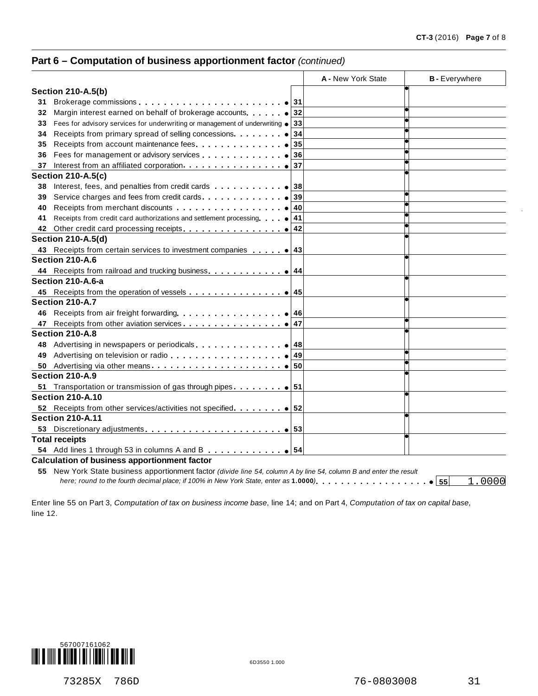#### **Part 6 – Computation of business apportionment factor** *(continued)*

|    |                                                                                                                                                                                                                                | A - New York State | <b>B</b> - Everywhere |
|----|--------------------------------------------------------------------------------------------------------------------------------------------------------------------------------------------------------------------------------|--------------------|-----------------------|
|    | <b>Section 210-A.5(b)</b>                                                                                                                                                                                                      |                    |                       |
| 31 | Brokerage commissions experience and a set of 31                                                                                                                                                                               |                    |                       |
| 32 |                                                                                                                                                                                                                                |                    |                       |
| 33 | Fees for advisory services for underwriting or management of underwriting $\bullet$ 33                                                                                                                                         |                    |                       |
| 34 |                                                                                                                                                                                                                                | 34                 |                       |
| 35 |                                                                                                                                                                                                                                | 35                 |                       |
| 36 | Fees for management or advisory services expression of the set of the set of the set of the set of the set of the set of the set of the set of the set of the set of the set of the set of the set of the set of the set of th | 36                 |                       |
| 37 |                                                                                                                                                                                                                                |                    |                       |
|    | <b>Section 210-A.5(c)</b>                                                                                                                                                                                                      |                    |                       |
| 38 | Interest, fees, and penalties from credit cards $\ldots$ , $\ldots$ , $\bullet$ 38                                                                                                                                             |                    |                       |
| 39 |                                                                                                                                                                                                                                | 39                 |                       |
| 40 |                                                                                                                                                                                                                                |                    |                       |
| 41 | Receipts from credit card authorizations and settlement processing $\bullet$ 41                                                                                                                                                |                    |                       |
| 42 |                                                                                                                                                                                                                                |                    |                       |
|    | <b>Section 210-A.5(d)</b>                                                                                                                                                                                                      |                    |                       |
|    | 43 Receipts from certain services to investment companies 43                                                                                                                                                                   |                    |                       |
|    | Section 210-A.6                                                                                                                                                                                                                |                    |                       |
|    | 44 Receipts from railroad and trucking business. 0 44                                                                                                                                                                          |                    |                       |
|    | Section 210-A.6-a                                                                                                                                                                                                              |                    |                       |
|    |                                                                                                                                                                                                                                |                    |                       |
|    | Section 210-A.7                                                                                                                                                                                                                |                    |                       |
| 46 |                                                                                                                                                                                                                                |                    |                       |
| 47 |                                                                                                                                                                                                                                |                    |                       |
|    | Section 210-A.8                                                                                                                                                                                                                |                    |                       |
| 48 | Advertising in newspapers or periodicals express and the set of 48                                                                                                                                                             |                    |                       |
| 49 |                                                                                                                                                                                                                                |                    |                       |
| 50 |                                                                                                                                                                                                                                |                    |                       |
|    | Section 210-A.9                                                                                                                                                                                                                |                    |                       |
| 51 | Transportation or transmission of gas through pipes                                                                                                                                                                            |                    |                       |
|    | <b>Section 210-A.10</b>                                                                                                                                                                                                        |                    |                       |
|    |                                                                                                                                                                                                                                |                    |                       |
|    | <b>Section 210-A.11</b>                                                                                                                                                                                                        |                    |                       |
| 53 |                                                                                                                                                                                                                                |                    |                       |
|    | <b>Total receipts</b>                                                                                                                                                                                                          |                    |                       |
|    |                                                                                                                                                                                                                                |                    |                       |
|    | <b>Calculation of business apportionment factor</b>                                                                                                                                                                            |                    |                       |
|    | 55 New York State business apportionment factor (divide line 54, column A by line 54, column B and enter the result                                                                                                            |                    |                       |
|    |                                                                                                                                                                                                                                |                    | 1.0000<br> 55         |

Enter line 55 on Part 3, *Computation of tax on business income base*, line 14; and on Part 4, *Computation of tax on capital base*, line 12.



73285X 786D 76-0803008 31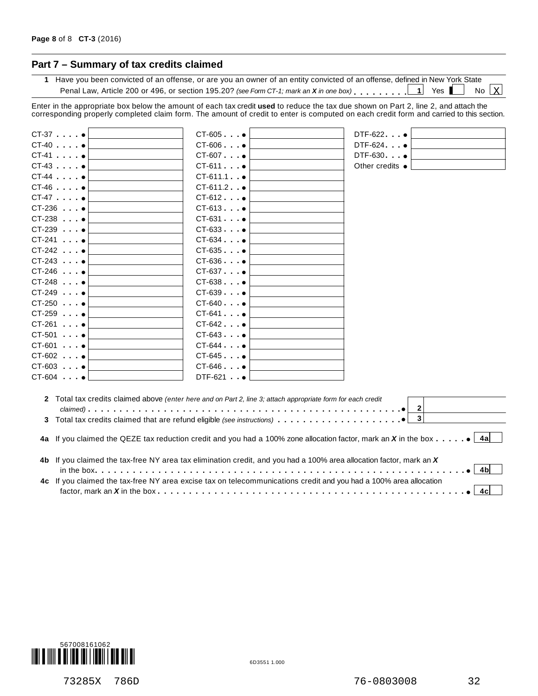#### **Part 7 – Summary of tax credits claimed**

**1** Have you been convicted of an offense, or are you an owner of an entity convicted of an offense, defined in New York State Penal Law, Article 200 or 496, or section 195.20? *(see Form CT-1; mark an*  $X$  *in one box*)  $\ldots$   $\ldots$   $\ldots$  1 Yes No  $X$ 

Enter in the appropriate box below the amount of each tax credit **used** to reduce the tax due shown on Part 2, line 2, and attach the corresponding properly completed claim form. The amount of credit to enter is computed on each credit form and carried to this section.

| $CT-37$ $•$        | $CT-605$ $\bullet$   | $DTF-622$ $\bullet$                                                                                                                       |     |
|--------------------|----------------------|-------------------------------------------------------------------------------------------------------------------------------------------|-----|
| $CT-40$ . $•$      | $CT-606$ $\bullet$   | DTF-624                                                                                                                                   |     |
| $CT-41$ . $•$      | $CT-607$ $\bullet$   | DTF-630 •                                                                                                                                 |     |
| $CT-43$ . $•$      | $CT-611$ $\bullet$   | Other credits $\bullet$                                                                                                                   |     |
| $CT-44$            | $CT-611.1$ $\bullet$ |                                                                                                                                           |     |
| $CT-46$ .          | $CT-611.2$ $\bullet$ |                                                                                                                                           |     |
| $CT-47$ $\bullet$  | $CT-612$ $\bullet$   |                                                                                                                                           |     |
| $CT-236$ $\bullet$ | $CT-613$             |                                                                                                                                           |     |
| $CT-238$ $\bullet$ | $CT-631$ $\bullet$   |                                                                                                                                           |     |
| $CT-239$ $•$       | $CT-633$ $\bullet$   |                                                                                                                                           |     |
| $CT-241$ $•$       | $CT-634$ $\bullet$   |                                                                                                                                           |     |
| $CT-242$ $\bullet$ | $CT-635$ $\bullet$   |                                                                                                                                           |     |
| $CT-243$           | $CT-636$ $\bullet$   |                                                                                                                                           |     |
| $CT-246$ $\bullet$ | $CT-637$ $\bullet$   |                                                                                                                                           |     |
| $CT-248$ $•$       | $CT-638$ $\bullet$   |                                                                                                                                           |     |
| $CT-249$ $\bullet$ | $CT-639$ $\bullet$   |                                                                                                                                           |     |
| $CT-250$ $•$       | $CT-640$ $\bullet$   |                                                                                                                                           |     |
| $CT-259$ $\bullet$ | $CT-641$             |                                                                                                                                           |     |
| $CT-261$ . $•$     | $CT-642$             |                                                                                                                                           |     |
| $CT-501$ $\bullet$ | $CT-643$             |                                                                                                                                           |     |
| $CT-601$ $•$       | $CT-644$ $\bullet$   |                                                                                                                                           |     |
| $CT-602$ $\bullet$ | $CT-645$ $\bullet$   |                                                                                                                                           |     |
| $CT-603$ $•$       | $CT-646$ $\bullet$   |                                                                                                                                           |     |
| $CT-604$ $•$       | $DTF-621$ $\bullet$  |                                                                                                                                           |     |
|                    |                      | 2 Total tax credits claimed above (enter here and on Part 2, line 3; attach appropriate form for each credit<br>$\mathbf{2}$              |     |
|                    |                      | $\overline{\mathbf{3}}$                                                                                                                   |     |
|                    |                      |                                                                                                                                           |     |
|                    |                      | 4a If you claimed the QEZE tax reduction credit and you had a 100% zone allocation factor, mark an X in the box $\ldots \cdot \cdot$   4a |     |
|                    |                      | 4b If you claimed the tax-free NY area tax elimination credit, and you had a 100% area allocation factor, mark an X                       |     |
|                    |                      |                                                                                                                                           | 4bl |
|                    |                      | 4c If you claimed the tax-free NY area excise tax on telecommunications credit and you had a 100% area allocation                         | 4cl |

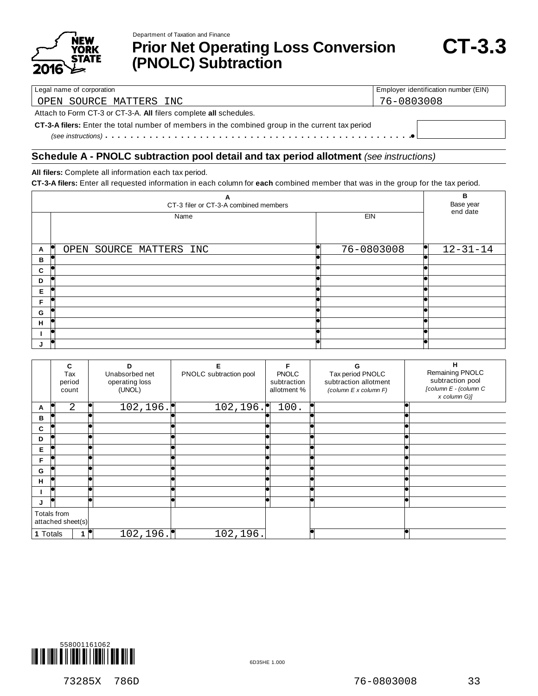

Department of Taxation and Finance

**Prior Net Operating Loss Conversion (PNOLC) Subtraction**

Legal name of corporation **Employer identification number (EIN)** Employer identification number (EIN)

OPEN SOURCE MATTERS INC 76-0803008

Attach to Form CT-3 or CT-3-A. **All** filers complete **all** schedules.

**CT-3-A filers:** Enter the total number of members in the combined group in the current tax period % *(see instructions)* m m m m m m m m m m m m m m m m m m m m m m m m m m m m m m m m m m m m m m m m m m m m m m m m m

#### **Schedule A - PNOLC subtraction pool detail and tax period allotment** *(see instructions)*

**All filers:** Complete all information each tax period.

**CT-3-A filers:** Enter all requested information in each column for **each** combined member that was in the group for the tax period.

|   | в<br>Base year          |            |                |
|---|-------------------------|------------|----------------|
|   | Name                    | EIN        | end date       |
| A | OPEN SOURCE MATTERS INC | 76-0803008 | $12 - 31 - 14$ |
| в |                         |            |                |
| C |                         |            |                |
| D |                         |            |                |
| Е |                         |            |                |
| F |                         |            |                |
| G |                         |            |                |
| H |                         |            |                |
|   |                         |            |                |
|   |                         |            |                |

|          | C<br>Tax<br>period<br>count      | ח<br>Unabsorbed net<br>operating loss<br>(UNOL) | PNOLC subtraction pool | F<br><b>PNOLC</b><br>subtraction<br>allotment % | G<br>Tax period PNOLC<br>subtraction allotment<br>(column E x column F) | н<br>Remaining PNOLC<br>subtraction pool<br>[column E - (column C<br>x column G)] |
|----------|----------------------------------|-------------------------------------------------|------------------------|-------------------------------------------------|-------------------------------------------------------------------------|-----------------------------------------------------------------------------------|
| A        | $\overline{a}$                   | 102, 196.                                       | 102, 196.              | 100.                                            |                                                                         |                                                                                   |
| В        |                                  |                                                 |                        |                                                 |                                                                         |                                                                                   |
| C        |                                  |                                                 |                        |                                                 |                                                                         |                                                                                   |
| D        |                                  |                                                 |                        |                                                 |                                                                         |                                                                                   |
| Е        |                                  |                                                 |                        |                                                 |                                                                         |                                                                                   |
| F        |                                  |                                                 |                        |                                                 |                                                                         |                                                                                   |
| G        |                                  |                                                 |                        |                                                 |                                                                         |                                                                                   |
| н        |                                  |                                                 |                        |                                                 |                                                                         |                                                                                   |
|          |                                  |                                                 |                        |                                                 |                                                                         |                                                                                   |
| J        | To                               |                                                 |                        |                                                 |                                                                         |                                                                                   |
|          | Totals from<br>attached sheet(s) |                                                 |                        |                                                 |                                                                         |                                                                                   |
| 1 Totals |                                  | 102, 196.                                       | 102,196.               |                                                 |                                                                         |                                                                                   |

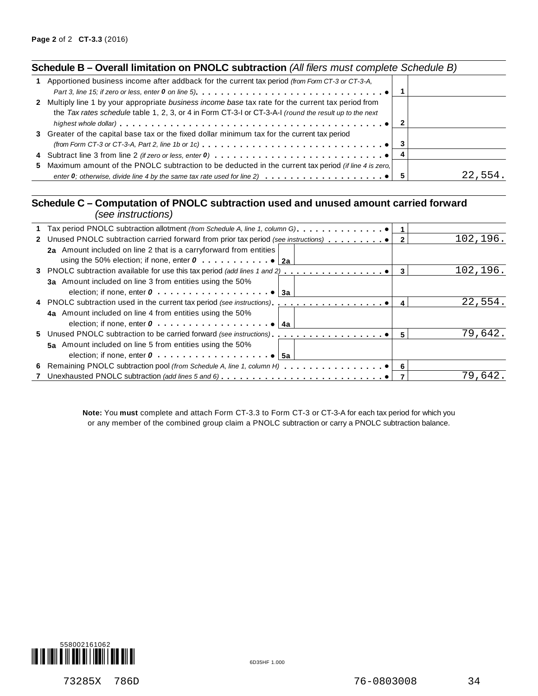| <b>Schedule B – Overall limitation on PNOLC subtraction (All filers must complete Schedule B)</b>                                                                                                                                |                         |         |
|----------------------------------------------------------------------------------------------------------------------------------------------------------------------------------------------------------------------------------|-------------------------|---------|
| 1 Apportioned business income after addback for the current tax period (from Form CT-3 or CT-3-A,                                                                                                                                | $\overline{1}$          |         |
| 2 Multiply line 1 by your appropriate business income base tax rate for the current tax period from<br>the Tax rates schedule table 1, 2, 3, or 4 in Form CT-3-I or CT-3-A-I (round the result up to the next                    | $\overline{\mathbf{2}}$ |         |
| 3 Greater of the capital base tax or the fixed dollar minimum tax for the current tax period<br>(from Form CT-3 or CT-3-A, Part 2, line 1b or 1c) $\ldots \ldots \ldots \ldots \ldots \ldots \ldots \ldots \ldots \ldots \ldots$ |                         |         |
|                                                                                                                                                                                                                                  |                         |         |
| 5 Maximum amount of the PNOLC subtraction to be deducted in the current tax period (if line 4 is zero,                                                                                                                           |                         | 22,554. |

#### **Schedule C – Computation of PNOLC subtraction used and unused amount carried forward** *(see instructions)*

| ו טיווטיוועווויטריווי טעטן                                                                  |   |           |
|---------------------------------------------------------------------------------------------|---|-----------|
|                                                                                             |   |           |
| 2 Unused PNOLC subtraction carried forward from prior tax period (see instructions)         |   | 102,196.  |
| 2a Amount included on line 2 that is a carryforward from entities                           |   |           |
|                                                                                             |   |           |
|                                                                                             | 3 | 102, 196. |
| 3a Amount included on line 3 from entities using the 50%                                    |   |           |
| election; if none, enter $0 \ldots \ldots \ldots \ldots \ldots \ldots \cdot \cdot \cdot$ 3a |   |           |
|                                                                                             | 4 | 22,554.   |
| 4a Amount included on line 4 from entities using the 50%                                    |   |           |
| election; if none, enter $0, \ldots, \ldots, \ldots, \ldots, \bullet$<br>4а                 |   |           |
|                                                                                             | 5 | 79,642.   |
| 5a Amount included on line 5 from entities using the 50%                                    |   |           |
| election; if none, enter $0 \ldots \ldots \ldots \ldots \ldots \ldots \cdot 6$ 5a           |   |           |
|                                                                                             |   |           |
|                                                                                             |   | 79,642    |
|                                                                                             |   |           |

**Note:** You **must** complete and attach Form CT-3.3 to Form CT-3 or CT-3-A for each tax period for which you or any member of the combined group claim a PNOLC subtraction or carry a PNOLC subtraction balance.

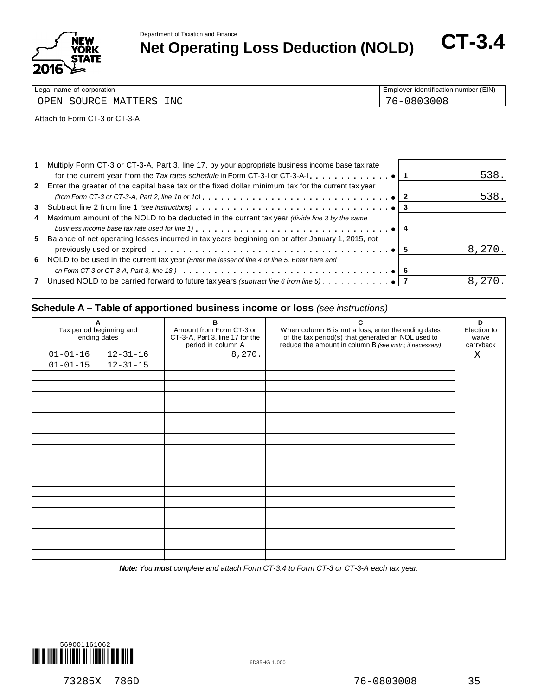

**Net Operatment of Taxation and Finance**<br> **Net Operating Loss Deduction (NOLD)** CT-3.4

| Legal name of corporation        |     | Employer identification number (EIN) |
|----------------------------------|-----|--------------------------------------|
| SOURCE<br>MATTERS<br><b>OPEN</b> | INC | 1 1 X I 1<br>$\sim$                  |

#### Attach to Form CT-3 or CT-3-A

| 1 Multiply Form CT-3 or CT-3-A, Part 3, line 17, by your appropriate business income base tax rate                                                 |   |        |
|----------------------------------------------------------------------------------------------------------------------------------------------------|---|--------|
| for the current year from the Tax rates schedule in Form CT-3-1 or CT-3-A-1. $\ldots$ , $\ldots$ , $\ldots$                                        |   | 538.   |
| 2 Enter the greater of the capital base tax or the fixed dollar minimum tax for the current tax year                                               |   |        |
| (from Form CT-3 or CT-3-A, Part 2, line 1b or 1c). $\ldots \ldots \ldots \ldots \ldots \ldots \ldots \ldots \ldots \ldots \ldots \cdot \bullet  2$ |   | 538.   |
|                                                                                                                                                    |   |        |
| 4 Maximum amount of the NOLD to be deducted in the current tax year <i>(divide line 3 by the same</i>                                              |   |        |
|                                                                                                                                                    | 4 |        |
| 5 Balance of net operating losses incurred in tax years beginning on or after January 1, 2015, not                                                 |   | 8,270. |
| 6 NOLD to be used in the current tax year (Enter the lesser of line 4 or line 5. Enter here and                                                    |   |        |
|                                                                                                                                                    |   |        |
| 7 Unused NOLD to be carried forward to future tax years (subtract line 6 from line 5) $\bullet$ , $\bullet$ , $\bullet$   7                        |   | 8,270  |
|                                                                                                                                                    |   |        |

#### **Schedule A – Table of apportioned business income or loss** *(see instructions)*

| A<br>Tax period beginning and<br>ending dates |                | в<br>Amount from Form CT-3 or<br>CT-3-A, Part 3, line 17 for the<br>period in column A | C<br>When column B is not a loss, enter the ending dates<br>of the tax period(s) that generated an NOL used to<br>reduce the amount in column B (see instr.; if necessary) | D<br>Election to<br>waive<br>carryback |
|-----------------------------------------------|----------------|----------------------------------------------------------------------------------------|----------------------------------------------------------------------------------------------------------------------------------------------------------------------------|----------------------------------------|
| $01 - 01 - 16$                                | $12 - 31 - 16$ | 8,270.                                                                                 |                                                                                                                                                                            | X                                      |
| $01 - 01 - 15$                                | $12 - 31 - 15$ |                                                                                        |                                                                                                                                                                            |                                        |
|                                               |                |                                                                                        |                                                                                                                                                                            |                                        |
|                                               |                |                                                                                        |                                                                                                                                                                            |                                        |
|                                               |                |                                                                                        |                                                                                                                                                                            |                                        |
|                                               |                |                                                                                        |                                                                                                                                                                            |                                        |
|                                               |                |                                                                                        |                                                                                                                                                                            |                                        |
|                                               |                |                                                                                        |                                                                                                                                                                            |                                        |
|                                               |                |                                                                                        |                                                                                                                                                                            |                                        |
|                                               |                |                                                                                        |                                                                                                                                                                            |                                        |
|                                               |                |                                                                                        |                                                                                                                                                                            |                                        |
|                                               |                |                                                                                        |                                                                                                                                                                            |                                        |
|                                               |                |                                                                                        |                                                                                                                                                                            |                                        |
|                                               |                |                                                                                        |                                                                                                                                                                            |                                        |
|                                               |                |                                                                                        |                                                                                                                                                                            |                                        |
|                                               |                |                                                                                        |                                                                                                                                                                            |                                        |
|                                               |                |                                                                                        |                                                                                                                                                                            |                                        |
|                                               |                |                                                                                        |                                                                                                                                                                            |                                        |
|                                               |                |                                                                                        |                                                                                                                                                                            |                                        |
|                                               |                |                                                                                        |                                                                                                                                                                            |                                        |
|                                               |                |                                                                                        |                                                                                                                                                                            |                                        |

*Note: You must complete and attach Form CT-3.4 to Form CT-3 or CT-3-A each tax year.*

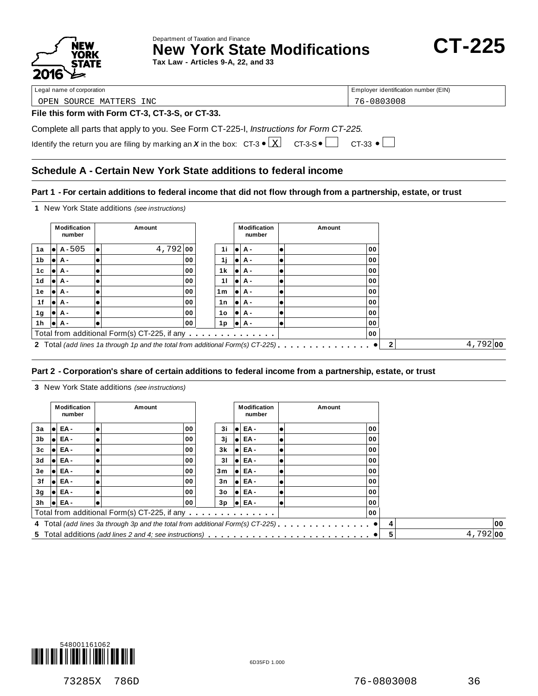

Department of Taxation and Finance **New York State Modifications CT-225** 

**Tax Law - Articles 9-A, 22, and 33**

Legal name of corporation extensive terms of corporation and the corporation of Employer identification number (EIN)

OPEN SOURCE MATTERS INC 76-0803008

#### **File this form with Form CT-3, CT-3-S, or CT-33.**

Complete all parts that apply to you. See Form CT-225-I, *Instructions for Form CT-225.*

|  | Identify the return you are filing by marking an X in the box: $CT-3 \cdot \boxed{X}$ $CT-3-5 \cdot \boxed{}$ $CT-33 \cdot \boxed{}$ |  |  |
|--|--------------------------------------------------------------------------------------------------------------------------------------|--|--|

#### **Schedule A - Certain New York State additions to federal income**

#### Part 1 - For certain additions to federal income that did not flow through from a partnership, estate, or trust

**1** New York State additions *(see instructions)*

|     |      | Modification<br>number | Amount                                                                         |    |                | <b>Modification</b><br>number | Amount |    |                            |
|-----|------|------------------------|--------------------------------------------------------------------------------|----|----------------|-------------------------------|--------|----|----------------------------|
| 1a  | 10 L | $A - 505$              | $4,792$   00                                                                   |    | 1i             | $  \bullet   A -$             |        | 00 |                            |
| 1b  | lol  | А-                     |                                                                                | 00 | 1j             | lei A -                       |        | 00 |                            |
| 1c  | lol  | А-                     |                                                                                | 00 | 1 k            | lei A -                       |        | 00 |                            |
| 1d  | le i | <b>A</b> -             |                                                                                | 00 | 11             | lei A -                       |        | 00 |                            |
| 1е  | lol  | А-                     |                                                                                | 00 | 1 <sub>m</sub> | lei A -                       |        | 00 |                            |
| 1f  |      | l●l A -                |                                                                                | 00 | 1 n            | $  \bullet   A -$             |        | 00 |                            |
| 1g  |      | l●l A -                |                                                                                | 00 | 1o             | $  \bullet   A -$             |        | 00 |                            |
| 1 h |      | I●IA -                 |                                                                                | 00 | 1p             | $  \bullet   A -$             |        | 00 |                            |
|     |      |                        | Total from additional Form(s) CT-225, if any                                   |    |                |                               |        | 00 |                            |
|     |      |                        | 2 Total (add lines 1a through 1p and the total from additional Form(s) CT-225) |    |                |                               |        |    | $4,792$ 00<br>$\mathbf{2}$ |

#### **Part 2 -Corporation's share of certain additions to federal income from a partnership, estate, or trust**

**3** New York State additions *(see instructions)*

|                |  | Modification<br>number |  | Amount                                       |                |  | <b>Modification</b><br>number | Amount |    |              |
|----------------|--|------------------------|--|----------------------------------------------|----------------|--|-------------------------------|--------|----|--------------|
| 3a             |  | I●I EA -               |  | 00                                           | 3i             |  | EA-                           | 00     |    |              |
| 3 <sub>b</sub> |  | I●I EA -               |  | 00                                           | 3j             |  | EA-                           | 00     |    |              |
| 3 <sub>c</sub> |  | I●I EA -               |  | 00                                           | 3k             |  | EA-                           | 00     |    |              |
| 3d             |  | I●I EA -               |  | 00                                           | 31             |  | EA-                           | 00     |    |              |
| 3e             |  | l●l EA -               |  | 00                                           | 3m             |  | EA-                           | 00     |    |              |
| 3f             |  | I●I EA -               |  | 00                                           | 3n             |  | EA-                           | 00     |    |              |
| 3g             |  | I●I EA -               |  | 00                                           | 3 <sub>o</sub> |  | EA-                           | 00     |    |              |
| 3h             |  | $\bullet$ EA -         |  | 00                                           | 3p             |  | $  \bullet  $ EA -            | 00     |    |              |
|                |  |                        |  | Total from additional Form(s) CT-225, if any |                |  |                               | 00     |    |              |
|                |  |                        |  |                                              |                |  |                               |        | 00 |              |
|                |  |                        |  |                                              |                |  |                               |        | 5  | $4,792$   00 |

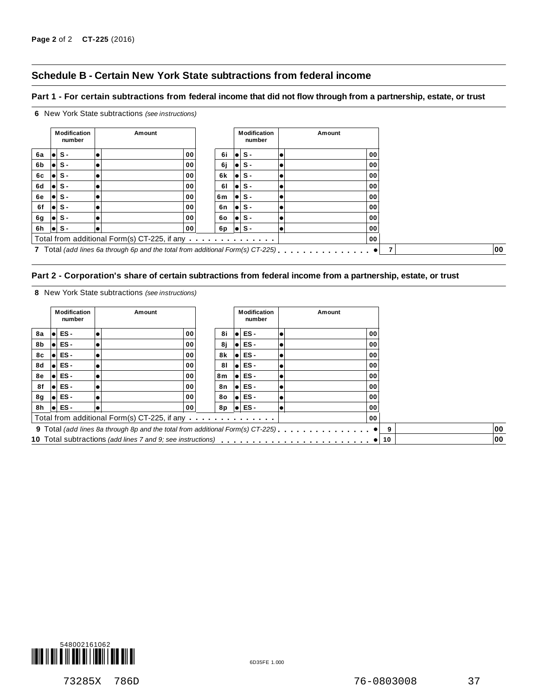#### **Schedule B - Certain New York State subtractions from federal income**

#### Part 1 - For certain subtractions from federal income that did not flow through from a partnership, estate, or trust



#### Part 2 - Corporation's share of certain subtractions from federal income from a partnership, estate, or trust

**8** New York State subtractions *(see instructions)*

**6** New York State subtractions *(see instructions)*

|           | <b>Modification</b><br>number | Amount                                                                          |    | <b>Modification</b><br>number | Amount |    |    |
|-----------|-------------------------------|---------------------------------------------------------------------------------|----|-------------------------------|--------|----|----|
| <b>8a</b> | ES -                          | 00                                                                              | 8i | ES-                           | 00     |    |    |
| 8b        | $\bullet$ ES -                | 00                                                                              | 8ј | ES-                           | 00     |    |    |
| 8с        | ES -                          | 00                                                                              | 8k | ES-                           | 00     |    |    |
| 8d        | ES -                          | 00                                                                              | 81 | ES-                           | 00     |    |    |
| 8e        | ES -                          | 00                                                                              | 8m | ES-                           | 00     |    |    |
| 8f        | $\bullet$ ES -                | 00                                                                              | 8n | ES-                           | 00     |    |    |
| 8g        | $\bullet$ ES -                | 00                                                                              | 80 | ES-                           | 00     |    |    |
| 8h        | $\bullet$ ES -                | 00                                                                              | 8p | $\bullet$ ES -                | 00     |    |    |
|           |                               | Total from additional Form(s) CT-225, if any                                    |    |                               | 00     |    |    |
|           |                               | 9 Total (add lines 8a through 8p and the total from additional Form(s) CT-225). |    |                               |        | 9  | 00 |
|           |                               |                                                                                 |    |                               |        | 10 | 00 |

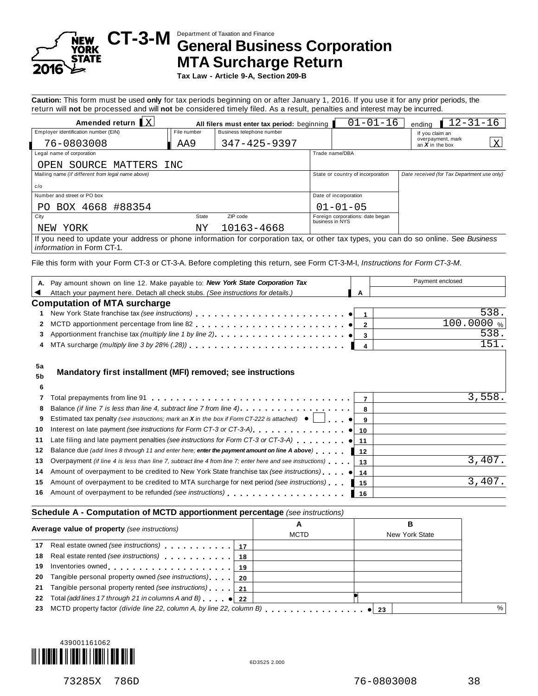

## Department of Taxation and Finance **CT-3-M General Business Corporation MTA Surcharge Return**

**Tax Law - Article 9-A, Section 209-B**

**Caution:** This form must be used **only** for tax periods beginning on or after January 1, 2016. If you use it for any prior periods, the return will **not** be processed and will **not** be considered timely filed. As a result, penalties and interest may be incurred.

|                                                                                                                                     |             |                                             | $\overline{\phantom{a}}$                                                         |                                  |                                             |  |
|-------------------------------------------------------------------------------------------------------------------------------------|-------------|---------------------------------------------|----------------------------------------------------------------------------------|----------------------------------|---------------------------------------------|--|
| Amended return $\mathbf{X}$                                                                                                         |             | All filers must enter tax period: beginning |                                                                                  | $01 - 01 - 16$                   | $12 - 31 - 16$<br>endina                    |  |
| Employer identification number (EIN)                                                                                                | File number | Business telephone number                   |                                                                                  |                                  | If you claim an                             |  |
| 76-0803008                                                                                                                          | AA9         | 347-425-9397                                |                                                                                  |                                  | overpayment, mark<br>X<br>an $X$ in the box |  |
| Legal name of corporation                                                                                                           |             |                                             |                                                                                  | Trade name/DBA                   |                                             |  |
| SOURCE MATTERS<br>OPEN                                                                                                              | INC         |                                             |                                                                                  |                                  |                                             |  |
| Mailing name (if different from legal name above)                                                                                   |             |                                             | Date received (for Tax Department use only)<br>State or country of incorporation |                                  |                                             |  |
| c/o                                                                                                                                 |             |                                             |                                                                                  |                                  |                                             |  |
| Number and street or PO box                                                                                                         |             |                                             | Date of incorporation                                                            |                                  |                                             |  |
| PO BOX 4668 #88354                                                                                                                  |             |                                             |                                                                                  | $01 - 01 - 05$                   |                                             |  |
| City                                                                                                                                | State       | ZIP code                                    | business in NYS                                                                  | Foreign corporations: date began |                                             |  |
| NEW YORK                                                                                                                            | ΝY          | 10163-4668                                  |                                                                                  |                                  |                                             |  |
| If you need to update your address or phone information for corporation tax, or other tax types, you can do so online. See Business |             |                                             |                                                                                  |                                  |                                             |  |

*information* in Form CT-1.

File this form with your Form CT-3 or CT-3-A. Before completing this return, see Form CT-3-M-I, *Instructions for Form CT-3-M*.

|                     | Pay amount shown on line 12. Make payable to: New York State Corporation Tax                                    | Payment enclosed |
|---------------------|-----------------------------------------------------------------------------------------------------------------|------------------|
|                     | Attach your payment here. Detach all check stubs. (See instructions for details.)<br>A                          |                  |
|                     | <b>Computation of MTA surcharge</b>                                                                             |                  |
|                     |                                                                                                                 | 538.             |
| 2                   |                                                                                                                 | 100.0000 %       |
| 3                   |                                                                                                                 | 538.             |
| 4                   | 4                                                                                                               | 151.             |
| 5 <sub>b</sub><br>6 | Mandatory first installment (MFI) removed; see instructions                                                     |                  |
|                     |                                                                                                                 |                  |
|                     |                                                                                                                 |                  |
|                     |                                                                                                                 | 3,558            |
|                     |                                                                                                                 |                  |
| 9                   | Estimated tax penalty (see instructions; mark an X in the box if Form CT-222 is attached) $\bullet$             |                  |
| 10                  |                                                                                                                 |                  |
| 11                  | Late filing and late payment penalties (see instructions for Form CT-3 or CT-3-A) $\bullet$ 11                  |                  |
| 12                  | Balance due (add lines 8 through 11 and enter here; enter the payment amount on line A above)<br>12             |                  |
| 13                  | Overpayment (if line 4 is less than line 7, subtract line 4 from line 7; enter here and see instructions) $ 13$ | 3,407.           |
| 14                  |                                                                                                                 |                  |
| 15                  | Amount of overpayment to be credited to MTA surcharge for next period (see instructions)<br>  15                | 3,407            |

#### **Schedule A - Computation of MCTD apportionment percentage** *(see instructions)*

|    | Average value of property (see instructions)                   | A<br><b>MCTD</b> | в<br>New York State |  |      |
|----|----------------------------------------------------------------|------------------|---------------------|--|------|
| 17 | Real estate owned (see instructions) example and a state of 17 |                  |                     |  |      |
|    | 18 Real estate rented (see instructions)                       | 18               |                     |  |      |
|    |                                                                |                  |                     |  |      |
|    | 20 Tangible personal property owned (see instructions)   20    |                  |                     |  |      |
|    | 21 Tangible personal property rented (see instructions)   21   |                  |                     |  |      |
|    | 22 Total (add lines 17 through 21 in columns A and B) $ 22 $   |                  |                     |  |      |
|    |                                                                |                  |                     |  | $\%$ |
|    |                                                                |                  |                     |  |      |

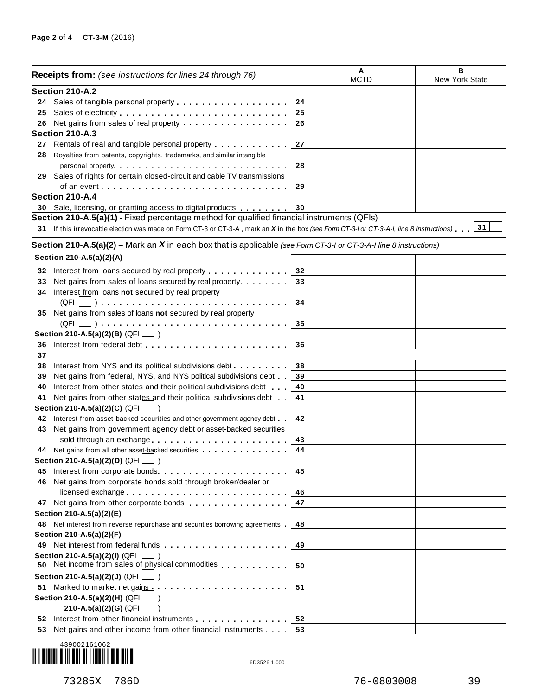|     | <b>Receipts from:</b> (see instructions for lines 24 through 76)                                                                                                                                                               |    | A<br><b>MCTD</b> | в<br>New York State |
|-----|--------------------------------------------------------------------------------------------------------------------------------------------------------------------------------------------------------------------------------|----|------------------|---------------------|
|     | Section 210-A.2                                                                                                                                                                                                                |    |                  |                     |
| 24  |                                                                                                                                                                                                                                | 24 |                  |                     |
| 25  |                                                                                                                                                                                                                                | 25 |                  |                     |
| 26  | Net gains from sales of real property                                                                                                                                                                                          | 26 |                  |                     |
|     | Section 210-A.3                                                                                                                                                                                                                |    |                  |                     |
|     | 27 Rentals of real and tangible personal property entitled and results and response to Rental and Rental and R                                                                                                                 | 27 |                  |                     |
| 28  | Royalties from patents, copyrights, trademarks, and similar intangible                                                                                                                                                         |    |                  |                     |
|     |                                                                                                                                                                                                                                | 28 |                  |                     |
| 29  | Sales of rights for certain closed-circuit and cable TV transmissions                                                                                                                                                          |    |                  |                     |
|     |                                                                                                                                                                                                                                | 29 |                  |                     |
|     | Section 210-A.4                                                                                                                                                                                                                |    |                  |                     |
|     |                                                                                                                                                                                                                                |    |                  |                     |
|     | 30 Sale, licensing, or granting access to digital products<br>Section 210-A.5(a)(1) - Fixed percentage method for qualified financial instruments (QFIs)                                                                       | 30 |                  |                     |
|     |                                                                                                                                                                                                                                |    |                  |                     |
|     | 31 If this irrevocable election was made on Form CT-3 or CT-3-A, mark an X in the box (see Form CT-3-I or CT-3-A-I, line 8 instructions). 31                                                                                   |    |                  |                     |
|     | Section 210-A.5(a)(2) – Mark an $X$ in each box that is applicable (see Form CT-3-I or CT-3-A-I line 8 instructions)                                                                                                           |    |                  |                     |
|     | Section 210-A.5(a)(2)(A)                                                                                                                                                                                                       |    |                  |                     |
|     |                                                                                                                                                                                                                                |    |                  |                     |
| 32  | Interest from loans secured by real property                                                                                                                                                                                   | 32 |                  |                     |
| 33  | Net gains from sales of loans secured by real property                                                                                                                                                                         | 33 |                  |                     |
| 34  | Interest from loans not secured by real property                                                                                                                                                                               |    |                  |                     |
|     | (QFI                                                                                                                                                                                                                           | 34 |                  |                     |
| 35  | Net gains from sales of loans not secured by real property                                                                                                                                                                     |    |                  |                     |
|     | $(QFI \Box) \ldots \ldots \ldots$<br>.                                                                                                                                                                                         | 35 |                  |                     |
|     | Section 210-A.5(a)(2)(B) (QFI $\Box$ )                                                                                                                                                                                         |    |                  |                     |
| 36  | Interest from federal debt                                                                                                                                                                                                     | 36 |                  |                     |
| 37  |                                                                                                                                                                                                                                |    |                  |                     |
| 38  | Interest from NYS and its political subdivisions debt                                                                                                                                                                          | 38 |                  |                     |
| 39  | Net gains from federal, NYS, and NYS political subdivisions debt                                                                                                                                                               | 39 |                  |                     |
| 40  | Interest from other states and their political subdivisions debt                                                                                                                                                               | 40 |                  |                     |
| 41  | Net gains from other states and their political subdivisions debt                                                                                                                                                              | 41 |                  |                     |
|     | Section 210-A.5(a)(2)(C) (QFI                                                                                                                                                                                                  |    |                  |                     |
| 42  | Interest from asset-backed securities and other government agency debt.                                                                                                                                                        | 42 |                  |                     |
| 43  | Net gains from government agency debt or asset-backed securities                                                                                                                                                               |    |                  |                     |
|     | sold through an exchange entitled to the set of the set of the set of the set of the set of the set of the set of the set of the set of the set of the set of the set of the set of the set of the set of the set of the set o | 43 |                  |                     |
|     | 44 Net gains from all other asset-backed securities                                                                                                                                                                            | 44 |                  |                     |
|     | Section 210-A.5(a)(2)(D) $(QFI$                                                                                                                                                                                                |    |                  |                     |
| 45  | Interest from corporate bonds.                                                                                                                                                                                                 | 45 |                  |                     |
| 46  | Net gains from corporate bonds sold through broker/dealer or                                                                                                                                                                   |    |                  |                     |
|     |                                                                                                                                                                                                                                |    |                  |                     |
|     | licensed exchange                                                                                                                                                                                                              | 46 |                  |                     |
|     | 47 Net gains from other corporate bonds                                                                                                                                                                                        | 47 |                  |                     |
|     | Section 210-A.5(a)(2)(E)                                                                                                                                                                                                       |    |                  |                     |
|     | 48 Net interest from reverse repurchase and securities borrowing agreements                                                                                                                                                    | 48 |                  |                     |
|     | Section 210-A.5(a)(2)(F)                                                                                                                                                                                                       |    |                  |                     |
| 49. |                                                                                                                                                                                                                                | 49 |                  |                     |
| 50  | Section 210-A.5(a)(2)(I) (QFI<br>Net income from sales of physical commodities entitled as a set of the Net and Median Median and Median Annual                                                                                | 50 |                  |                     |
|     | Section 210-A.5(a)(2)(J) (QFI                                                                                                                                                                                                  |    |                  |                     |
| 51  | Marked to market net gains.<br>.                                                                                                                                                                                               | 51 |                  |                     |
|     | Section 210-A.5(a)(2)(H) (QFI                                                                                                                                                                                                  |    |                  |                     |
|     | 210-A.5(a)(2)(G) (QFI                                                                                                                                                                                                          |    |                  |                     |
| 52  | Interest from other financial instruments <b>Algebra 2010</b>                                                                                                                                                                  | 52 |                  |                     |
| 53  | Net gains and other income from other financial instruments                                                                                                                                                                    | 53 |                  |                     |
|     |                                                                                                                                                                                                                                |    |                  |                     |



 $\bar{.}$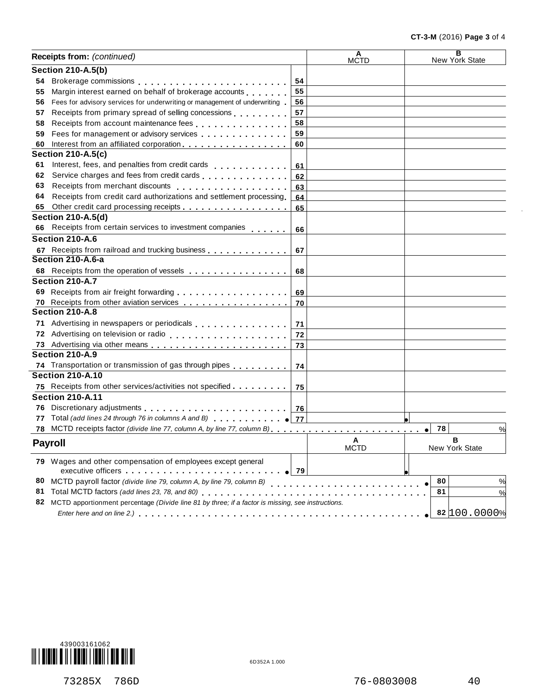|     | Receipts from: (continued)                                                                                                                                                                                                                  |    | A<br>MCTD        | $\overline{\mathbf{B}}$<br>New York State |
|-----|---------------------------------------------------------------------------------------------------------------------------------------------------------------------------------------------------------------------------------------------|----|------------------|-------------------------------------------|
|     | <b>Section 210-A.5(b)</b>                                                                                                                                                                                                                   |    |                  |                                           |
| 54  |                                                                                                                                                                                                                                             | 54 |                  |                                           |
| 55  | Margin interest earned on behalf of brokerage accounts                                                                                                                                                                                      | 55 |                  |                                           |
| 56  | Fees for advisory services for underwriting or management of underwriting                                                                                                                                                                   | 56 |                  |                                           |
| 57  | Receipts from primary spread of selling concessions                                                                                                                                                                                         | 57 |                  |                                           |
| 58  |                                                                                                                                                                                                                                             | 58 |                  |                                           |
| 59  | Fees for management or advisory services expressions are all the set of the set of the set of the set of the set of the set of the set of the set of the set of the set of the set of the set of the set of the set of the set              | 59 |                  |                                           |
| 60  | Interest from an affiliated corporation.                                                                                                                                                                                                    | 60 |                  |                                           |
|     | <b>Section 210-A.5(c)</b>                                                                                                                                                                                                                   |    |                  |                                           |
| 61  | Interest, fees, and penalties from credit cards                                                                                                                                                                                             | 61 |                  |                                           |
| 62  |                                                                                                                                                                                                                                             | 62 |                  |                                           |
| 63  | Receipts from merchant discounts entitled and an article of Receipts from merchant discounts                                                                                                                                                | 63 |                  |                                           |
| 64  | Receipts from credit card authorizations and settlement processing                                                                                                                                                                          | 64 |                  |                                           |
| 65  |                                                                                                                                                                                                                                             | 65 |                  |                                           |
|     | <b>Section 210-A.5(d)</b>                                                                                                                                                                                                                   |    |                  |                                           |
| 66  | Receipts from certain services to investment companies                                                                                                                                                                                      | 66 |                  |                                           |
|     | Section 210-A.6                                                                                                                                                                                                                             |    |                  |                                           |
|     | 67 Receipts from railroad and trucking business                                                                                                                                                                                             | 67 |                  |                                           |
|     | Section 210-A.6-a                                                                                                                                                                                                                           |    |                  |                                           |
|     | 68 Receipts from the operation of vessels                                                                                                                                                                                                   | 68 |                  |                                           |
|     | Section 210-A.7                                                                                                                                                                                                                             |    |                  |                                           |
|     |                                                                                                                                                                                                                                             |    |                  |                                           |
|     | 70 Receipts from other aviation services                                                                                                                                                                                                    | 70 |                  |                                           |
|     | Section 210-A.8                                                                                                                                                                                                                             |    |                  |                                           |
|     | 71 Advertising in newspapers or periodicals [1] Advertising in new spapers or periodicals                                                                                                                                                   | 71 |                  |                                           |
|     |                                                                                                                                                                                                                                             | 72 |                  |                                           |
|     |                                                                                                                                                                                                                                             | 73 |                  |                                           |
|     | Section 210-A.9                                                                                                                                                                                                                             |    |                  |                                           |
|     | 74 Transportation or transmission of gas through pipes [1, 1, 1, 1, 1, 1]                                                                                                                                                                   | 74 |                  |                                           |
|     | <b>Section 210-A.10</b>                                                                                                                                                                                                                     |    |                  |                                           |
|     | 75 Receipts from other services/activities not specified                                                                                                                                                                                    | 75 |                  |                                           |
|     | <b>Section 210-A.11</b>                                                                                                                                                                                                                     |    |                  |                                           |
|     |                                                                                                                                                                                                                                             |    |                  |                                           |
| 77  | Total (add lines 24 through 76 in columns A and B) <b>TOTAL 1999 177</b>                                                                                                                                                                    |    |                  |                                           |
| 78. |                                                                                                                                                                                                                                             |    |                  | 78<br>%<br>$\bullet$                      |
|     | <b>Payroll</b>                                                                                                                                                                                                                              |    | A<br><b>MCTD</b> | в<br>New York State                       |
|     | 79 Wages and other compensation of employees except general                                                                                                                                                                                 |    |                  |                                           |
|     | executive officers experience and the series of the series of the series of the series of the series of the series of the series of the series of the series of the series of the series of the series of the series of the se<br>$\sim$ 79 |    |                  |                                           |
| 80  | MCTD payroll factor (divide line 79, column A, by line 79, column B)                                                                                                                                                                        |    |                  | 80<br>%                                   |
| 81  | Total MCTD factors (add lines 23, 78, and 80)                                                                                                                                                                                               |    |                  | 81<br>%                                   |
| 82  | MCTD apportionment percentage (Divide line 81 by three; if a factor is missing, see instructions.                                                                                                                                           |    |                  |                                           |
|     |                                                                                                                                                                                                                                             |    |                  | 82 100.0000%                              |